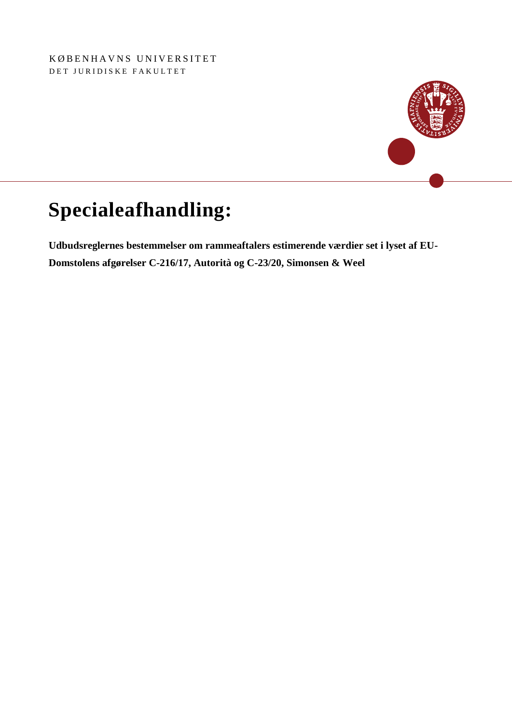KØBENHAVNS UNIVERSITET DET JURIDISKE FAKULTET



# **Specialeafhandling:**

**Udbudsreglernes bestemmelser om rammeaftalers estimerende værdier set i lyset af EU-Domstolens afgørelser C-216/17, Autorità og C-23/20, Simonsen & Weel**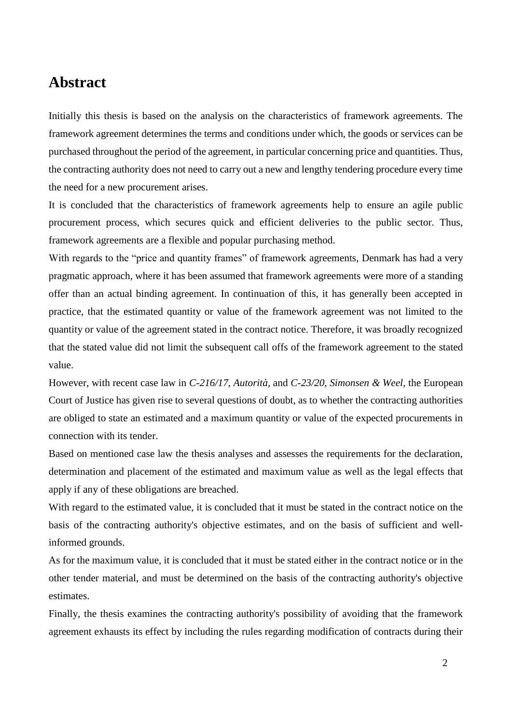# <span id="page-1-0"></span>**Abstract**

Initially this thesis is based on the analysis on the characteristics of framework agreements. The framework agreement determines the terms and conditions under which, the goods or services can be purchased throughout the period of the agreement, in particular concerning price and quantities. Thus, the contracting authority does not need to carry out a new and lengthy tendering procedure every time the need for a new procurement arises.

It is concluded that the characteristics of framework agreements help to ensure an agile public procurement process, which secures quick and efficient deliveries to the public sector. Thus, framework agreements are a flexible and popular purchasing method.

With regards to the "price and quantity frames" of framework agreements, Denmark has had a very pragmatic approach, where it has been assumed that framework agreements were more of a standing offer than an actual binding agreement. In continuation of this, it has generally been accepted in practice, that the estimated quantity or value of the framework agreement was not limited to the quantity or value of the agreement stated in the contract notice. Therefore, it was broadly recognized that the stated value did not limit the subsequent call offs of the framework agreement to the stated value.

However, with recent case law in *C-216/17, Autorità*, and *C-23/20, Simonsen & Weel*, the European Court of Justice has given rise to several questions of doubt, as to whether the contracting authorities are obliged to state an estimated and a maximum quantity or value of the expected procurements in connection with its tender.

Based on mentioned case law the thesis analyses and assesses the requirements for the declaration, determination and placement of the estimated and maximum value as well as the legal effects that apply if any of these obligations are breached.

With regard to the estimated value, it is concluded that it must be stated in the contract notice on the basis of the contracting authority's objective estimates, and on the basis of sufficient and wellinformed grounds.

As for the maximum value, it is concluded that it must be stated either in the contract notice or in the other tender material, and must be determined on the basis of the contracting authority's objective estimates.

Finally, the thesis examines the contracting authority's possibility of avoiding that the framework agreement exhausts its effect by including the rules regarding modification of contracts during their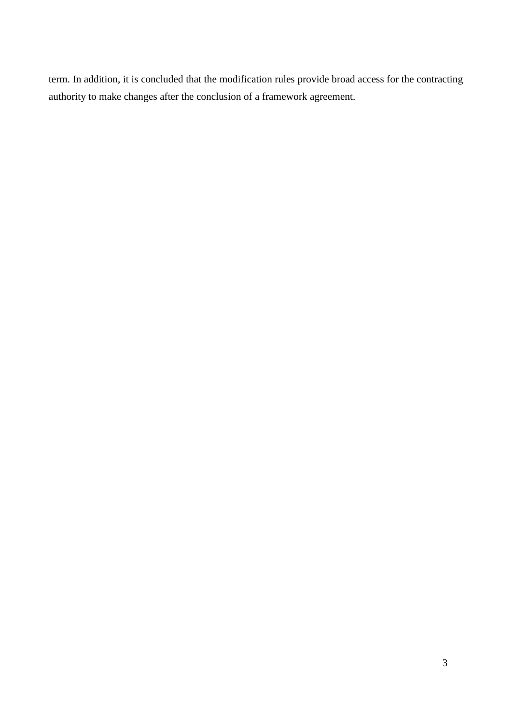term. In addition, it is concluded that the modification rules provide broad access for the contracting authority to make changes after the conclusion of a framework agreement.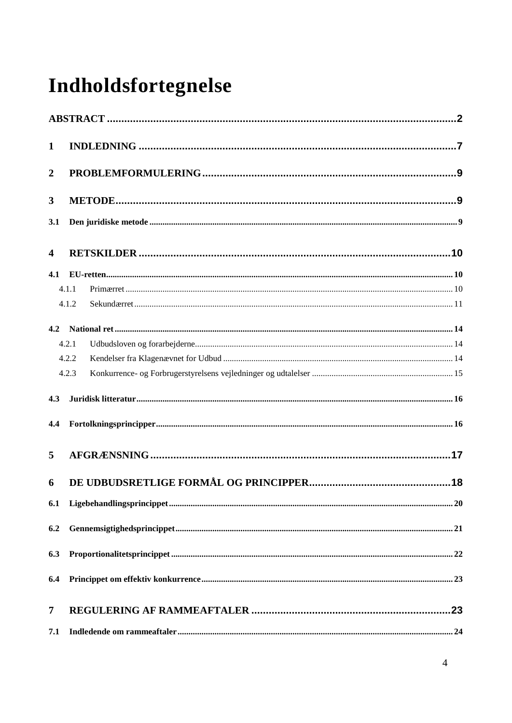# Indholdsfortegnelse

| $\mathbf{1}$     |       |  |  |
|------------------|-------|--|--|
| $\boldsymbol{2}$ |       |  |  |
| 3                |       |  |  |
| 3.1              |       |  |  |
| 4                |       |  |  |
| 4.1              |       |  |  |
|                  | 4.1.1 |  |  |
|                  | 4.1.2 |  |  |
| 4.2              |       |  |  |
|                  | 4.2.1 |  |  |
|                  | 4.2.2 |  |  |
|                  | 4.2.3 |  |  |
| 4.3              |       |  |  |
| 4.4              |       |  |  |
| 5                |       |  |  |
| 6                |       |  |  |
| 6.1              |       |  |  |
| 6.2              |       |  |  |
| 6.3              |       |  |  |
| 6.4              |       |  |  |
| 7                |       |  |  |
| 7.1              |       |  |  |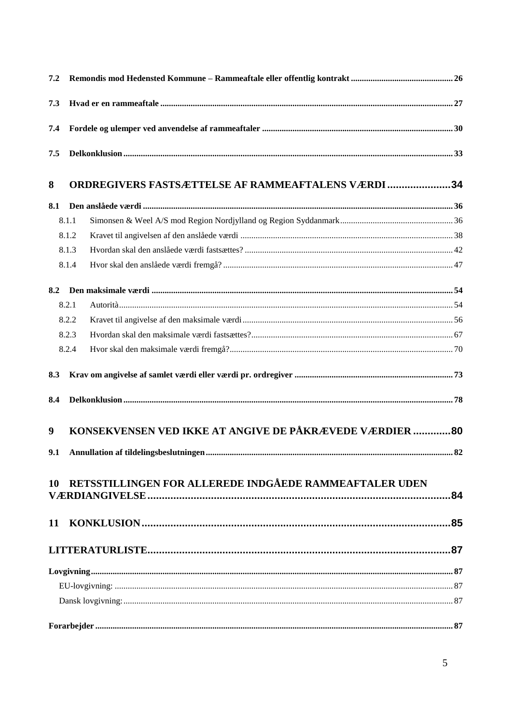| 7.2 |       |                                                           |    |
|-----|-------|-----------------------------------------------------------|----|
| 7.3 |       |                                                           |    |
| 7.4 |       |                                                           |    |
| 7.5 |       |                                                           |    |
| 8   |       | <b>ORDREGIVERS FASTSÆTTELSE AF RAMMEAFTALENS VÆRDI 34</b> |    |
| 8.1 |       |                                                           |    |
|     | 8.1.1 |                                                           |    |
|     | 8.1.2 |                                                           |    |
|     | 8.1.3 |                                                           |    |
|     | 8.1.4 |                                                           |    |
| 8.2 |       |                                                           |    |
|     | 8.2.1 |                                                           |    |
|     | 8.2.2 |                                                           |    |
|     | 8.2.3 |                                                           |    |
|     | 8.2.4 |                                                           |    |
| 8.3 |       |                                                           |    |
| 8.4 |       |                                                           |    |
| 9   |       | KONSEKVENSEN VED IKKE AT ANGIVE DE PÅKRÆVEDE VÆRDIER 80   |    |
|     |       |                                                           | 82 |
|     |       | 10 RETSSTILLINGEN FOR ALLEREDE INDGÅEDE RAMMEAFTALER UDEN |    |
|     |       |                                                           |    |
|     |       |                                                           |    |
|     |       |                                                           |    |
|     |       |                                                           |    |
|     |       |                                                           |    |
|     |       |                                                           |    |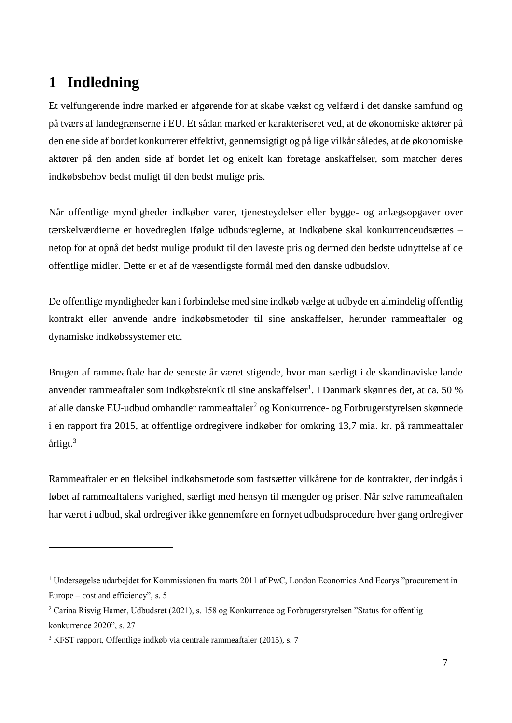# <span id="page-6-0"></span>**1 Indledning**

<u>.</u>

Et velfungerende indre marked er afgørende for at skabe vækst og velfærd i det danske samfund og på tværs af landegrænserne i EU. Et sådan marked er karakteriseret ved, at de økonomiske aktører på den ene side af bordet konkurrerer effektivt, gennemsigtigt og på lige vilkår således, at de økonomiske aktører på den anden side af bordet let og enkelt kan foretage anskaffelser, som matcher deres indkøbsbehov bedst muligt til den bedst mulige pris.

Når offentlige myndigheder indkøber varer, tjenesteydelser eller bygge- og anlægsopgaver over tærskelværdierne er hovedreglen ifølge udbudsreglerne, at indkøbene skal konkurrenceudsættes – netop for at opnå det bedst mulige produkt til den laveste pris og dermed den bedste udnyttelse af de offentlige midler. Dette er et af de væsentligste formål med den danske udbudslov.

De offentlige myndigheder kan i forbindelse med sine indkøb vælge at udbyde en almindelig offentlig kontrakt eller anvende andre indkøbsmetoder til sine anskaffelser, herunder rammeaftaler og dynamiske indkøbssystemer etc.

Brugen af rammeaftale har de seneste år været stigende, hvor man særligt i de skandinaviske lande anvender rammeaftaler som indkøbsteknik til sine anskaffelser<sup>1</sup>. I Danmark skønnes det, at ca. 50 % af alle danske EU-udbud omhandler rammeaftaler<sup>2</sup> og Konkurrence- og Forbrugerstyrelsen skønnede i en rapport fra 2015, at offentlige ordregivere indkøber for omkring 13,7 mia. kr. på rammeaftaler årligt.<sup>3</sup>

Rammeaftaler er en fleksibel indkøbsmetode som fastsætter vilkårene for de kontrakter, der indgås i løbet af rammeaftalens varighed, særligt med hensyn til mængder og priser. Når selve rammeaftalen har været i udbud, skal ordregiver ikke gennemføre en fornyet udbudsprocedure hver gang ordregiver

<sup>1</sup> Undersøgelse udarbejdet for Kommissionen fra marts 2011 af PwC, London Economics And Ecorys "procurement in Europe – cost and efficiency", s. 5

<sup>2</sup> Carina Risvig Hamer, Udbudsret (2021), s. 158 og Konkurrence og Forbrugerstyrelsen "Status for offentlig konkurrence 2020", s. 27

<sup>3</sup> KFST rapport, Offentlige indkøb via centrale rammeaftaler (2015), s. 7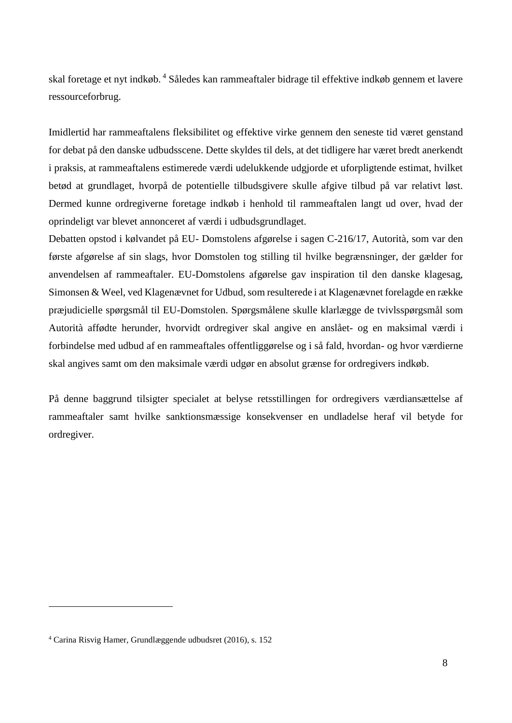skal foretage et nyt indkøb. <sup>4</sup> Således kan rammeaftaler bidrage til effektive indkøb gennem et lavere ressourceforbrug.

Imidlertid har rammeaftalens fleksibilitet og effektive virke gennem den seneste tid været genstand for debat på den danske udbudsscene. Dette skyldes til dels, at det tidligere har været bredt anerkendt i praksis, at rammeaftalens estimerede værdi udelukkende udgjorde et uforpligtende estimat, hvilket betød at grundlaget, hvorpå de potentielle tilbudsgivere skulle afgive tilbud på var relativt løst. Dermed kunne ordregiverne foretage indkøb i henhold til rammeaftalen langt ud over, hvad der oprindeligt var blevet annonceret af værdi i udbudsgrundlaget.

Debatten opstod i kølvandet på EU- Domstolens afgørelse i sagen C-216/17, Autorità, som var den første afgørelse af sin slags, hvor Domstolen tog stilling til hvilke begrænsninger, der gælder for anvendelsen af rammeaftaler. EU-Domstolens afgørelse gav inspiration til den danske klagesag, Simonsen & Weel, ved Klagenævnet for Udbud, som resulterede i at Klagenævnet forelagde en række præjudicielle spørgsmål til EU-Domstolen. Spørgsmålene skulle klarlægge de tvivlsspørgsmål som Autorità affødte herunder, hvorvidt ordregiver skal angive en anslået- og en maksimal værdi i forbindelse med udbud af en rammeaftales offentliggørelse og i så fald, hvordan- og hvor værdierne skal angives samt om den maksimale værdi udgør en absolut grænse for ordregivers indkøb.

På denne baggrund tilsigter specialet at belyse retsstillingen for ordregivers værdiansættelse af rammeaftaler samt hvilke sanktionsmæssige konsekvenser en undladelse heraf vil betyde for ordregiver.

<sup>4</sup> Carina Risvig Hamer, Grundlæggende udbudsret (2016), s. 152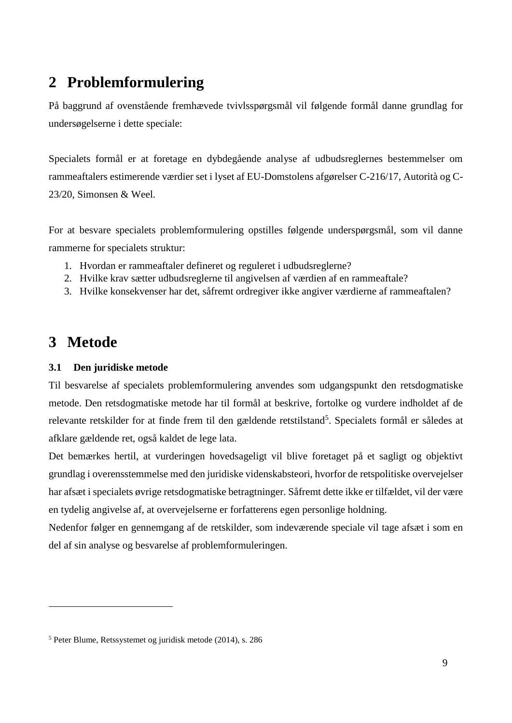# <span id="page-8-0"></span>**2 Problemformulering**

På baggrund af ovenstående fremhævede tvivlsspørgsmål vil følgende formål danne grundlag for undersøgelserne i dette speciale:

Specialets formål er at foretage en dybdegående analyse af udbudsreglernes bestemmelser om rammeaftalers estimerende værdier set i lyset af EU-Domstolens afgørelser C-216/17, Autorità og C-23/20, Simonsen & Weel.

For at besvare specialets problemformulering opstilles følgende underspørgsmål, som vil danne rammerne for specialets struktur:

- 1. Hvordan er rammeaftaler defineret og reguleret i udbudsreglerne?
- 2. Hvilke krav sætter udbudsreglerne til angivelsen af værdien af en rammeaftale?
- 3. Hvilke konsekvenser har det, såfremt ordregiver ikke angiver værdierne af rammeaftalen?

# <span id="page-8-1"></span>**3 Metode**

<u>.</u>

# <span id="page-8-2"></span>**3.1 Den juridiske metode**

Til besvarelse af specialets problemformulering anvendes som udgangspunkt den retsdogmatiske metode. Den retsdogmatiske metode har til formål at beskrive, fortolke og vurdere indholdet af de relevante retskilder for at finde frem til den gældende retstilstand<sup>5</sup>. Specialets formål er således at afklare gældende ret, også kaldet de lege lata.

Det bemærkes hertil, at vurderingen hovedsageligt vil blive foretaget på et sagligt og objektivt grundlag i overensstemmelse med den juridiske videnskabsteori, hvorfor de retspolitiske overvejelser har afsæt i specialets øvrige retsdogmatiske betragtninger. Såfremt dette ikke er tilfældet, vil der være en tydelig angivelse af, at overvejelserne er forfatterens egen personlige holdning.

Nedenfor følger en gennemgang af de retskilder, som indeværende speciale vil tage afsæt i som en del af sin analyse og besvarelse af problemformuleringen.

<sup>5</sup> Peter Blume, Retssystemet og juridisk metode (2014), s. 286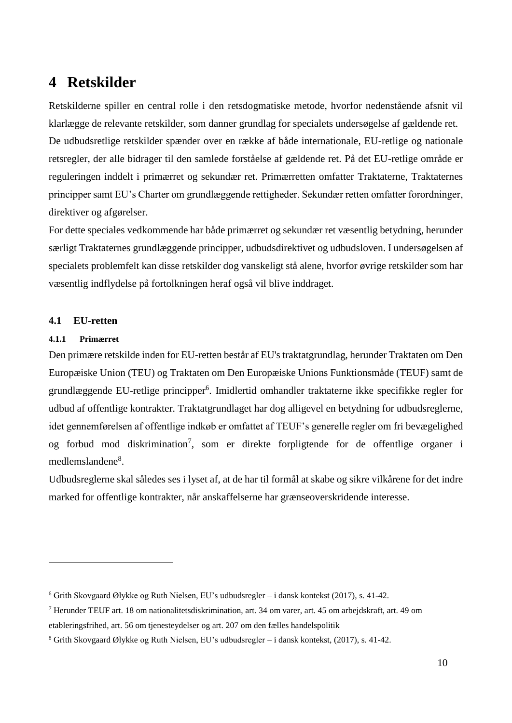# <span id="page-9-0"></span>**4 Retskilder**

Retskilderne spiller en central rolle i den retsdogmatiske metode, hvorfor nedenstående afsnit vil klarlægge de relevante retskilder, som danner grundlag for specialets undersøgelse af gældende ret. De udbudsretlige retskilder spænder over en række af både internationale, EU-retlige og nationale retsregler, der alle bidrager til den samlede forståelse af gældende ret. På det EU-retlige område er reguleringen inddelt i primærret og sekundær ret. Primærretten omfatter Traktaterne, Traktaternes principper samt EU's Charter om grundlæggende rettigheder. Sekundær retten omfatter forordninger, direktiver og afgørelser.

For dette speciales vedkommende har både primærret og sekundær ret væsentlig betydning, herunder særligt Traktaternes grundlæggende principper, udbudsdirektivet og udbudsloven. I undersøgelsen af specialets problemfelt kan disse retskilder dog vanskeligt stå alene, hvorfor øvrige retskilder som har væsentlig indflydelse på fortolkningen heraf også vil blive inddraget.

### <span id="page-9-1"></span>**4.1 EU-retten**

### <span id="page-9-2"></span>**4.1.1 Primærret**

<u>.</u>

Den primære retskilde inden for EU-retten består af EU's traktatgrundlag, herunder Traktaten om Den Europæiske Union (TEU) og Traktaten om Den Europæiske Unions Funktionsmåde (TEUF) samt de grundlæggende EU-retlige principper<sup>6</sup>. Imidlertid omhandler traktaterne ikke specifikke regler for udbud af offentlige kontrakter. Traktatgrundlaget har dog alligevel en betydning for udbudsreglerne, idet gennemførelsen af offentlige indkøb er omfattet af TEUF's generelle regler om fri bevægelighed og forbud mod diskrimination<sup>7</sup>, som er direkte forpligtende for de offentlige organer i medlemslandene<sup>8</sup>.

Udbudsreglerne skal således ses i lyset af, at de har til formål at skabe og sikre vilkårene for det indre marked for offentlige kontrakter, når anskaffelserne har grænseoverskridende interesse.

<sup>6</sup> Grith Skovgaard Ølykke og Ruth Nielsen, EU's udbudsregler – i dansk kontekst (2017), s. 41-42.

<sup>7</sup> Herunder TEUF art. 18 om nationalitetsdiskrimination, art. 34 om varer, art. 45 om arbejdskraft, art. 49 om etableringsfrihed, art. 56 om tjenesteydelser og art. 207 om den fælles handelspolitik

<sup>8</sup> Grith Skovgaard Ølykke og Ruth Nielsen, EU's udbudsregler – i dansk kontekst, (2017), s. 41-42.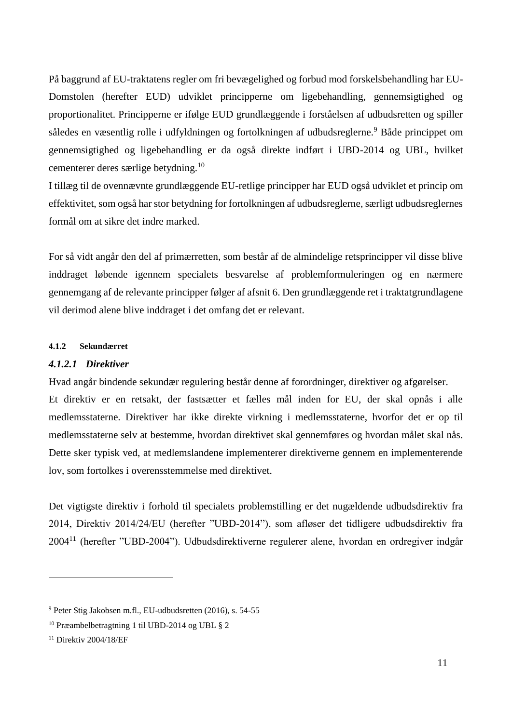På baggrund af EU-traktatens regler om fri bevægelighed og forbud mod forskelsbehandling har EU-Domstolen (herefter EUD) udviklet principperne om ligebehandling, gennemsigtighed og proportionalitet. Principperne er ifølge EUD grundlæggende i forståelsen af udbudsretten og spiller således en væsentlig rolle i udfyldningen og fortolkningen af udbudsreglerne. <sup>9</sup> Både princippet om gennemsigtighed og ligebehandling er da også direkte indført i UBD-2014 og UBL, hvilket cementerer deres særlige betydning.<sup>10</sup>

I tillæg til de ovennævnte grundlæggende EU-retlige principper har EUD også udviklet et princip om effektivitet, som også har stor betydning for fortolkningen af udbudsreglerne, særligt udbudsreglernes formål om at sikre det indre marked.

For så vidt angår den del af primærretten, som består af de almindelige retsprincipper vil disse blive inddraget løbende igennem specialets besvarelse af problemformuleringen og en nærmere gennemgang af de relevante principper følger af afsnit 6. Den grundlæggende ret i traktatgrundlagene vil derimod alene blive inddraget i det omfang det er relevant.

### <span id="page-10-0"></span>**4.1.2 Sekundærret**

### *4.1.2.1 Direktiver*

Hvad angår bindende sekundær regulering består denne af forordninger, direktiver og afgørelser.

Et direktiv er en retsakt, der fastsætter et fælles mål inden for EU, der skal opnås i alle medlemsstaterne. Direktiver har ikke direkte virkning i medlemsstaterne, hvorfor det er op til medlemsstaterne selv at bestemme, hvordan direktivet skal gennemføres og hvordan målet skal nås. Dette sker typisk ved, at medlemslandene implementerer direktiverne gennem en implementerende lov, som fortolkes i overensstemmelse med direktivet.

Det vigtigste direktiv i forhold til specialets problemstilling er det nugældende udbudsdirektiv fra 2014, Direktiv 2014/24/EU (herefter "UBD-2014"), som afløser det tidligere udbudsdirektiv fra 2004<sup>11</sup> (herefter "UBD-2004"). Udbudsdirektiverne regulerer alene, hvordan en ordregiver indgår

<sup>9</sup> Peter Stig Jakobsen m.fl., EU-udbudsretten (2016), s. 54-55

<sup>10</sup> Præambelbetragtning 1 til UBD-2014 og UBL § 2

<sup>&</sup>lt;sup>11</sup> Direktiv 2004/18/EF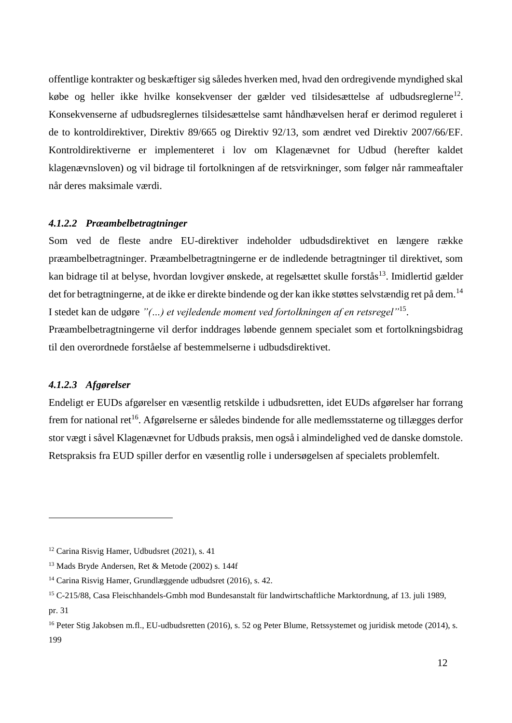offentlige kontrakter og beskæftiger sig således hverken med, hvad den ordregivende myndighed skal købe og heller ikke hvilke konsekvenser der gælder ved tilsidesættelse af udbudsreglerne<sup>12</sup>. Konsekvenserne af udbudsreglernes tilsidesættelse samt håndhævelsen heraf er derimod reguleret i de to kontroldirektiver, Direktiv 89/665 og Direktiv 92/13, som ændret ved Direktiv 2007/66/EF. Kontroldirektiverne er implementeret i lov om Klagenævnet for Udbud (herefter kaldet klagenævnsloven) og vil bidrage til fortolkningen af de retsvirkninger, som følger når rammeaftaler når deres maksimale værdi.

### *4.1.2.2 Præambelbetragtninger*

Som ved de fleste andre EU-direktiver indeholder udbudsdirektivet en længere række præambelbetragtninger. Præambelbetragtningerne er de indledende betragtninger til direktivet, som kan bidrage til at belyse, hvordan lovgiver ønskede, at regelsættet skulle forstås<sup>13</sup>. Imidlertid gælder det for betragtningerne, at de ikke er direkte bindende og der kan ikke støttes selvstændig ret på dem.<sup>14</sup> I stedet kan de udgøre *"(…) et vejledende moment ved fortolkningen af en retsregel"*<sup>15</sup> .

Præambelbetragtningerne vil derfor inddrages løbende gennem specialet som et fortolkningsbidrag til den overordnede forståelse af bestemmelserne i udbudsdirektivet.

#### *4.1.2.3 Afgørelser*

<u>.</u>

Endeligt er EUDs afgørelser en væsentlig retskilde i udbudsretten, idet EUDs afgørelser har forrang frem for national ret<sup>16</sup>. Afgørelserne er således bindende for alle medlemsstaterne og tillægges derfor stor vægt i såvel Klagenævnet for Udbuds praksis, men også i almindelighed ved de danske domstole. Retspraksis fra EUD spiller derfor en væsentlig rolle i undersøgelsen af specialets problemfelt.

<sup>12</sup> Carina Risvig Hamer, Udbudsret (2021), s. 41

<sup>13</sup> Mads Bryde Andersen, Ret & Metode (2002) s. 144f

<sup>14</sup> Carina Risvig Hamer, Grundlæggende udbudsret (2016), s. 42.

<sup>15</sup> C-215/88, Casa Fleischhandels-Gmbh mod Bundesanstalt für landwirtschaftliche Marktordnung, af 13. juli 1989, pr. 31

<sup>&</sup>lt;sup>16</sup> Peter Stig Jakobsen m.fl., EU-udbudsretten (2016), s. 52 og Peter Blume, Retssystemet og juridisk metode (2014), s. 199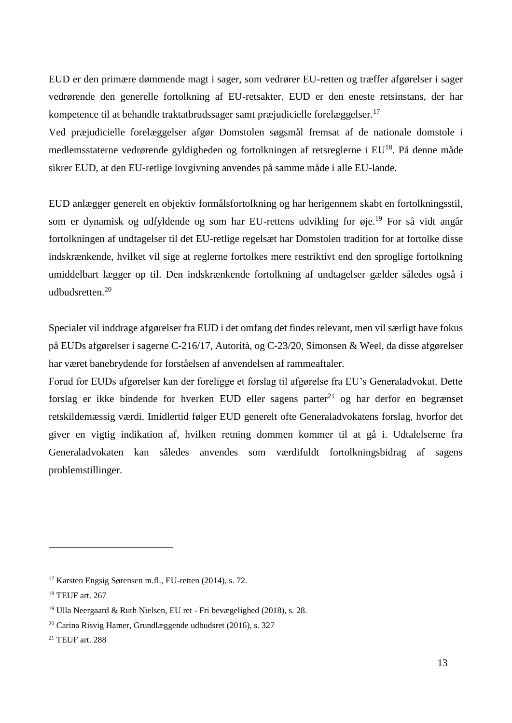EUD er den primære dømmende magt i sager, som vedrører EU-retten og træffer afgørelser i sager vedrørende den generelle fortolkning af EU-retsakter. EUD er den eneste retsinstans, der har kompetence til at behandle traktatbrudssager samt præjudicielle forelæggelser.<sup>17</sup>

Ved præjudicielle forelæggelser afgør Domstolen søgsmål fremsat af de nationale domstole i medlemsstaterne vedrørende gyldigheden og fortolkningen af retsreglerne i EU<sup>18</sup>. På denne måde sikrer EUD, at den EU-retlige lovgivning anvendes på samme måde i alle EU-lande.

EUD anlægger generelt en objektiv formålsfortolkning og har herigennem skabt en fortolkningsstil, som er dynamisk og udfyldende og som har EU-rettens udvikling for øje.<sup>19</sup> For så vidt angår fortolkningen af undtagelser til det EU-retlige regelsæt har Domstolen tradition for at fortolke disse indskrænkende, hvilket vil sige at reglerne fortolkes mere restriktivt end den sproglige fortolkning umiddelbart lægger op til. Den indskrænkende fortolkning af undtagelser gælder således også i udbudsretten $20$ 

Specialet vil inddrage afgørelser fra EUD i det omfang det findes relevant, men vil særligt have fokus på EUDs afgørelser i sagerne C-216/17, Autorità, og C-23/20, Simonsen & Weel, da disse afgørelser har været banebrydende for forståelsen af anvendelsen af rammeaftaler.

Forud for EUDs afgørelser kan der foreligge et forslag til afgørelse fra EU's Generaladvokat. Dette forslag er ikke bindende for hverken EUD eller sagens parter<sup>21</sup> og har derfor en begrænset retskildemæssig værdi. Imidlertid følger EUD generelt ofte Generaladvokatens forslag, hvorfor det giver en vigtig indikation af, hvilken retning dommen kommer til at gå i. Udtalelserne fra Generaladvokaten kan således anvendes som værdifuldt fortolkningsbidrag af sagens problemstillinger.

<sup>17</sup> Karsten Engsig Sørensen m.fl., EU-retten (2014), s. 72.

<sup>18</sup> TEUF art. 267

<sup>19</sup> Ulla Neergaard & Ruth Nielsen, EU ret - Fri bevægelighed (2018), s. 28.

 $20$  Carina Risvig Hamer, Grundlæggende udbudsret (2016), s. 327

<sup>21</sup> TEUF art. 288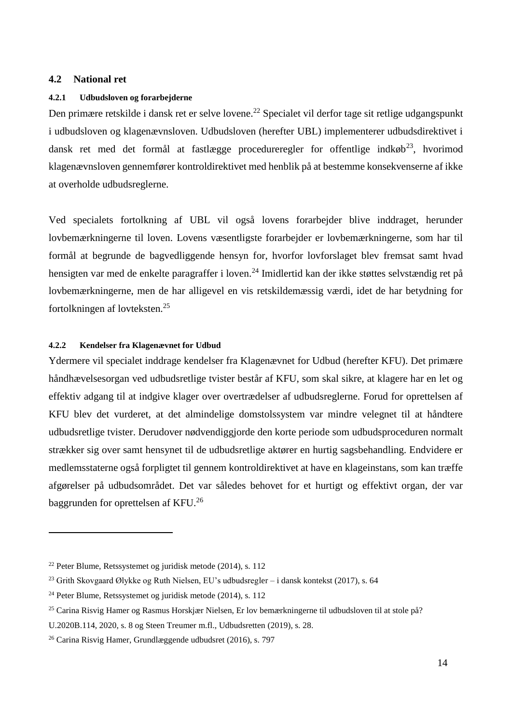#### <span id="page-13-0"></span>**4.2 National ret**

#### <span id="page-13-1"></span>**4.2.1 Udbudsloven og forarbejderne**

Den primære retskilde i dansk ret er selve lovene.<sup>22</sup> Specialet vil derfor tage sit retlige udgangspunkt i udbudsloven og klagenævnsloven. Udbudsloven (herefter UBL) implementerer udbudsdirektivet i dansk ret med det formål at fastlægge procedureregler for offentlige indkøb<sup>23</sup>, hvorimod klagenævnsloven gennemfører kontroldirektivet med henblik på at bestemme konsekvenserne af ikke at overholde udbudsreglerne.

Ved specialets fortolkning af UBL vil også lovens forarbejder blive inddraget, herunder lovbemærkningerne til loven. Lovens væsentligste forarbejder er lovbemærkningerne, som har til formål at begrunde de bagvedliggende hensyn for, hvorfor lovforslaget blev fremsat samt hvad hensigten var med de enkelte paragraffer i loven.<sup>24</sup> Imidlertid kan der ikke støttes selvstændig ret på lovbemærkningerne, men de har alligevel en vis retskildemæssig værdi, idet de har betydning for fortolkningen af lovteksten.<sup>25</sup>

#### <span id="page-13-2"></span>**4.2.2 Kendelser fra Klagenævnet for Udbud**

Ydermere vil specialet inddrage kendelser fra Klagenævnet for Udbud (herefter KFU). Det primære håndhævelsesorgan ved udbudsretlige tvister består af KFU, som skal sikre, at klagere har en let og effektiv adgang til at indgive klager over overtrædelser af udbudsreglerne. Forud for oprettelsen af KFU blev det vurderet, at det almindelige domstolssystem var mindre velegnet til at håndtere udbudsretlige tvister. Derudover nødvendiggjorde den korte periode som udbudsproceduren normalt strækker sig over samt hensynet til de udbudsretlige aktører en hurtig sagsbehandling. Endvidere er medlemsstaterne også forpligtet til gennem kontroldirektivet at have en klageinstans, som kan træffe afgørelser på udbudsområdet. Det var således behovet for et hurtigt og effektivt organ, der var baggrunden for oprettelsen af KFU.<sup>26</sup>

<sup>22</sup> Peter Blume, Retssystemet og juridisk metode (2014), s. 112

<sup>&</sup>lt;sup>23</sup> Grith Skovgaard Ølykke og Ruth Nielsen, EU's udbudsregler – i dansk kontekst (2017), s. 64

<sup>24</sup> Peter Blume, Retssystemet og juridisk metode (2014), s. 112

<sup>25</sup> Carina Risvig Hamer og Rasmus Horskjær Nielsen, Er lov bemærkningerne til udbudsloven til at stole på?

U.2020B.114, 2020, s. 8 og Steen Treumer m.fl., Udbudsretten (2019), s. 28.

<sup>26</sup> Carina Risvig Hamer, Grundlæggende udbudsret (2016), s. 797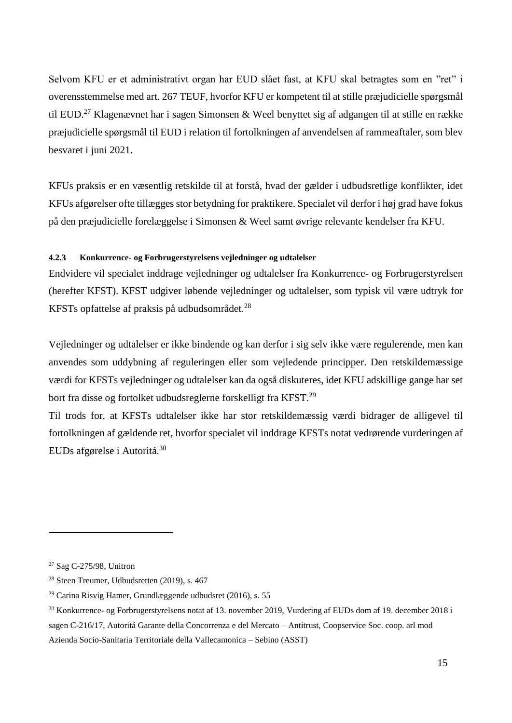Selvom KFU er et administrativt organ har EUD slået fast, at KFU skal betragtes som en "ret" i overensstemmelse med art. 267 TEUF, hvorfor KFU er kompetent til at stille præjudicielle spørgsmål til EUD.<sup>27</sup> Klagenævnet har i sagen Simonsen & Weel benyttet sig af adgangen til at stille en række præjudicielle spørgsmål til EUD i relation til fortolkningen af anvendelsen af rammeaftaler, som blev besvaret i juni 2021.

KFUs praksis er en væsentlig retskilde til at forstå, hvad der gælder i udbudsretlige konflikter, idet KFUs afgørelser ofte tillægges stor betydning for praktikere. Specialet vil derfor i høj grad have fokus på den præjudicielle forelæggelse i Simonsen & Weel samt øvrige relevante kendelser fra KFU.

### <span id="page-14-0"></span>**4.2.3 Konkurrence- og Forbrugerstyrelsens vejledninger og udtalelser**

Endvidere vil specialet inddrage vejledninger og udtalelser fra Konkurrence- og Forbrugerstyrelsen (herefter KFST). KFST udgiver løbende vejledninger og udtalelser, som typisk vil være udtryk for KFSTs opfattelse af praksis på udbudsområdet.<sup>28</sup>

Vejledninger og udtalelser er ikke bindende og kan derfor i sig selv ikke være regulerende, men kan anvendes som uddybning af reguleringen eller som vejledende principper. Den retskildemæssige værdi for KFSTs vejledninger og udtalelser kan da også diskuteres, idet KFU adskillige gange har set bort fra disse og fortolket udbudsreglerne forskelligt fra KFST.<sup>29</sup>

Til trods for, at KFSTs udtalelser ikke har stor retskildemæssig værdi bidrager de alligevel til fortolkningen af gældende ret, hvorfor specialet vil inddrage KFSTs notat vedrørende vurderingen af EUDs afgørelse i Autoritá.<sup>30</sup>

<sup>27</sup> Sag C-275/98, Unitron

<sup>28</sup> Steen Treumer, Udbudsretten (2019), s. 467

<sup>29</sup> Carina Risvig Hamer, Grundlæggende udbudsret (2016), s. 55

<sup>30</sup> Konkurrence- og Forbrugerstyrelsens notat af 13. november 2019, Vurdering af EUDs dom af 19. december 2018 i sagen C-216/17, Autoritá Garante della Concorrenza e del Mercato – Antitrust, Coopservice Soc. coop. arl mod Azienda Socio-Sanitaria Territoriale della Vallecamonica – Sebino (ASST)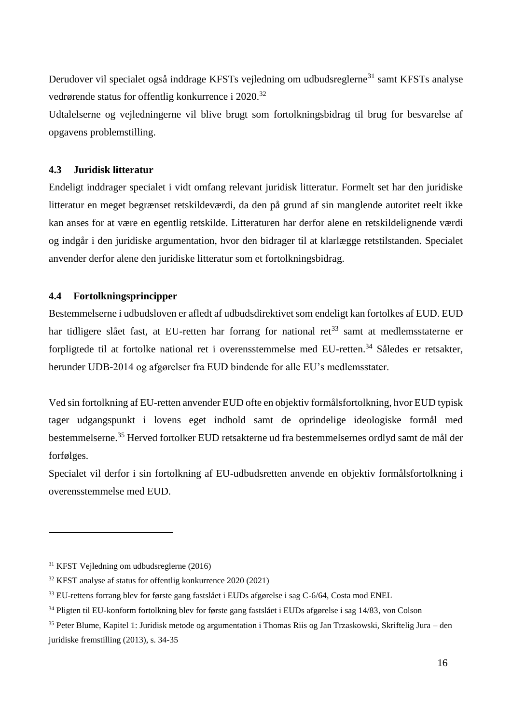Derudover vil specialet også inddrage KFSTs vejledning om udbudsreglerne<sup>31</sup> samt KFSTs analyse vedrørende status for offentlig konkurrence i 2020.<sup>32</sup>

Udtalelserne og vejledningerne vil blive brugt som fortolkningsbidrag til brug for besvarelse af opgavens problemstilling.

# <span id="page-15-0"></span>**4.3 Juridisk litteratur**

Endeligt inddrager specialet i vidt omfang relevant juridisk litteratur. Formelt set har den juridiske litteratur en meget begrænset retskildeværdi, da den på grund af sin manglende autoritet reelt ikke kan anses for at være en egentlig retskilde. Litteraturen har derfor alene en retskildelignende værdi og indgår i den juridiske argumentation, hvor den bidrager til at klarlægge retstilstanden. Specialet anvender derfor alene den juridiske litteratur som et fortolkningsbidrag.

# <span id="page-15-1"></span>**4.4 Fortolkningsprincipper**

Bestemmelserne i udbudsloven er afledt af udbudsdirektivet som endeligt kan fortolkes af EUD. EUD har tidligere slået fast, at EU-retten har forrang for national ret<sup>33</sup> samt at medlemsstaterne er forpligtede til at fortolke national ret i overensstemmelse med EU-retten.<sup>34</sup> Således er retsakter, herunder UDB-2014 og afgørelser fra EUD bindende for alle EU's medlemsstater.

Ved sin fortolkning af EU-retten anvender EUD ofte en objektiv formålsfortolkning, hvor EUD typisk tager udgangspunkt i lovens eget indhold samt de oprindelige ideologiske formål med bestemmelserne.<sup>35</sup> Herved fortolker EUD retsakterne ud fra bestemmelsernes ordlyd samt de mål der forfølges.

Specialet vil derfor i sin fortolkning af EU-udbudsretten anvende en objektiv formålsfortolkning i overensstemmelse med EUD.

<sup>31</sup> KFST Vejledning om udbudsreglerne (2016)

<sup>32</sup> KFST analyse af status for offentlig konkurrence 2020 (2021)

<sup>33</sup> EU-rettens forrang blev for første gang fastslået i EUDs afgørelse i sag C-6/64, Costa mod ENEL

<sup>34</sup> Pligten til EU-konform fortolkning blev for første gang fastslået i EUDs afgørelse i sag 14/83, von Colson

<sup>35</sup> Peter Blume, Kapitel 1: Juridisk metode og argumentation i Thomas Riis og Jan Trzaskowski, Skriftelig Jura – den juridiske fremstilling (2013), s. 34-35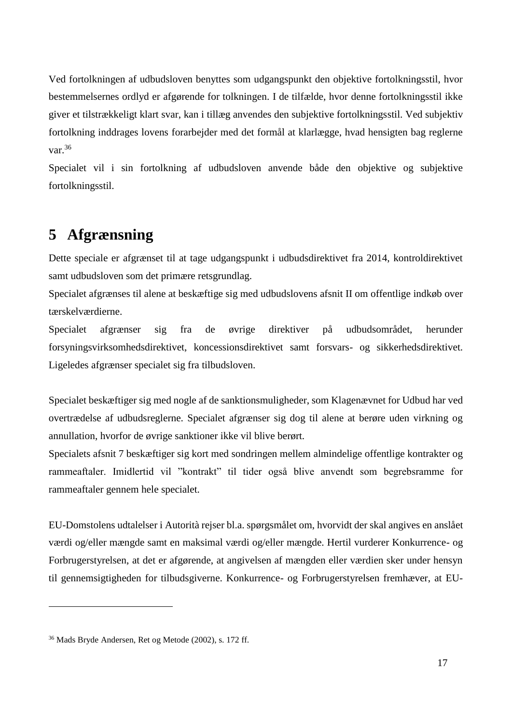Ved fortolkningen af udbudsloven benyttes som udgangspunkt den objektive fortolkningsstil, hvor bestemmelsernes ordlyd er afgørende for tolkningen. I de tilfælde, hvor denne fortolkningsstil ikke giver et tilstrækkeligt klart svar, kan i tillæg anvendes den subjektive fortolkningsstil. Ved subjektiv fortolkning inddrages lovens forarbejder med det formål at klarlægge, hvad hensigten bag reglerne var.<sup>36</sup>

Specialet vil i sin fortolkning af udbudsloven anvende både den objektive og subjektive fortolkningsstil.

# <span id="page-16-0"></span>**5 Afgrænsning**

Dette speciale er afgrænset til at tage udgangspunkt i udbudsdirektivet fra 2014, kontroldirektivet samt udbudsloven som det primære retsgrundlag.

Specialet afgrænses til alene at beskæftige sig med udbudslovens afsnit II om offentlige indkøb over tærskelværdierne.

Specialet afgrænser sig fra de øvrige direktiver på udbudsområdet, herunder forsyningsvirksomhedsdirektivet, koncessionsdirektivet samt forsvars- og sikkerhedsdirektivet. Ligeledes afgrænser specialet sig fra tilbudsloven.

Specialet beskæftiger sig med nogle af de sanktionsmuligheder, som Klagenævnet for Udbud har ved overtrædelse af udbudsreglerne. Specialet afgrænser sig dog til alene at berøre uden virkning og annullation, hvorfor de øvrige sanktioner ikke vil blive berørt.

Specialets afsnit 7 beskæftiger sig kort med sondringen mellem almindelige offentlige kontrakter og rammeaftaler. Imidlertid vil "kontrakt" til tider også blive anvendt som begrebsramme for rammeaftaler gennem hele specialet.

EU-Domstolens udtalelser i Autorità rejser bl.a. spørgsmålet om, hvorvidt der skal angives en anslået værdi og/eller mængde samt en maksimal værdi og/eller mængde. Hertil vurderer Konkurrence- og Forbrugerstyrelsen, at det er afgørende, at angivelsen af mængden eller værdien sker under hensyn til gennemsigtigheden for tilbudsgiverne. Konkurrence- og Forbrugerstyrelsen fremhæver, at EU-

<sup>36</sup> Mads Bryde Andersen, Ret og Metode (2002), s. 172 ff.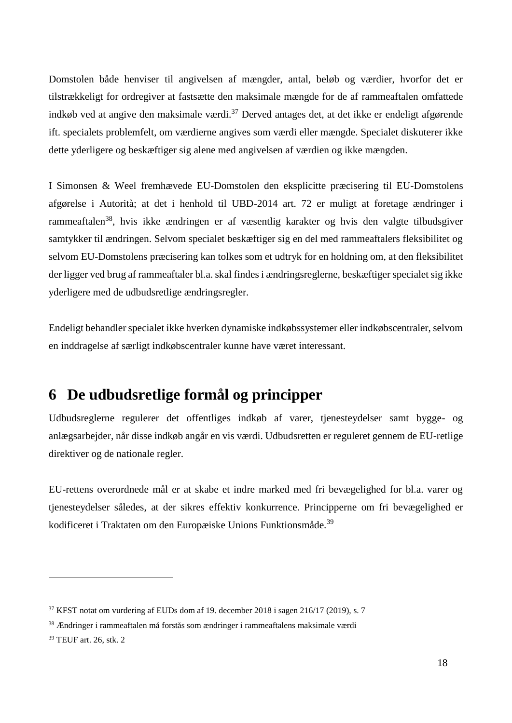Domstolen både henviser til angivelsen af mængder, antal, beløb og værdier, hvorfor det er tilstrækkeligt for ordregiver at fastsætte den maksimale mængde for de af rammeaftalen omfattede indkøb ved at angive den maksimale værdi.<sup>37</sup> Derved antages det, at det ikke er endeligt afgørende ift. specialets problemfelt, om værdierne angives som værdi eller mængde. Specialet diskuterer ikke dette yderligere og beskæftiger sig alene med angivelsen af værdien og ikke mængden.

I Simonsen & Weel fremhævede EU-Domstolen den eksplicitte præcisering til EU-Domstolens afgørelse i Autorità; at det i henhold til UBD-2014 art. 72 er muligt at foretage ændringer i rammeaftalen<sup>38</sup>, hvis ikke ændringen er af væsentlig karakter og hvis den valgte tilbudsgiver samtykker til ændringen. Selvom specialet beskæftiger sig en del med rammeaftalers fleksibilitet og selvom EU-Domstolens præcisering kan tolkes som et udtryk for en holdning om, at den fleksibilitet der ligger ved brug af rammeaftaler bl.a. skal findes i ændringsreglerne, beskæftiger specialet sig ikke yderligere med de udbudsretlige ændringsregler.

Endeligt behandler specialet ikke hverken dynamiske indkøbssystemer eller indkøbscentraler, selvom en inddragelse af særligt indkøbscentraler kunne have været interessant.

# <span id="page-17-0"></span>**6 De udbudsretlige formål og principper**

Udbudsreglerne regulerer det offentliges indkøb af varer, tjenesteydelser samt bygge- og anlægsarbejder, når disse indkøb angår en vis værdi. Udbudsretten er reguleret gennem de EU-retlige direktiver og de nationale regler.

EU-rettens overordnede mål er at skabe et indre marked med fri bevægelighed for bl.a. varer og tjenesteydelser således, at der sikres effektiv konkurrence. Principperne om fri bevægelighed er kodificeret i Traktaten om den Europæiske Unions Funktionsmåde.<sup>39</sup>

 $37$  KFST notat om vurdering af EUDs dom af 19. december 2018 i sagen 216/17 (2019), s. 7

<sup>38</sup> Ændringer i rammeaftalen må forstås som ændringer i rammeaftalens maksimale værdi

<sup>39</sup> TEUF art. 26, stk. 2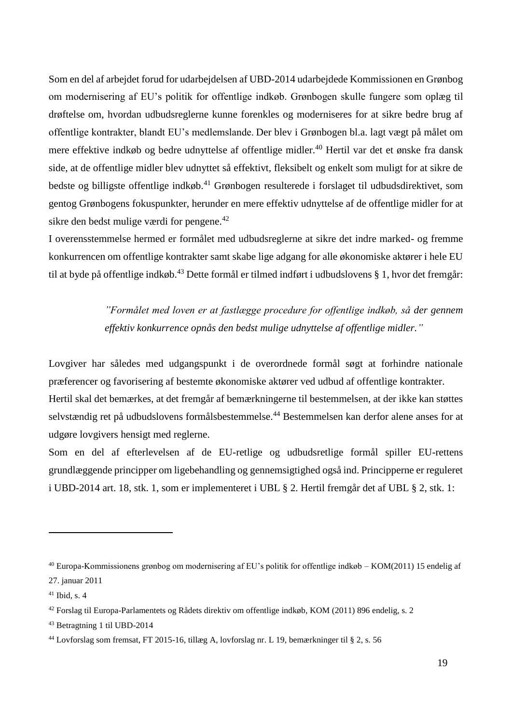Som en del af arbejdet forud for udarbejdelsen af UBD-2014 udarbejdede Kommissionen en Grønbog om modernisering af EU's politik for offentlige indkøb. Grønbogen skulle fungere som oplæg til drøftelse om, hvordan udbudsreglerne kunne forenkles og moderniseres for at sikre bedre brug af offentlige kontrakter, blandt EU's medlemslande. Der blev i Grønbogen bl.a. lagt vægt på målet om mere effektive indkøb og bedre udnyttelse af offentlige midler.<sup>40</sup> Hertil var det et ønske fra dansk side, at de offentlige midler blev udnyttet så effektivt, fleksibelt og enkelt som muligt for at sikre de bedste og billigste offentlige indkøb.<sup>41</sup> Grønbogen resulterede i forslaget til udbudsdirektivet, som gentog Grønbogens fokuspunkter, herunder en mere effektiv udnyttelse af de offentlige midler for at sikre den bedst mulige værdi for pengene.<sup>42</sup>

I overensstemmelse hermed er formålet med udbudsreglerne at sikre det indre marked- og fremme konkurrencen om offentlige kontrakter samt skabe lige adgang for alle økonomiske aktører i hele EU til at byde på offentlige indkøb.<sup>43</sup> Dette formål er tilmed indført i udbudslovens § 1, hvor det fremgår:

> *"Formålet med loven er at fastlægge procedure for offentlige indkøb, så der gennem effektiv konkurrence opnås den bedst mulige udnyttelse af offentlige midler."*

Lovgiver har således med udgangspunkt i de overordnede formål søgt at forhindre nationale præferencer og favorisering af bestemte økonomiske aktører ved udbud af offentlige kontrakter. Hertil skal det bemærkes, at det fremgår af bemærkningerne til bestemmelsen, at der ikke kan støttes selvstændig ret på udbudslovens formålsbestemmelse.<sup>44</sup> Bestemmelsen kan derfor alene anses for at udgøre lovgivers hensigt med reglerne.

Som en del af efterlevelsen af de EU-retlige og udbudsretlige formål spiller EU-rettens grundlæggende principper om ligebehandling og gennemsigtighed også ind. Principperne er reguleret i UBD-2014 art. 18, stk. 1, som er implementeret i UBL § 2. Hertil fremgår det af UBL § 2, stk. 1:

<sup>40</sup> Europa-Kommissionens grønbog om modernisering af EU's politik for offentlige indkøb – KOM(2011) 15 endelig af 27. januar 2011

 $41$  Ibid, s. 4

<sup>42</sup> Forslag til Europa-Parlamentets og Rådets direktiv om offentlige indkøb, KOM (2011) 896 endelig, s. 2

<sup>43</sup> Betragtning 1 til UBD-2014

<sup>44</sup> Lovforslag som fremsat, FT 2015-16, tillæg A, lovforslag nr. L 19, bemærkninger til § 2, s. 56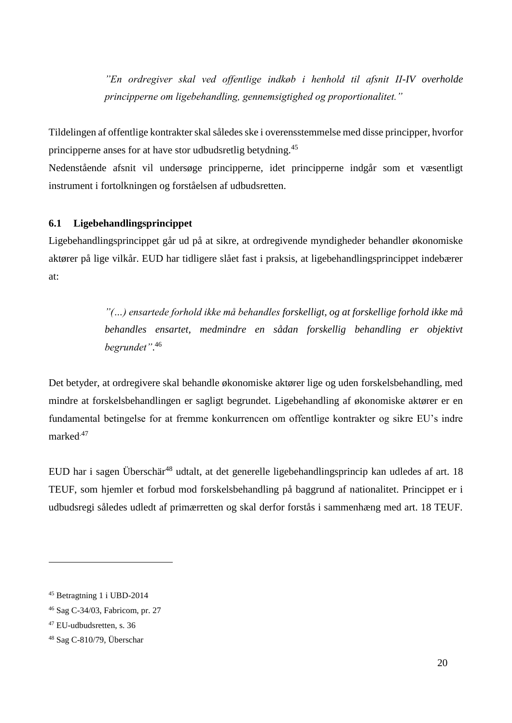*"En ordregiver skal ved offentlige indkøb i henhold til afsnit II-IV overholde principperne om ligebehandling, gennemsigtighed og proportionalitet."*

Tildelingen af offentlige kontrakter skal således ske i overensstemmelse med disse principper, hvorfor principperne anses for at have stor udbudsretlig betydning.<sup>45</sup>

Nedenstående afsnit vil undersøge principperne, idet principperne indgår som et væsentligt instrument i fortolkningen og forståelsen af udbudsretten.

# <span id="page-19-0"></span>**6.1 Ligebehandlingsprincippet**

Ligebehandlingsprincippet går ud på at sikre, at ordregivende myndigheder behandler økonomiske aktører på lige vilkår. EUD har tidligere slået fast i praksis, at ligebehandlingsprincippet indebærer at:

> *"(…) ensartede forhold ikke må behandles forskelligt, og at forskellige forhold ikke må behandles ensartet, medmindre en sådan forskellig behandling er objektivt begrundet"*. 46

Det betyder, at ordregivere skal behandle økonomiske aktører lige og uden forskelsbehandling, med mindre at forskelsbehandlingen er sagligt begrundet. Ligebehandling af økonomiske aktører er en fundamental betingelse for at fremme konkurrencen om offentlige kontrakter og sikre EU's indre marked.47

EUD har i sagen Überschär<sup>48</sup> udtalt, at det generelle ligebehandlingsprincip kan udledes af art. 18 TEUF, som hjemler et forbud mod forskelsbehandling på baggrund af nationalitet. Princippet er i udbudsregi således udledt af primærretten og skal derfor forstås i sammenhæng med art. 18 TEUF.

<sup>45</sup> Betragtning 1 i UBD-2014

<sup>46</sup> Sag C-34/03, Fabricom, pr. 27

<sup>47</sup> EU-udbudsretten, s. 36

<sup>48</sup> Sag C-810/79, Überschar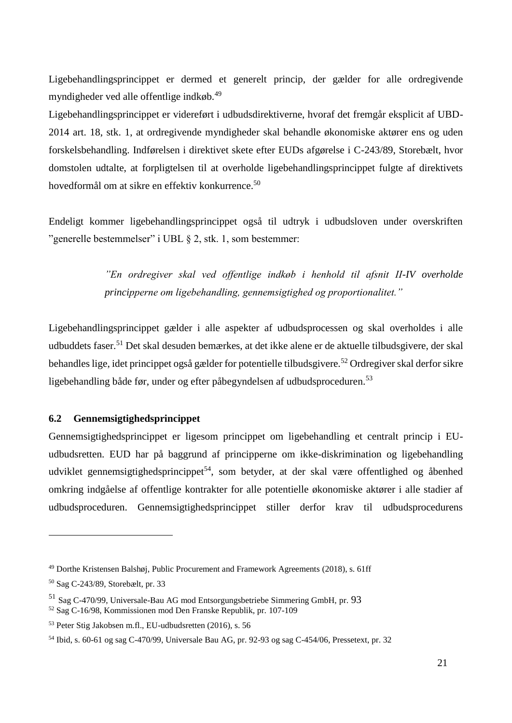Ligebehandlingsprincippet er dermed et generelt princip, der gælder for alle ordregivende myndigheder ved alle offentlige indkøb.<sup>49</sup>

Ligebehandlingsprincippet er videreført i udbudsdirektiverne, hvoraf det fremgår eksplicit af UBD-2014 art. 18, stk. 1, at ordregivende myndigheder skal behandle økonomiske aktører ens og uden forskelsbehandling. Indførelsen i direktivet skete efter EUDs afgørelse i C-243/89, Storebælt, hvor domstolen udtalte, at forpligtelsen til at overholde ligebehandlingsprincippet fulgte af direktivets hovedformål om at sikre en effektiv konkurrence.<sup>50</sup>

Endeligt kommer ligebehandlingsprincippet også til udtryk i udbudsloven under overskriften "generelle bestemmelser" i UBL § 2, stk. 1, som bestemmer:

> *"En ordregiver skal ved offentlige indkøb i henhold til afsnit II-IV overholde principperne om ligebehandling, gennemsigtighed og proportionalitet."*

Ligebehandlingsprincippet gælder i alle aspekter af udbudsprocessen og skal overholdes i alle udbuddets faser.<sup>51</sup> Det skal desuden bemærkes, at det ikke alene er de aktuelle tilbudsgivere, der skal behandles lige, idet princippet også gælder for potentielle tilbudsgivere.<sup>52</sup> Ordregiver skal derfor sikre ligebehandling både før, under og efter påbegyndelsen af udbudsproceduren.<sup>53</sup>

# <span id="page-20-0"></span>**6.2 Gennemsigtighedsprincippet**

Gennemsigtighedsprincippet er ligesom princippet om ligebehandling et centralt princip i EUudbudsretten. EUD har på baggrund af principperne om ikke-diskrimination og ligebehandling udviklet gennemsigtighedsprincippet<sup>54</sup>, som betyder, at der skal være offentlighed og åbenhed omkring indgåelse af offentlige kontrakter for alle potentielle økonomiske aktører i alle stadier af udbudsproceduren. Gennemsigtighedsprincippet stiller derfor krav til udbudsprocedurens

<sup>49</sup> Dorthe Kristensen Balshøj, Public Procurement and Framework Agreements (2018), s. 61ff

<sup>50</sup> Sag C-243/89, Storebælt, pr. 33

<sup>51</sup> Sag C-470/99, Universale-Bau AG mod Entsorgungsbetriebe Simmering GmbH, pr. 93

<sup>52</sup> Sag C-16/98, Kommissionen mod Den Franske Republik, pr. 107-109

<sup>53</sup> Peter Stig Jakobsen m.fl., EU-udbudsretten (2016), s. 56

<sup>54</sup> Ibid, s. 60-61 og sag C-470/99, Universale Bau AG, pr. 92-93 og sag C-454/06, Pressetext, pr. 32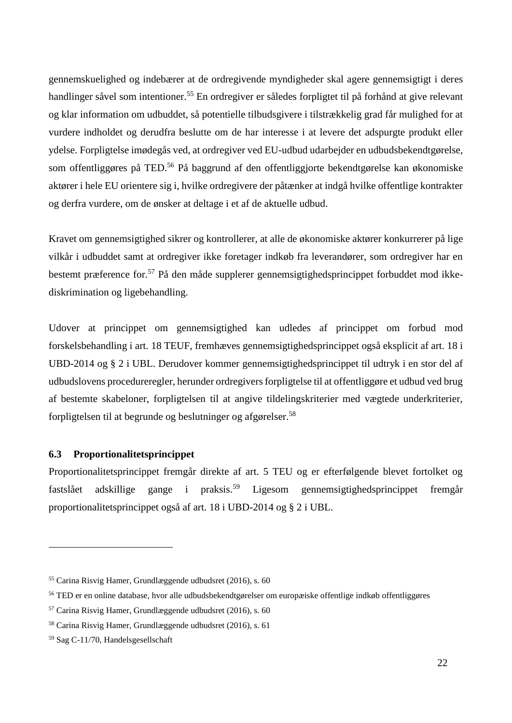gennemskuelighed og indebærer at de ordregivende myndigheder skal agere gennemsigtigt i deres handlinger såvel som intentioner.<sup>55</sup> En ordregiver er således forpligtet til på forhånd at give relevant og klar information om udbuddet, så potentielle tilbudsgivere i tilstrækkelig grad får mulighed for at vurdere indholdet og derudfra beslutte om de har interesse i at levere det adspurgte produkt eller ydelse. Forpligtelse imødegås ved, at ordregiver ved EU-udbud udarbejder en udbudsbekendtgørelse, som offentliggøres på TED.<sup>56</sup> På baggrund af den offentliggjorte bekendtgørelse kan økonomiske aktører i hele EU orientere sig i, hvilke ordregivere der påtænker at indgå hvilke offentlige kontrakter og derfra vurdere, om de ønsker at deltage i et af de aktuelle udbud.

Kravet om gennemsigtighed sikrer og kontrollerer, at alle de økonomiske aktører konkurrerer på lige vilkår i udbuddet samt at ordregiver ikke foretager indkøb fra leverandører, som ordregiver har en bestemt præference for.<sup>57</sup> På den måde supplerer gennemsigtighedsprincippet forbuddet mod ikkediskrimination og ligebehandling.

Udover at princippet om gennemsigtighed kan udledes af princippet om forbud mod forskelsbehandling i art. 18 TEUF, fremhæves gennemsigtighedsprincippet også eksplicit af art. 18 i UBD-2014 og § 2 i UBL. Derudover kommer gennemsigtighedsprincippet til udtryk i en stor del af udbudslovens procedureregler, herunder ordregivers forpligtelse til at offentliggøre et udbud ved brug af bestemte skabeloner, forpligtelsen til at angive tildelingskriterier med vægtede underkriterier, forpligtelsen til at begrunde og beslutninger og afgørelser.<sup>58</sup>

#### <span id="page-21-0"></span>**6.3 Proportionalitetsprincippet**

Proportionalitetsprincippet fremgår direkte af art. 5 TEU og er efterfølgende blevet fortolket og fastslået adskillige gange i praksis.<sup>59</sup> Ligesom gennemsigtighedsprincippet fremgår proportionalitetsprincippet også af art. 18 i UBD-2014 og § 2 i UBL.

<sup>55</sup> Carina Risvig Hamer, Grundlæggende udbudsret (2016), s. 60

<sup>56</sup> TED er en online database, hvor alle udbudsbekendtgørelser om europæiske offentlige indkøb offentliggøres

<sup>57</sup> Carina Risvig Hamer, Grundlæggende udbudsret (2016), s. 60

<sup>58</sup> Carina Risvig Hamer, Grundlæggende udbudsret (2016), s. 61

<sup>59</sup> Sag C-11/70, Handelsgesellschaft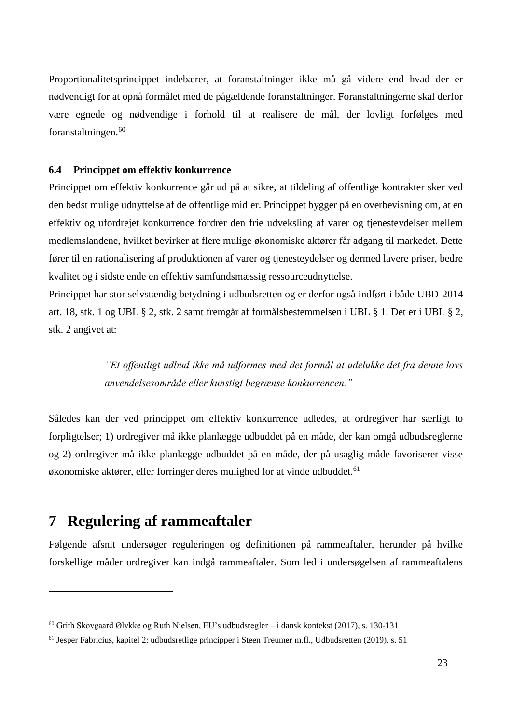Proportionalitetsprincippet indebærer, at foranstaltninger ikke må gå videre end hvad der er nødvendigt for at opnå formålet med de pågældende foranstaltninger. Foranstaltningerne skal derfor være egnede og nødvendige i forhold til at realisere de mål, der lovligt forfølges med foranstaltningen.<sup>60</sup>

### <span id="page-22-0"></span>**6.4 Princippet om effektiv konkurrence**

Princippet om effektiv konkurrence går ud på at sikre, at tildeling af offentlige kontrakter sker ved den bedst mulige udnyttelse af de offentlige midler. Princippet bygger på en overbevisning om, at en effektiv og ufordrejet konkurrence fordrer den frie udveksling af varer og tjenesteydelser mellem medlemslandene, hvilket bevirker at flere mulige økonomiske aktører får adgang til markedet. Dette fører til en rationalisering af produktionen af varer og tjenesteydelser og dermed lavere priser, bedre kvalitet og i sidste ende en effektiv samfundsmæssig ressourceudnyttelse.

Princippet har stor selvstændig betydning i udbudsretten og er derfor også indført i både UBD-2014 art. 18, stk. 1 og UBL § 2, stk. 2 samt fremgår af formålsbestemmelsen i UBL § 1. Det er i UBL § 2, stk. 2 angivet at:

> *"Et offentligt udbud ikke må udformes med det formål at udelukke det fra denne lovs anvendelsesområde eller kunstigt begrænse konkurrencen."*

Således kan der ved princippet om effektiv konkurrence udledes, at ordregiver har særligt to forpligtelser; 1) ordregiver må ikke planlægge udbuddet på en måde, der kan omgå udbudsreglerne og 2) ordregiver må ikke planlægge udbuddet på en måde, der på usaglig måde favoriserer visse økonomiske aktører, eller forringer deres mulighed for at vinde udbuddet.<sup>61</sup>

# <span id="page-22-1"></span>**7 Regulering af rammeaftaler**

1

Følgende afsnit undersøger reguleringen og definitionen på rammeaftaler, herunder på hvilke forskellige måder ordregiver kan indgå rammeaftaler. Som led i undersøgelsen af rammeaftalens

<sup>60</sup> Grith Skovgaard Ølykke og Ruth Nielsen, EU's udbudsregler – i dansk kontekst (2017), s. 130-131

<sup>61</sup> Jesper Fabricius, kapitel 2: udbudsretlige principper i Steen Treumer m.fl., Udbudsretten (2019), s. 51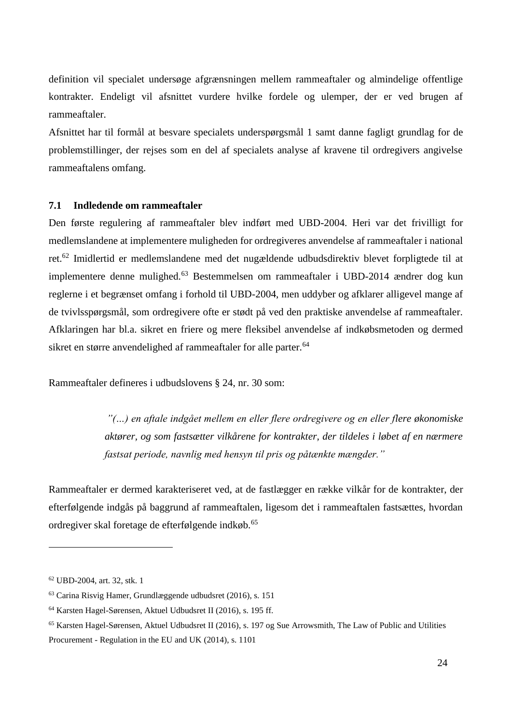definition vil specialet undersøge afgrænsningen mellem rammeaftaler og almindelige offentlige kontrakter. Endeligt vil afsnittet vurdere hvilke fordele og ulemper, der er ved brugen af rammeaftaler.

Afsnittet har til formål at besvare specialets underspørgsmål 1 samt danne fagligt grundlag for de problemstillinger, der rejses som en del af specialets analyse af kravene til ordregivers angivelse rammeaftalens omfang.

### <span id="page-23-0"></span>**7.1 Indledende om rammeaftaler**

Den første regulering af rammeaftaler blev indført med UBD-2004. Heri var det frivilligt for medlemslandene at implementere muligheden for ordregiveres anvendelse af rammeaftaler i national ret.<sup>62</sup> Imidlertid er medlemslandene med det nugældende udbudsdirektiv blevet forpligtede til at implementere denne mulighed.<sup>63</sup> Bestemmelsen om rammeaftaler i UBD-2014 ændrer dog kun reglerne i et begrænset omfang i forhold til UBD-2004, men uddyber og afklarer alligevel mange af de tvivlsspørgsmål, som ordregivere ofte er stødt på ved den praktiske anvendelse af rammeaftaler. Afklaringen har bl.a. sikret en friere og mere fleksibel anvendelse af indkøbsmetoden og dermed sikret en større anvendelighed af rammeaftaler for alle parter.<sup>64</sup>

Rammeaftaler defineres i udbudslovens § 24, nr. 30 som:

*"(…) en aftale indgået mellem en eller flere ordregivere og en eller flere økonomiske aktører, og som fastsætter vilkårene for kontrakter, der tildeles i løbet af en nærmere fastsat periode, navnlig med hensyn til pris og påtænkte mængder."*

Rammeaftaler er dermed karakteriseret ved, at de fastlægger en række vilkår for de kontrakter, der efterfølgende indgås på baggrund af rammeaftalen, ligesom det i rammeaftalen fastsættes, hvordan ordregiver skal foretage de efterfølgende indkøb.<sup>65</sup>

<sup>62</sup> UBD-2004, art. 32, stk. 1

<sup>63</sup> Carina Risvig Hamer, Grundlæggende udbudsret (2016), s. 151

<sup>64</sup> Karsten Hagel-Sørensen, Aktuel Udbudsret II (2016), s. 195 ff.

<sup>65</sup> Karsten Hagel-Sørensen, Aktuel Udbudsret II (2016), s. 197 og Sue Arrowsmith, The Law of Public and Utilities Procurement - Regulation in the EU and UK (2014), s. 1101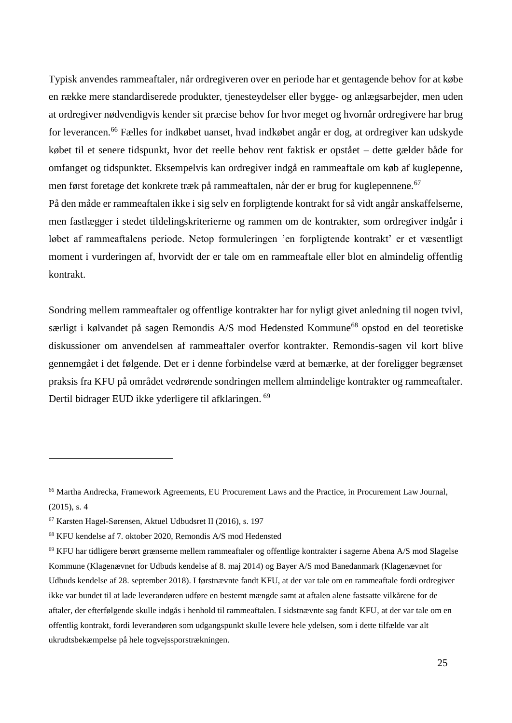Typisk anvendes rammeaftaler, når ordregiveren over en periode har et gentagende behov for at købe en række mere standardiserede produkter, tjenesteydelser eller bygge- og anlægsarbejder, men uden at ordregiver nødvendigvis kender sit præcise behov for hvor meget og hvornår ordregivere har brug for leverancen.<sup>66</sup> Fælles for indkøbet uanset, hvad indkøbet angår er dog, at ordregiver kan udskyde købet til et senere tidspunkt, hvor det reelle behov rent faktisk er opstået – dette gælder både for omfanget og tidspunktet. Eksempelvis kan ordregiver indgå en rammeaftale om køb af kuglepenne, men først foretage det konkrete træk på rammeaftalen, når der er brug for kuglepennene.<sup>67</sup> På den måde er rammeaftalen ikke i sig selv en forpligtende kontrakt for så vidt angår anskaffelserne, men fastlægger i stedet tildelingskriterierne og rammen om de kontrakter, som ordregiver indgår i løbet af rammeaftalens periode. Netop formuleringen 'en forpligtende kontrakt' er et væsentligt moment i vurderingen af, hvorvidt der er tale om en rammeaftale eller blot en almindelig offentlig kontrakt.

Sondring mellem rammeaftaler og offentlige kontrakter har for nyligt givet anledning til nogen tvivl, særligt i kølvandet på sagen Remondis A/S mod Hedensted Kommune<sup>68</sup> opstod en del teoretiske diskussioner om anvendelsen af rammeaftaler overfor kontrakter. Remondis-sagen vil kort blive gennemgået i det følgende. Det er i denne forbindelse værd at bemærke, at der foreligger begrænset praksis fra KFU på området vedrørende sondringen mellem almindelige kontrakter og rammeaftaler. Dertil bidrager EUD ikke yderligere til afklaringen. <sup>69</sup>

<sup>66</sup> Martha Andrecka, Framework Agreements, EU Procurement Laws and the Practice, in Procurement Law Journal, (2015), s. 4

<sup>67</sup> Karsten Hagel-Sørensen, Aktuel Udbudsret II (2016), s. 197

<sup>68</sup> KFU kendelse af 7. oktober 2020, Remondis A/S mod Hedensted

<sup>69</sup> KFU har tidligere berørt grænserne mellem rammeaftaler og offentlige kontrakter i sagerne Abena A/S mod Slagelse Kommune (Klagenævnet for Udbuds kendelse af 8. maj 2014) og Bayer A/S mod Banedanmark (Klagenævnet for Udbuds kendelse af 28. september 2018). I førstnævnte fandt KFU, at der var tale om en rammeaftale fordi ordregiver ikke var bundet til at lade leverandøren udføre en bestemt mængde samt at aftalen alene fastsatte vilkårene for de aftaler, der efterfølgende skulle indgås i henhold til rammeaftalen. I sidstnævnte sag fandt KFU, at der var tale om en offentlig kontrakt, fordi leverandøren som udgangspunkt skulle levere hele ydelsen, som i dette tilfælde var alt ukrudtsbekæmpelse på hele togvejssporstrækningen.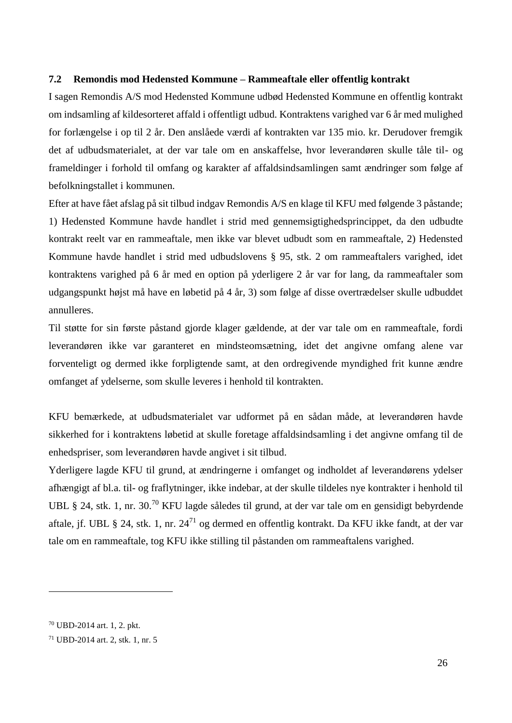#### <span id="page-25-0"></span>**7.2 Remondis mod Hedensted Kommune – Rammeaftale eller offentlig kontrakt**

I sagen Remondis A/S mod Hedensted Kommune udbød Hedensted Kommune en offentlig kontrakt om indsamling af kildesorteret affald i offentligt udbud. Kontraktens varighed var 6 år med mulighed for forlængelse i op til 2 år. Den anslåede værdi af kontrakten var 135 mio. kr. Derudover fremgik det af udbudsmaterialet, at der var tale om en anskaffelse, hvor leverandøren skulle tåle til- og frameldinger i forhold til omfang og karakter af affaldsindsamlingen samt ændringer som følge af befolkningstallet i kommunen.

Efter at have fået afslag på sit tilbud indgav Remondis A/S en klage til KFU med følgende 3 påstande; 1) Hedensted Kommune havde handlet i strid med gennemsigtighedsprincippet, da den udbudte kontrakt reelt var en rammeaftale, men ikke var blevet udbudt som en rammeaftale, 2) Hedensted Kommune havde handlet i strid med udbudslovens § 95, stk. 2 om rammeaftalers varighed, idet kontraktens varighed på 6 år med en option på yderligere 2 år var for lang, da rammeaftaler som udgangspunkt højst må have en løbetid på 4 år, 3) som følge af disse overtrædelser skulle udbuddet annulleres.

Til støtte for sin første påstand gjorde klager gældende, at der var tale om en rammeaftale, fordi leverandøren ikke var garanteret en mindsteomsætning, idet det angivne omfang alene var forventeligt og dermed ikke forpligtende samt, at den ordregivende myndighed frit kunne ændre omfanget af ydelserne, som skulle leveres i henhold til kontrakten.

KFU bemærkede, at udbudsmaterialet var udformet på en sådan måde, at leverandøren havde sikkerhed for i kontraktens løbetid at skulle foretage affaldsindsamling i det angivne omfang til de enhedspriser, som leverandøren havde angivet i sit tilbud.

Yderligere lagde KFU til grund, at ændringerne i omfanget og indholdet af leverandørens ydelser afhængigt af bl.a. til- og fraflytninger, ikke indebar, at der skulle tildeles nye kontrakter i henhold til UBL § 24, stk. 1, nr. 30.<sup>70</sup> KFU lagde således til grund, at der var tale om en gensidigt bebyrdende aftale, jf. UBL § 24, stk. 1, nr. 24<sup>71</sup> og dermed en offentlig kontrakt. Da KFU ikke fandt, at der var tale om en rammeaftale, tog KFU ikke stilling til påstanden om rammeaftalens varighed.

<sup>70</sup> UBD-2014 art. 1, 2. pkt.

<sup>71</sup> UBD-2014 art. 2, stk. 1, nr. 5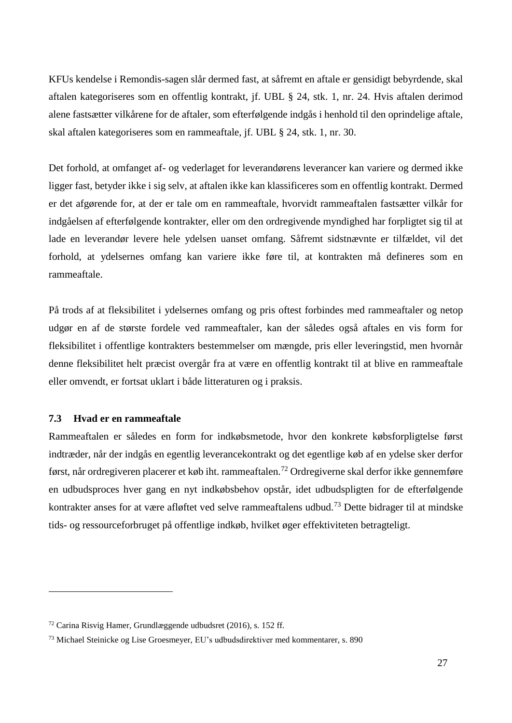KFUs kendelse i Remondis-sagen slår dermed fast, at såfremt en aftale er gensidigt bebyrdende, skal aftalen kategoriseres som en offentlig kontrakt, jf. UBL § 24, stk. 1, nr. 24. Hvis aftalen derimod alene fastsætter vilkårene for de aftaler, som efterfølgende indgås i henhold til den oprindelige aftale, skal aftalen kategoriseres som en rammeaftale, jf. UBL § 24, stk. 1, nr. 30.

Det forhold, at omfanget af- og vederlaget for leverandørens leverancer kan variere og dermed ikke ligger fast, betyder ikke i sig selv, at aftalen ikke kan klassificeres som en offentlig kontrakt. Dermed er det afgørende for, at der er tale om en rammeaftale, hvorvidt rammeaftalen fastsætter vilkår for indgåelsen af efterfølgende kontrakter, eller om den ordregivende myndighed har forpligtet sig til at lade en leverandør levere hele ydelsen uanset omfang. Såfremt sidstnævnte er tilfældet, vil det forhold, at ydelsernes omfang kan variere ikke føre til, at kontrakten må defineres som en rammeaftale.

På trods af at fleksibilitet i ydelsernes omfang og pris oftest forbindes med rammeaftaler og netop udgør en af de største fordele ved rammeaftaler, kan der således også aftales en vis form for fleksibilitet i offentlige kontrakters bestemmelser om mængde, pris eller leveringstid, men hvornår denne fleksibilitet helt præcist overgår fra at være en offentlig kontrakt til at blive en rammeaftale eller omvendt, er fortsat uklart i både litteraturen og i praksis.

# <span id="page-26-0"></span>**7.3 Hvad er en rammeaftale**

1

Rammeaftalen er således en form for indkøbsmetode, hvor den konkrete købsforpligtelse først indtræder, når der indgås en egentlig leverancekontrakt og det egentlige køb af en ydelse sker derfor først, når ordregiveren placerer et køb iht. rammeaftalen.<sup>72</sup> Ordregiverne skal derfor ikke gennemføre en udbudsproces hver gang en nyt indkøbsbehov opstår, idet udbudspligten for de efterfølgende kontrakter anses for at være afløftet ved selve rammeaftalens udbud.<sup>73</sup> Dette bidrager til at mindske tids- og ressourceforbruget på offentlige indkøb, hvilket øger effektiviteten betragteligt.

<sup>72</sup> Carina Risvig Hamer, Grundlæggende udbudsret (2016), s. 152 ff.

<sup>73</sup> Michael Steinicke og Lise Groesmeyer, EU's udbudsdirektiver med kommentarer, s. 890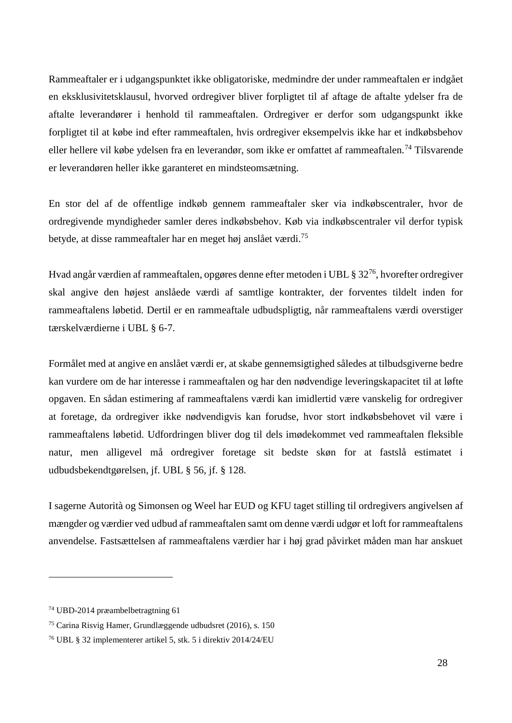Rammeaftaler er i udgangspunktet ikke obligatoriske, medmindre der under rammeaftalen er indgået en eksklusivitetsklausul, hvorved ordregiver bliver forpligtet til af aftage de aftalte ydelser fra de aftalte leverandører i henhold til rammeaftalen. Ordregiver er derfor som udgangspunkt ikke forpligtet til at købe ind efter rammeaftalen, hvis ordregiver eksempelvis ikke har et indkøbsbehov eller hellere vil købe ydelsen fra en leverandør, som ikke er omfattet af rammeaftalen.<sup>74</sup> Tilsvarende er leverandøren heller ikke garanteret en mindsteomsætning.

En stor del af de offentlige indkøb gennem rammeaftaler sker via indkøbscentraler, hvor de ordregivende myndigheder samler deres indkøbsbehov. Køb via indkøbscentraler vil derfor typisk betyde, at disse rammeaftaler har en meget høj anslået værdi.<sup>75</sup>

Hvad angår værdien af rammeaftalen, opgøres denne efter metoden i UBL § 32<sup>76</sup>, hvorefter ordregiver skal angive den højest anslåede værdi af samtlige kontrakter, der forventes tildelt inden for rammeaftalens løbetid. Dertil er en rammeaftale udbudspligtig, når rammeaftalens værdi overstiger tærskelværdierne i UBL § 6-7.

Formålet med at angive en anslået værdi er, at skabe gennemsigtighed således at tilbudsgiverne bedre kan vurdere om de har interesse i rammeaftalen og har den nødvendige leveringskapacitet til at løfte opgaven. En sådan estimering af rammeaftalens værdi kan imidlertid være vanskelig for ordregiver at foretage, da ordregiver ikke nødvendigvis kan forudse, hvor stort indkøbsbehovet vil være i rammeaftalens løbetid. Udfordringen bliver dog til dels imødekommet ved rammeaftalen fleksible natur, men alligevel må ordregiver foretage sit bedste skøn for at fastslå estimatet i udbudsbekendtgørelsen, jf. UBL § 56, jf. § 128.

I sagerne Autorità og Simonsen og Weel har EUD og KFU taget stilling til ordregivers angivelsen af mængder og værdier ved udbud af rammeaftalen samt om denne værdi udgør et loft for rammeaftalens anvendelse. Fastsættelsen af rammeaftalens værdier har i høj grad påvirket måden man har anskuet

<sup>74</sup> UBD-2014 præambelbetragtning 61

<sup>75</sup> Carina Risvig Hamer, Grundlæggende udbudsret (2016), s. 150

<sup>76</sup> UBL § 32 implementerer artikel 5, stk. 5 i direktiv 2014/24/EU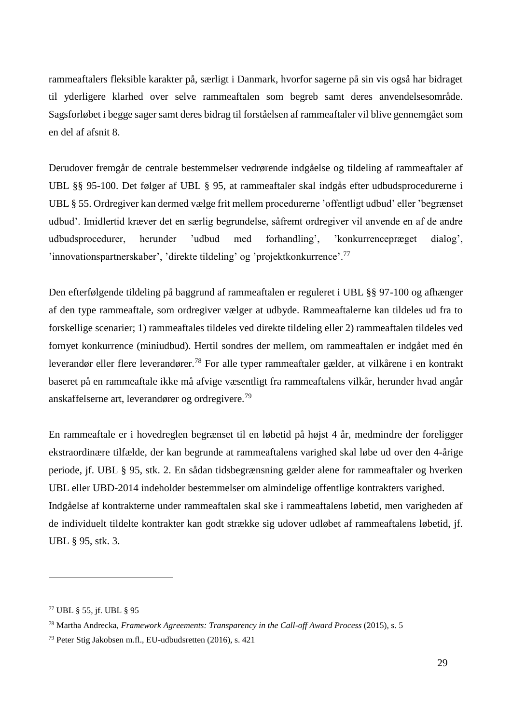rammeaftalers fleksible karakter på, særligt i Danmark, hvorfor sagerne på sin vis også har bidraget til yderligere klarhed over selve rammeaftalen som begreb samt deres anvendelsesområde. Sagsforløbet i begge sager samt deres bidrag til forståelsen af rammeaftaler vil blive gennemgået som en del af afsnit 8.

Derudover fremgår de centrale bestemmelser vedrørende indgåelse og tildeling af rammeaftaler af UBL §§ 95-100. Det følger af UBL § 95, at rammeaftaler skal indgås efter udbudsprocedurerne i UBL § 55. Ordregiver kan dermed vælge frit mellem procedurerne 'offentligt udbud' eller 'begrænset udbud'. Imidlertid kræver det en særlig begrundelse, såfremt ordregiver vil anvende en af de andre udbudsprocedurer, herunder 'udbud med forhandling', 'konkurrencepræget dialog', 'innovationspartnerskaber', 'direkte tildeling' og 'projektkonkurrence'.<sup>77</sup>

Den efterfølgende tildeling på baggrund af rammeaftalen er reguleret i UBL §§ 97-100 og afhænger af den type rammeaftale, som ordregiver vælger at udbyde. Rammeaftalerne kan tildeles ud fra to forskellige scenarier; 1) rammeaftales tildeles ved direkte tildeling eller 2) rammeaftalen tildeles ved fornyet konkurrence (miniudbud). Hertil sondres der mellem, om rammeaftalen er indgået med én leverandør eller flere leverandører.<sup>78</sup> For alle typer rammeaftaler gælder, at vilkårene i en kontrakt baseret på en rammeaftale ikke må afvige væsentligt fra rammeaftalens vilkår, herunder hvad angår anskaffelserne art, leverandører og ordregivere.<sup>79</sup>

En rammeaftale er i hovedreglen begrænset til en løbetid på højst 4 år, medmindre der foreligger ekstraordinære tilfælde, der kan begrunde at rammeaftalens varighed skal løbe ud over den 4-årige periode, jf. UBL § 95, stk. 2. En sådan tidsbegrænsning gælder alene for rammeaftaler og hverken UBL eller UBD-2014 indeholder bestemmelser om almindelige offentlige kontrakters varighed. Indgåelse af kontrakterne under rammeaftalen skal ske i rammeaftalens løbetid, men varigheden af de individuelt tildelte kontrakter kan godt strække sig udover udløbet af rammeaftalens løbetid, jf. UBL § 95, stk. 3.

<sup>77</sup> UBL § 55, jf. UBL § 95

<sup>78</sup> Martha Andrecka, *Framework Agreements: Transparency in the Call-off Award Process* (2015), s. 5

<sup>79</sup> Peter Stig Jakobsen m.fl., EU-udbudsretten (2016), s. 421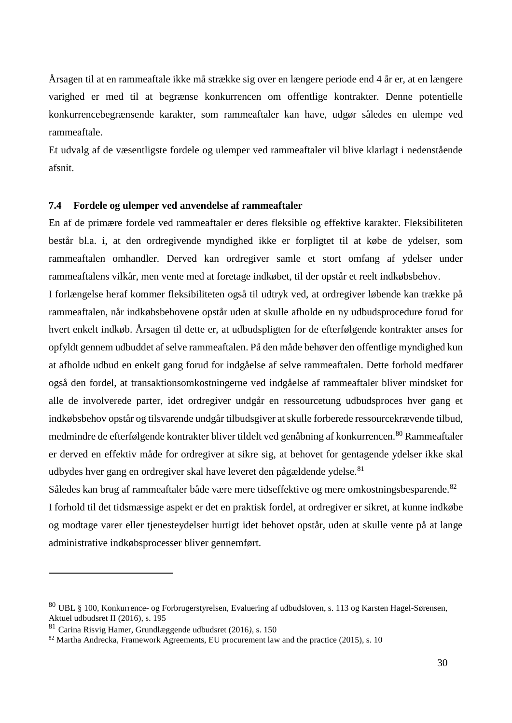Årsagen til at en rammeaftale ikke må strække sig over en længere periode end 4 år er, at en længere varighed er med til at begrænse konkurrencen om offentlige kontrakter. Denne potentielle konkurrencebegrænsende karakter, som rammeaftaler kan have, udgør således en ulempe ved rammeaftale.

Et udvalg af de væsentligste fordele og ulemper ved rammeaftaler vil blive klarlagt i nedenstående afsnit.

### <span id="page-29-0"></span>**7.4 Fordele og ulemper ved anvendelse af rammeaftaler**

En af de primære fordele ved rammeaftaler er deres fleksible og effektive karakter. Fleksibiliteten består bl.a. i, at den ordregivende myndighed ikke er forpligtet til at købe de ydelser, som rammeaftalen omhandler. Derved kan ordregiver samle et stort omfang af ydelser under rammeaftalens vilkår, men vente med at foretage indkøbet, til der opstår et reelt indkøbsbehov.

I forlængelse heraf kommer fleksibiliteten også til udtryk ved, at ordregiver løbende kan trække på rammeaftalen, når indkøbsbehovene opstår uden at skulle afholde en ny udbudsprocedure forud for hvert enkelt indkøb. Årsagen til dette er, at udbudspligten for de efterfølgende kontrakter anses for opfyldt gennem udbuddet af selve rammeaftalen. På den måde behøver den offentlige myndighed kun at afholde udbud en enkelt gang forud for indgåelse af selve rammeaftalen. Dette forhold medfører også den fordel, at transaktionsomkostningerne ved indgåelse af rammeaftaler bliver mindsket for alle de involverede parter, idet ordregiver undgår en ressourcetung udbudsproces hver gang et indkøbsbehov opstår og tilsvarende undgår tilbudsgiver at skulle forberede ressourcekrævende tilbud, medmindre de efterfølgende kontrakter bliver tildelt ved genåbning af konkurrencen.<sup>80</sup> Rammeaftaler er derved en effektiv måde for ordregiver at sikre sig, at behovet for gentagende ydelser ikke skal udbydes hver gang en ordregiver skal have leveret den pågældende ydelse.<sup>81</sup>

Således kan brug af rammeaftaler både være mere tidseffektive og mere omkostningsbesparende.<sup>82</sup> I forhold til det tidsmæssige aspekt er det en praktisk fordel, at ordregiver er sikret, at kunne indkøbe og modtage varer eller tjenesteydelser hurtigt idet behovet opstår, uden at skulle vente på at lange administrative indkøbsprocesser bliver gennemført.

<sup>80</sup> UBL § 100, Konkurrence- og Forbrugerstyrelsen, Evaluering af udbudsloven, s. 113 og Karsten Hagel-Sørensen, Aktuel udbudsret II (2016)*,* s. 195

<sup>81</sup> Carina Risvig Hamer, Grundlæggende udbudsret (2016*)*, s. 150

<sup>82</sup> Martha Andrecka, Framework Agreements, EU procurement law and the practice (2015), s. 10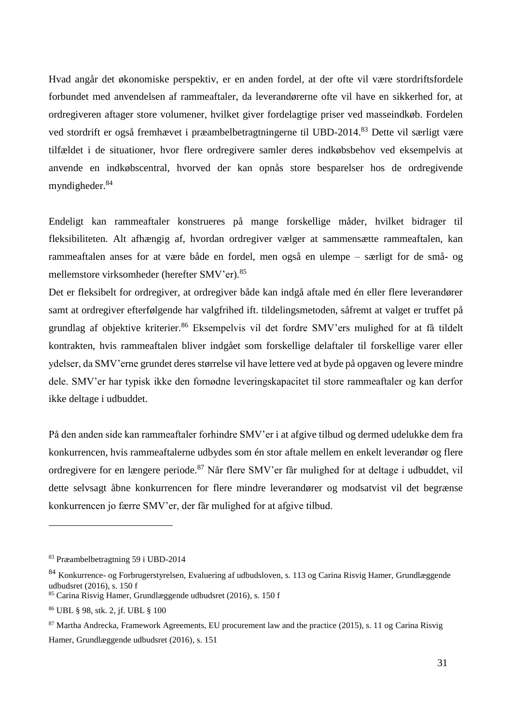Hvad angår det økonomiske perspektiv, er en anden fordel, at der ofte vil være stordriftsfordele forbundet med anvendelsen af rammeaftaler, da leverandørerne ofte vil have en sikkerhed for, at ordregiveren aftager store volumener, hvilket giver fordelagtige priser ved masseindkøb. Fordelen ved stordrift er også fremhævet i præambelbetragtningerne til UBD-2014.<sup>83</sup> Dette vil særligt være tilfældet i de situationer, hvor flere ordregivere samler deres indkøbsbehov ved eksempelvis at anvende en indkøbscentral, hvorved der kan opnås store besparelser hos de ordregivende myndigheder.<sup>84</sup>

Endeligt kan rammeaftaler konstrueres på mange forskellige måder, hvilket bidrager til fleksibiliteten. Alt afhængig af, hvordan ordregiver vælger at sammensætte rammeaftalen, kan rammeaftalen anses for at være både en fordel, men også en ulempe – særligt for de små- og mellemstore virksomheder (herefter SMV'er). 85

Det er fleksibelt for ordregiver, at ordregiver både kan indgå aftale med én eller flere leverandører samt at ordregiver efterfølgende har valgfrihed ift. tildelingsmetoden, såfremt at valget er truffet på grundlag af objektive kriterier.<sup>86</sup> Eksempelvis vil det fordre SMV'ers mulighed for at få tildelt kontrakten, hvis rammeaftalen bliver indgået som forskellige delaftaler til forskellige varer eller ydelser, da SMV'erne grundet deres størrelse vil have lettere ved at byde på opgaven og levere mindre dele. SMV'er har typisk ikke den fornødne leveringskapacitet til store rammeaftaler og kan derfor ikke deltage i udbuddet.

På den anden side kan rammeaftaler forhindre SMV'er i at afgive tilbud og dermed udelukke dem fra konkurrencen, hvis rammeaftalerne udbydes som én stor aftale mellem en enkelt leverandør og flere ordregivere for en længere periode.<sup>87</sup> Når flere SMV'er får mulighed for at deltage i udbuddet, vil dette selvsagt åbne konkurrencen for flere mindre leverandører og modsatvist vil det begrænse konkurrencen jo færre SMV'er, der får mulighed for at afgive tilbud.

<sup>83</sup> Præambelbetragtning 59 i UBD-2014

<sup>84</sup> Konkurrence- og Forbrugerstyrelsen, Evaluering af udbudsloven, s. 113 og Carina Risvig Hamer, Grundlæggende udbudsret (2016), s. 150 f

<sup>85</sup> Carina Risvig Hamer, Grundlæggende udbudsret (2016), s. 150 f

<sup>86</sup> UBL § 98, stk. 2, jf. UBL § 100

<sup>87</sup> Martha Andrecka, Framework Agreements, EU procurement law and the practice (2015), s. 11 og Carina Risvig Hamer, Grundlæggende udbudsret (2016), s. 151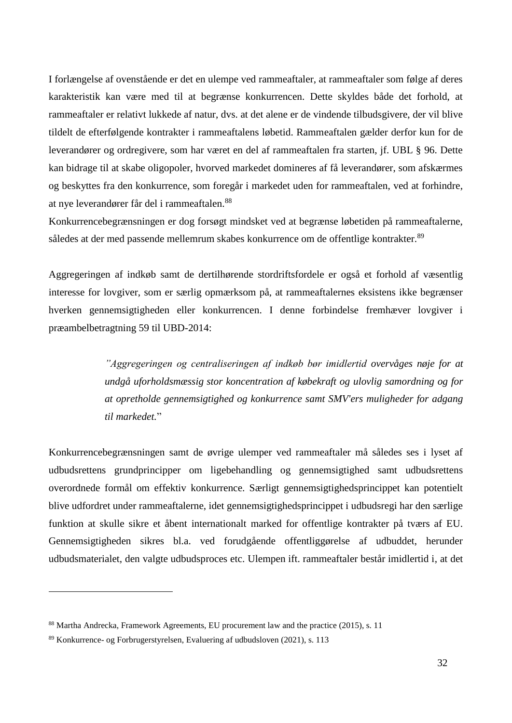I forlængelse af ovenstående er det en ulempe ved rammeaftaler, at rammeaftaler som følge af deres karakteristik kan være med til at begrænse konkurrencen. Dette skyldes både det forhold, at rammeaftaler er relativt lukkede af natur, dvs. at det alene er de vindende tilbudsgivere, der vil blive tildelt de efterfølgende kontrakter i rammeaftalens løbetid. Rammeaftalen gælder derfor kun for de leverandører og ordregivere, som har været en del af rammeaftalen fra starten, jf. UBL § 96. Dette kan bidrage til at skabe oligopoler, hvorved markedet domineres af få leverandører, som afskærmes og beskyttes fra den konkurrence, som foregår i markedet uden for rammeaftalen, ved at forhindre, at nye leverandører får del i rammeaftalen.<sup>88</sup>

Konkurrencebegrænsningen er dog forsøgt mindsket ved at begrænse løbetiden på rammeaftalerne, således at der med passende mellemrum skabes konkurrence om de offentlige kontrakter.<sup>89</sup>

Aggregeringen af indkøb samt de dertilhørende stordriftsfordele er også et forhold af væsentlig interesse for lovgiver, som er særlig opmærksom på, at rammeaftalernes eksistens ikke begrænser hverken gennemsigtigheden eller konkurrencen. I denne forbindelse fremhæver lovgiver i præambelbetragtning 59 til UBD-2014:

> *"Aggregeringen og centraliseringen af indkøb bør imidlertid overvåges nøje for at undgå uforholdsmæssig stor koncentration af købekraft og ulovlig samordning og for at opretholde gennemsigtighed og konkurrence samt SMV'ers muligheder for adgang til markedet.*"

Konkurrencebegrænsningen samt de øvrige ulemper ved rammeaftaler må således ses i lyset af udbudsrettens grundprincipper om ligebehandling og gennemsigtighed samt udbudsrettens overordnede formål om effektiv konkurrence. Særligt gennemsigtighedsprincippet kan potentielt blive udfordret under rammeaftalerne, idet gennemsigtighedsprincippet i udbudsregi har den særlige funktion at skulle sikre et åbent internationalt marked for offentlige kontrakter på tværs af EU. Gennemsigtigheden sikres bl.a. ved forudgående offentliggørelse af udbuddet, herunder udbudsmaterialet, den valgte udbudsproces etc. Ulempen ift. rammeaftaler består imidlertid i, at det

<sup>&</sup>lt;sup>88</sup> Martha Andrecka, Framework Agreements, EU procurement law and the practice (2015), s. 11

<sup>89</sup> Konkurrence- og Forbrugerstyrelsen, Evaluering af udbudsloven (2021), s. 113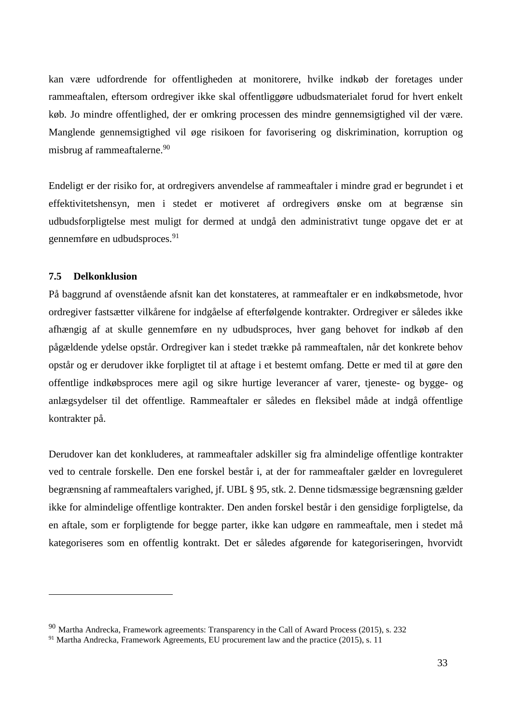kan være udfordrende for offentligheden at monitorere, hvilke indkøb der foretages under rammeaftalen, eftersom ordregiver ikke skal offentliggøre udbudsmaterialet forud for hvert enkelt køb. Jo mindre offentlighed, der er omkring processen des mindre gennemsigtighed vil der være. Manglende gennemsigtighed vil øge risikoen for favorisering og diskrimination, korruption og misbrug af rammeaftalerne.<sup>90</sup>

Endeligt er der risiko for, at ordregivers anvendelse af rammeaftaler i mindre grad er begrundet i et effektivitetshensyn, men i stedet er motiveret af ordregivers ønske om at begrænse sin udbudsforpligtelse mest muligt for dermed at undgå den administrativt tunge opgave det er at gennemføre en udbudsproces.<sup>91</sup>

### <span id="page-32-0"></span>**7.5 Delkonklusion**

1

På baggrund af ovenstående afsnit kan det konstateres, at rammeaftaler er en indkøbsmetode, hvor ordregiver fastsætter vilkårene for indgåelse af efterfølgende kontrakter. Ordregiver er således ikke afhængig af at skulle gennemføre en ny udbudsproces, hver gang behovet for indkøb af den pågældende ydelse opstår. Ordregiver kan i stedet trække på rammeaftalen, når det konkrete behov opstår og er derudover ikke forpligtet til at aftage i et bestemt omfang. Dette er med til at gøre den offentlige indkøbsproces mere agil og sikre hurtige leverancer af varer, tjeneste- og bygge- og anlægsydelser til det offentlige. Rammeaftaler er således en fleksibel måde at indgå offentlige kontrakter på.

Derudover kan det konkluderes, at rammeaftaler adskiller sig fra almindelige offentlige kontrakter ved to centrale forskelle. Den ene forskel består i, at der for rammeaftaler gælder en lovreguleret begrænsning af rammeaftalers varighed, jf. UBL § 95, stk. 2. Denne tidsmæssige begrænsning gælder ikke for almindelige offentlige kontrakter. Den anden forskel består i den gensidige forpligtelse, da en aftale, som er forpligtende for begge parter, ikke kan udgøre en rammeaftale, men i stedet må kategoriseres som en offentlig kontrakt. Det er således afgørende for kategoriseringen, hvorvidt

<sup>90</sup> Martha Andrecka, Framework agreements: Transparency in the Call of Award Process (2015), s. 232

<sup>91</sup> Martha Andrecka, Framework Agreements, EU procurement law and the practice (2015), s. 11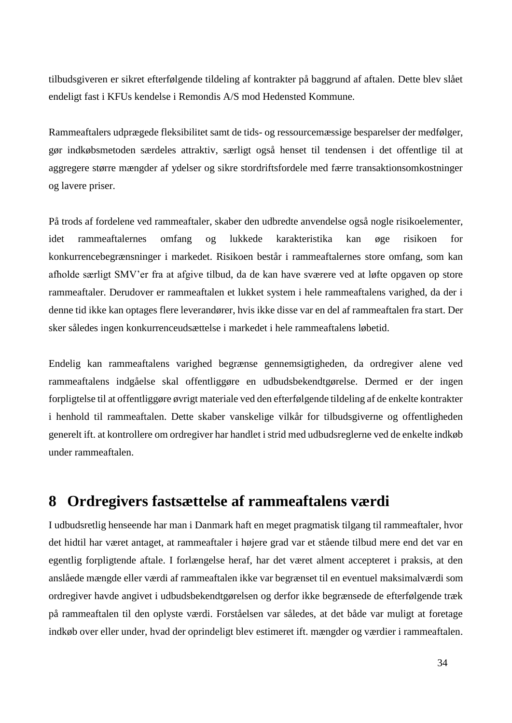tilbudsgiveren er sikret efterfølgende tildeling af kontrakter på baggrund af aftalen. Dette blev slået endeligt fast i KFUs kendelse i Remondis A/S mod Hedensted Kommune.

Rammeaftalers udprægede fleksibilitet samt de tids- og ressourcemæssige besparelser der medfølger, gør indkøbsmetoden særdeles attraktiv, særligt også henset til tendensen i det offentlige til at aggregere større mængder af ydelser og sikre stordriftsfordele med færre transaktionsomkostninger og lavere priser.

På trods af fordelene ved rammeaftaler, skaber den udbredte anvendelse også nogle risikoelementer, idet rammeaftalernes omfang og lukkede karakteristika kan øge risikoen for konkurrencebegrænsninger i markedet. Risikoen består i rammeaftalernes store omfang, som kan afholde særligt SMV'er fra at afgive tilbud, da de kan have sværere ved at løfte opgaven op store rammeaftaler. Derudover er rammeaftalen et lukket system i hele rammeaftalens varighed, da der i denne tid ikke kan optages flere leverandører, hvis ikke disse var en del af rammeaftalen fra start. Der sker således ingen konkurrenceudsættelse i markedet i hele rammeaftalens løbetid.

Endelig kan rammeaftalens varighed begrænse gennemsigtigheden, da ordregiver alene ved rammeaftalens indgåelse skal offentliggøre en udbudsbekendtgørelse. Dermed er der ingen forpligtelse til at offentliggøre øvrigt materiale ved den efterfølgende tildeling af de enkelte kontrakter i henhold til rammeaftalen. Dette skaber vanskelige vilkår for tilbudsgiverne og offentligheden generelt ift. at kontrollere om ordregiver har handlet i strid med udbudsreglerne ved de enkelte indkøb under rammeaftalen.

# <span id="page-33-0"></span>**8 Ordregivers fastsættelse af rammeaftalens værdi**

I udbudsretlig henseende har man i Danmark haft en meget pragmatisk tilgang til rammeaftaler, hvor det hidtil har været antaget, at rammeaftaler i højere grad var et stående tilbud mere end det var en egentlig forpligtende aftale. I forlængelse heraf, har det været alment accepteret i praksis, at den anslåede mængde eller værdi af rammeaftalen ikke var begrænset til en eventuel maksimalværdi som ordregiver havde angivet i udbudsbekendtgørelsen og derfor ikke begrænsede de efterfølgende træk på rammeaftalen til den oplyste værdi. Forståelsen var således, at det både var muligt at foretage indkøb over eller under, hvad der oprindeligt blev estimeret ift. mængder og værdier i rammeaftalen.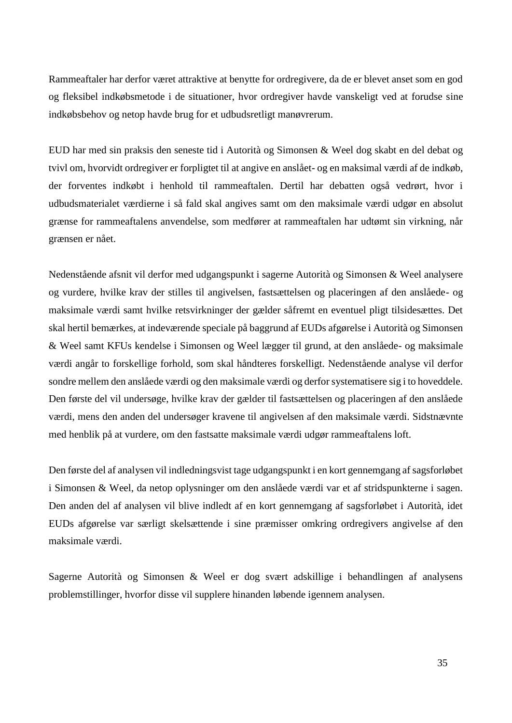Rammeaftaler har derfor været attraktive at benytte for ordregivere, da de er blevet anset som en god og fleksibel indkøbsmetode i de situationer, hvor ordregiver havde vanskeligt ved at forudse sine indkøbsbehov og netop havde brug for et udbudsretligt manøvrerum.

EUD har med sin praksis den seneste tid i Autorità og Simonsen & Weel dog skabt en del debat og tvivl om, hvorvidt ordregiver er forpligtet til at angive en anslået- og en maksimal værdi af de indkøb, der forventes indkøbt i henhold til rammeaftalen. Dertil har debatten også vedrørt, hvor i udbudsmaterialet værdierne i så fald skal angives samt om den maksimale værdi udgør en absolut grænse for rammeaftalens anvendelse, som medfører at rammeaftalen har udtømt sin virkning, når grænsen er nået.

Nedenstående afsnit vil derfor med udgangspunkt i sagerne Autorità og Simonsen & Weel analysere og vurdere, hvilke krav der stilles til angivelsen, fastsættelsen og placeringen af den anslåede- og maksimale værdi samt hvilke retsvirkninger der gælder såfremt en eventuel pligt tilsidesættes. Det skal hertil bemærkes, at indeværende speciale på baggrund af EUDs afgørelse i Autorità og Simonsen & Weel samt KFUs kendelse i Simonsen og Weel lægger til grund, at den anslåede- og maksimale værdi angår to forskellige forhold, som skal håndteres forskelligt. Nedenstående analyse vil derfor sondre mellem den anslåede værdi og den maksimale værdi og derfor systematisere sig i to hoveddele. Den første del vil undersøge, hvilke krav der gælder til fastsættelsen og placeringen af den anslåede værdi, mens den anden del undersøger kravene til angivelsen af den maksimale værdi. Sidstnævnte med henblik på at vurdere, om den fastsatte maksimale værdi udgør rammeaftalens loft.

Den første del af analysen vil indledningsvist tage udgangspunkt i en kort gennemgang af sagsforløbet i Simonsen & Weel, da netop oplysninger om den anslåede værdi var et af stridspunkterne i sagen. Den anden del af analysen vil blive indledt af en kort gennemgang af sagsforløbet i Autorità, idet EUDs afgørelse var særligt skelsættende i sine præmisser omkring ordregivers angivelse af den maksimale værdi.

Sagerne Autorità og Simonsen & Weel er dog svært adskillige i behandlingen af analysens problemstillinger, hvorfor disse vil supplere hinanden løbende igennem analysen.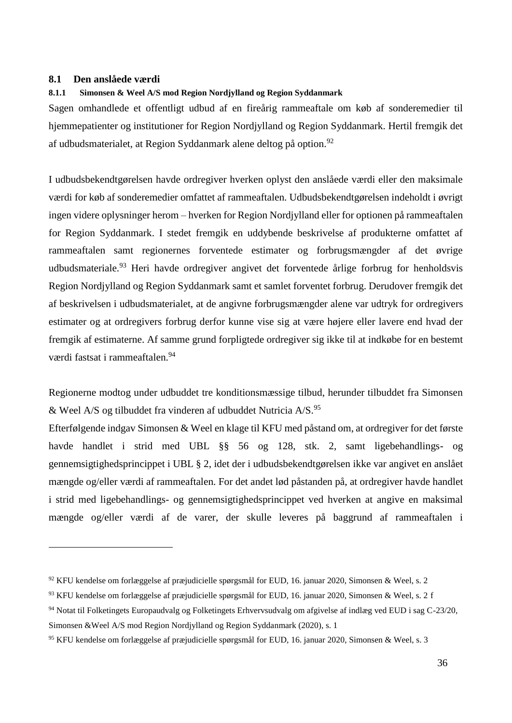#### <span id="page-35-0"></span>**8.1 Den anslåede værdi**

<u>.</u>

#### <span id="page-35-1"></span>**8.1.1 Simonsen & Weel A/S mod Region Nordjylland og Region Syddanmark**

Sagen omhandlede et offentligt udbud af en fireårig rammeaftale om køb af sonderemedier til hjemmepatienter og institutioner for Region Nordjylland og Region Syddanmark. Hertil fremgik det af udbudsmaterialet, at Region Syddanmark alene deltog på option.<sup>92</sup>

I udbudsbekendtgørelsen havde ordregiver hverken oplyst den anslåede værdi eller den maksimale værdi for køb af sonderemedier omfattet af rammeaftalen. Udbudsbekendtgørelsen indeholdt i øvrigt ingen videre oplysninger herom – hverken for Region Nordjylland eller for optionen på rammeaftalen for Region Syddanmark. I stedet fremgik en uddybende beskrivelse af produkterne omfattet af rammeaftalen samt regionernes forventede estimater og forbrugsmængder af det øvrige udbudsmateriale.<sup>93</sup> Heri havde ordregiver angivet det forventede årlige forbrug for henholdsvis Region Nordjylland og Region Syddanmark samt et samlet forventet forbrug. Derudover fremgik det af beskrivelsen i udbudsmaterialet, at de angivne forbrugsmængder alene var udtryk for ordregivers estimater og at ordregivers forbrug derfor kunne vise sig at være højere eller lavere end hvad der fremgik af estimaterne. Af samme grund forpligtede ordregiver sig ikke til at indkøbe for en bestemt værdi fastsat i rammeaftalen.<sup>94</sup>

Regionerne modtog under udbuddet tre konditionsmæssige tilbud, herunder tilbuddet fra Simonsen & Weel A/S og tilbuddet fra vinderen af udbuddet Nutricia  $A/S$ .<sup>95</sup>

Efterfølgende indgav Simonsen & Weel en klage til KFU med påstand om, at ordregiver for det første havde handlet i strid med UBL §§ 56 og 128, stk. 2, samt ligebehandlings- og gennemsigtighedsprincippet i UBL § 2, idet der i udbudsbekendtgørelsen ikke var angivet en anslået mængde og/eller værdi af rammeaftalen. For det andet lød påstanden på, at ordregiver havde handlet i strid med ligebehandlings- og gennemsigtighedsprincippet ved hverken at angive en maksimal mængde og/eller værdi af de varer, der skulle leveres på baggrund af rammeaftalen i

<sup>92</sup> KFU kendelse om forlæggelse af præjudicielle spørgsmål for EUD, 16. januar 2020, Simonsen & Weel, s. 2

<sup>93</sup> KFU kendelse om forlæggelse af præjudicielle spørgsmål for EUD, 16. januar 2020, Simonsen & Weel, s. 2 f

<sup>94</sup> Notat til Folketingets Europaudvalg og Folketingets Erhvervsudvalg om afgivelse af indlæg ved EUD i sag C-23/20, Simonsen &Weel A/S mod Region Nordjylland og Region Syddanmark (2020), s. 1

<sup>95</sup> KFU kendelse om forlæggelse af præjudicielle spørgsmål for EUD, 16. januar 2020, Simonsen & Weel, s. 3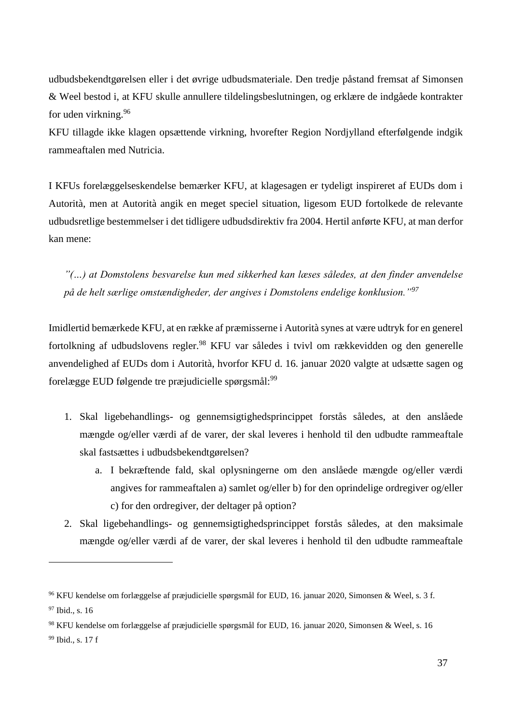udbudsbekendtgørelsen eller i det øvrige udbudsmateriale. Den tredje påstand fremsat af Simonsen & Weel bestod i, at KFU skulle annullere tildelingsbeslutningen, og erklære de indgåede kontrakter for uden virkning.<sup>96</sup>

KFU tillagde ikke klagen opsættende virkning, hvorefter Region Nordjylland efterfølgende indgik rammeaftalen med Nutricia.

I KFUs forelæggelseskendelse bemærker KFU, at klagesagen er tydeligt inspireret af EUDs dom i Autorità, men at Autorità angik en meget speciel situation, ligesom EUD fortolkede de relevante udbudsretlige bestemmelser i det tidligere udbudsdirektiv fra 2004. Hertil anførte KFU, at man derfor kan mene:

*"(…) at Domstolens besvarelse kun med sikkerhed kan læses således, at den finder anvendelse på de helt særlige omstændigheder, der angives i Domstolens endelige konklusion."<sup>97</sup>*

Imidlertid bemærkede KFU, at en række af præmisserne i Autorità synes at være udtryk for en generel fortolkning af udbudslovens regler.<sup>98</sup> KFU var således i tvivl om rækkevidden og den generelle anvendelighed af EUDs dom i Autorità, hvorfor KFU d. 16. januar 2020 valgte at udsætte sagen og forelægge EUD følgende tre præjudicielle spørgsmål:<sup>99</sup>

- 1. Skal ligebehandlings- og gennemsigtighedsprincippet forstås således, at den anslåede mængde og/eller værdi af de varer, der skal leveres i henhold til den udbudte rammeaftale skal fastsættes i udbudsbekendtgørelsen?
	- a. I bekræftende fald, skal oplysningerne om den anslåede mængde og/eller værdi angives for rammeaftalen a) samlet og/eller b) for den oprindelige ordregiver og/eller c) for den ordregiver, der deltager på option?
- 2. Skal ligebehandlings- og gennemsigtighedsprincippet forstås således, at den maksimale mængde og/eller værdi af de varer, der skal leveres i henhold til den udbudte rammeaftale

<sup>96</sup> KFU kendelse om forlæggelse af præjudicielle spørgsmål for EUD, 16. januar 2020, Simonsen & Weel, s. 3 f. <sup>97</sup> Ibid., s. 16

<sup>98</sup> KFU kendelse om forlæggelse af præjudicielle spørgsmål for EUD, 16. januar 2020, Simonsen & Weel, s. 16 <sup>99</sup> Ibid., s. 17 f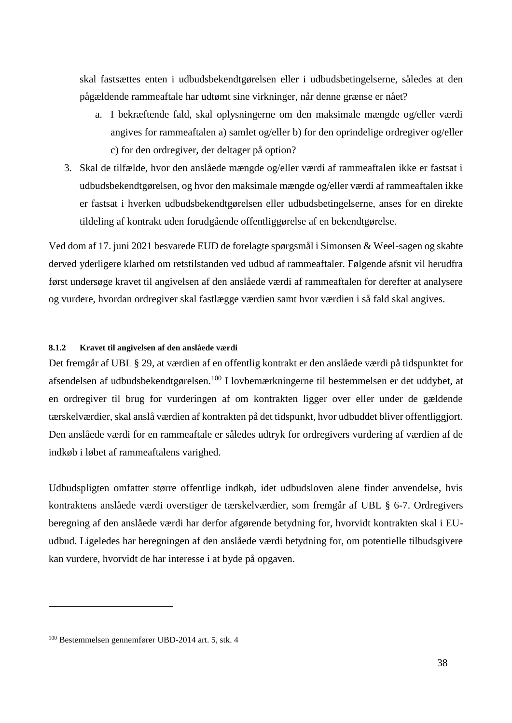skal fastsættes enten i udbudsbekendtgørelsen eller i udbudsbetingelserne, således at den pågældende rammeaftale har udtømt sine virkninger, når denne grænse er nået?

- a. I bekræftende fald, skal oplysningerne om den maksimale mængde og/eller værdi angives for rammeaftalen a) samlet og/eller b) for den oprindelige ordregiver og/eller c) for den ordregiver, der deltager på option?
- 3. Skal de tilfælde, hvor den anslåede mængde og/eller værdi af rammeaftalen ikke er fastsat i udbudsbekendtgørelsen, og hvor den maksimale mængde og/eller værdi af rammeaftalen ikke er fastsat i hverken udbudsbekendtgørelsen eller udbudsbetingelserne, anses for en direkte tildeling af kontrakt uden forudgående offentliggørelse af en bekendtgørelse.

Ved dom af 17. juni 2021 besvarede EUD de forelagte spørgsmål i Simonsen & Weel-sagen og skabte derved yderligere klarhed om retstilstanden ved udbud af rammeaftaler. Følgende afsnit vil herudfra først undersøge kravet til angivelsen af den anslåede værdi af rammeaftalen for derefter at analysere og vurdere, hvordan ordregiver skal fastlægge værdien samt hvor værdien i så fald skal angives.

#### **8.1.2 Kravet til angivelsen af den anslåede værdi**

Det fremgår af UBL § 29, at værdien af en offentlig kontrakt er den anslåede værdi på tidspunktet for afsendelsen af udbudsbekendtgørelsen.<sup>100</sup> I lovbemærkningerne til bestemmelsen er det uddybet, at en ordregiver til brug for vurderingen af om kontrakten ligger over eller under de gældende tærskelværdier, skal anslå værdien af kontrakten på det tidspunkt, hvor udbuddet bliver offentliggjort. Den anslåede værdi for en rammeaftale er således udtryk for ordregivers vurdering af værdien af de indkøb i løbet af rammeaftalens varighed.

Udbudspligten omfatter større offentlige indkøb, idet udbudsloven alene finder anvendelse, hvis kontraktens anslåede værdi overstiger de tærskelværdier, som fremgår af UBL § 6-7. Ordregivers beregning af den anslåede værdi har derfor afgørende betydning for, hvorvidt kontrakten skal i EUudbud. Ligeledes har beregningen af den anslåede værdi betydning for, om potentielle tilbudsgivere kan vurdere, hvorvidt de har interesse i at byde på opgaven.

<sup>100</sup> Bestemmelsen gennemfører UBD-2014 art. 5, stk. 4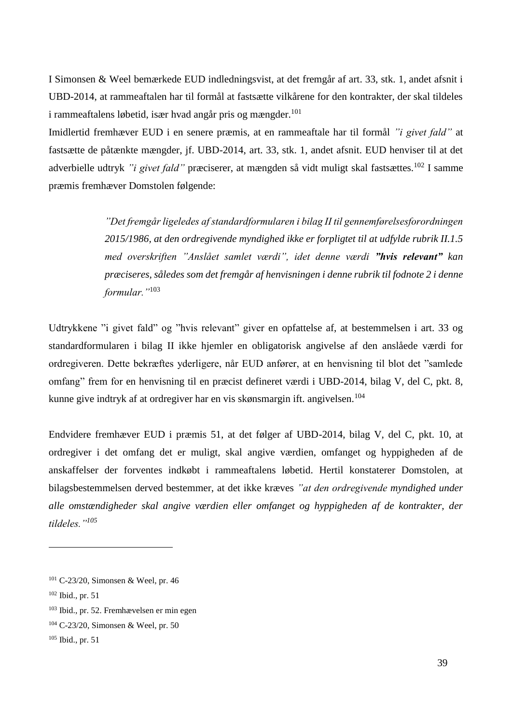I Simonsen & Weel bemærkede EUD indledningsvist, at det fremgår af art. 33, stk. 1, andet afsnit i UBD-2014, at rammeaftalen har til formål at fastsætte vilkårene for den kontrakter, der skal tildeles i rammeaftalens løbetid, især hvad angår pris og mængder.<sup>101</sup>

Imidlertid fremhæver EUD i en senere præmis, at en rammeaftale har til formål *"i givet fald"* at fastsætte de påtænkte mængder, jf. UBD-2014, art. 33, stk. 1, andet afsnit. EUD henviser til at det adverbielle udtryk "*i givet fald*" præciserer, at mængden så vidt muligt skal fastsættes.<sup>102</sup> I samme præmis fremhæver Domstolen følgende:

> *"Det fremgår ligeledes af standardformularen i bilag II til gennemførelsesforordningen 2015/1986, at den ordregivende myndighed ikke er forpligtet til at udfylde rubrik II.1.5 med overskriften "Anslået samlet værdi", idet denne værdi "hvis relevant" kan præciseres, således som det fremgår af henvisningen i denne rubrik til fodnote 2 i denne formular."*<sup>103</sup>

Udtrykkene "i givet fald" og "hvis relevant" giver en opfattelse af, at bestemmelsen i art. 33 og standardformularen i bilag II ikke hjemler en obligatorisk angivelse af den anslåede værdi for ordregiveren. Dette bekræftes yderligere, når EUD anfører, at en henvisning til blot det "samlede omfang" frem for en henvisning til en præcist defineret værdi i UBD-2014, bilag V, del C, pkt. 8, kunne give indtryk af at ordregiver har en vis skønsmargin ift. angivelsen.<sup>104</sup>

Endvidere fremhæver EUD i præmis 51, at det følger af UBD-2014, bilag V, del C, pkt. 10, at ordregiver i det omfang det er muligt, skal angive værdien, omfanget og hyppigheden af de anskaffelser der forventes indkøbt i rammeaftalens løbetid. Hertil konstaterer Domstolen, at bilagsbestemmelsen derved bestemmer, at det ikke kræves *"at den ordregivende myndighed under alle omstændigheder skal angive værdien eller omfanget og hyppigheden af de kontrakter, der tildeles."<sup>105</sup>*

<sup>101</sup> C-23/20, Simonsen & Weel, pr. 46

<sup>102</sup> Ibid., pr. 51

<sup>103</sup> Ibid., pr. 52. Fremhævelsen er min egen

<sup>104</sup> C-23/20, Simonsen & Weel, pr. 50

<sup>105</sup> Ibid., pr. 51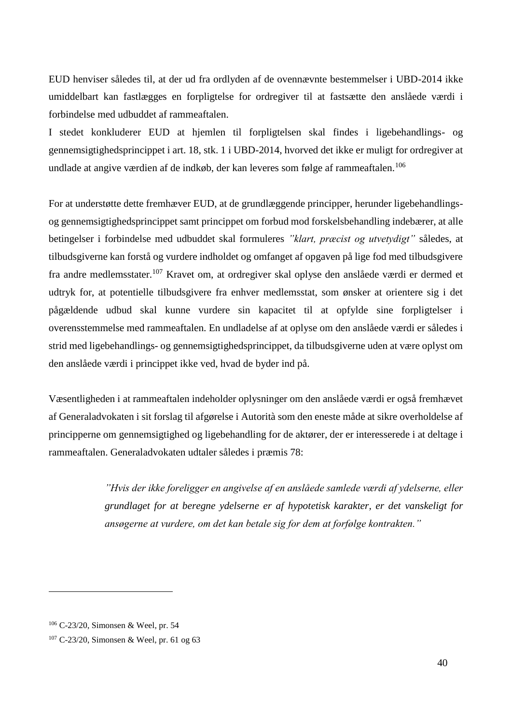EUD henviser således til, at der ud fra ordlyden af de ovennævnte bestemmelser i UBD-2014 ikke umiddelbart kan fastlægges en forpligtelse for ordregiver til at fastsætte den anslåede værdi i forbindelse med udbuddet af rammeaftalen.

I stedet konkluderer EUD at hjemlen til forpligtelsen skal findes i ligebehandlings- og gennemsigtighedsprincippet i art. 18, stk. 1 i UBD-2014, hvorved det ikke er muligt for ordregiver at undlade at angive værdien af de indkøb, der kan leveres som følge af rammeaftalen.<sup>106</sup>

For at understøtte dette fremhæver EUD, at de grundlæggende principper, herunder ligebehandlingsog gennemsigtighedsprincippet samt princippet om forbud mod forskelsbehandling indebærer, at alle betingelser i forbindelse med udbuddet skal formuleres *"klart, præcist og utvetydigt"* således, at tilbudsgiverne kan forstå og vurdere indholdet og omfanget af opgaven på lige fod med tilbudsgivere fra andre medlemsstater.<sup>107</sup> Kravet om, at ordregiver skal oplyse den anslåede værdi er dermed et udtryk for, at potentielle tilbudsgivere fra enhver medlemsstat, som ønsker at orientere sig i det pågældende udbud skal kunne vurdere sin kapacitet til at opfylde sine forpligtelser i overensstemmelse med rammeaftalen. En undladelse af at oplyse om den anslåede værdi er således i strid med ligebehandlings- og gennemsigtighedsprincippet, da tilbudsgiverne uden at være oplyst om den anslåede værdi i princippet ikke ved, hvad de byder ind på.

Væsentligheden i at rammeaftalen indeholder oplysninger om den anslåede værdi er også fremhævet af Generaladvokaten i sit forslag til afgørelse i Autorità som den eneste måde at sikre overholdelse af principperne om gennemsigtighed og ligebehandling for de aktører, der er interesserede i at deltage i rammeaftalen. Generaladvokaten udtaler således i præmis 78:

> *"Hvis der ikke foreligger en angivelse af en anslåede samlede værdi af ydelserne, eller grundlaget for at beregne ydelserne er af hypotetisk karakter, er det vanskeligt for ansøgerne at vurdere, om det kan betale sig for dem at forfølge kontrakten."*

<sup>106</sup> C-23/20, Simonsen & Weel, pr. 54

<sup>107</sup> C-23/20, Simonsen & Weel, pr. 61 og 63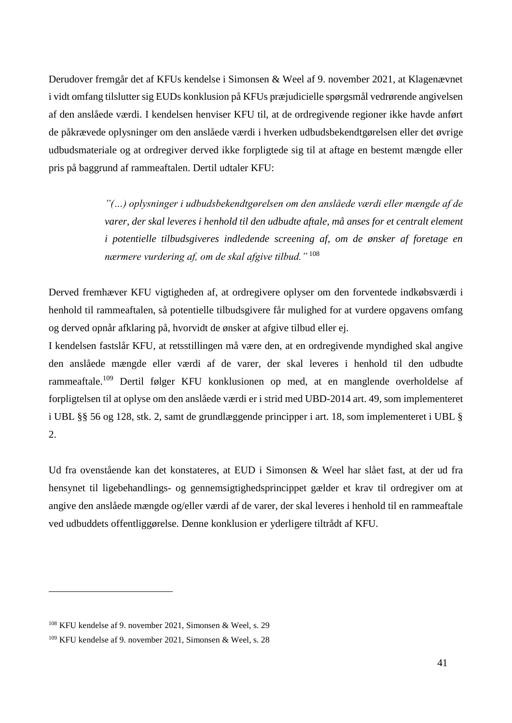Derudover fremgår det af KFUs kendelse i Simonsen & Weel af 9. november 2021, at Klagenævnet i vidt omfang tilslutter sig EUDs konklusion på KFUs præjudicielle spørgsmål vedrørende angivelsen af den anslåede værdi. I kendelsen henviser KFU til, at de ordregivende regioner ikke havde anført de påkrævede oplysninger om den anslåede værdi i hverken udbudsbekendtgørelsen eller det øvrige udbudsmateriale og at ordregiver derved ikke forpligtede sig til at aftage en bestemt mængde eller pris på baggrund af rammeaftalen. Dertil udtaler KFU:

> *"(…) oplysninger i udbudsbekendtgørelsen om den anslåede værdi eller mængde af de varer, der skal leveres i henhold til den udbudte aftale, må anses for et centralt element i potentielle tilbudsgiveres indledende screening af, om de ønsker af foretage en nærmere vurdering af, om de skal afgive tilbud."* <sup>108</sup>

Derved fremhæver KFU vigtigheden af, at ordregivere oplyser om den forventede indkøbsværdi i henhold til rammeaftalen, så potentielle tilbudsgivere får mulighed for at vurdere opgavens omfang og derved opnår afklaring på, hvorvidt de ønsker at afgive tilbud eller ej.

I kendelsen fastslår KFU, at retsstillingen må være den, at en ordregivende myndighed skal angive den anslåede mængde eller værdi af de varer, der skal leveres i henhold til den udbudte rammeaftale.<sup>109</sup> Dertil følger KFU konklusionen op med, at en manglende overholdelse af forpligtelsen til at oplyse om den anslåede værdi er i strid med UBD-2014 art. 49, som implementeret i UBL §§ 56 og 128, stk. 2, samt de grundlæggende principper i art. 18, som implementeret i UBL § 2.

Ud fra ovenstående kan det konstateres, at EUD i Simonsen & Weel har slået fast, at der ud fra hensynet til ligebehandlings- og gennemsigtighedsprincippet gælder et krav til ordregiver om at angive den anslåede mængde og/eller værdi af de varer, der skal leveres i henhold til en rammeaftale ved udbuddets offentliggørelse. Denne konklusion er yderligere tiltrådt af KFU.

<sup>108</sup> KFU kendelse af 9. november 2021, Simonsen & Weel, s. 29

<sup>109</sup> KFU kendelse af 9. november 2021, Simonsen & Weel, s. 28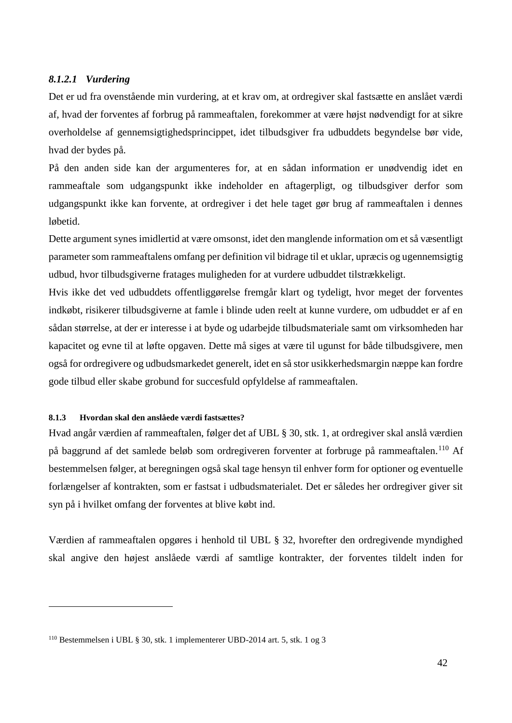## *8.1.2.1 Vurdering*

Det er ud fra ovenstående min vurdering, at et krav om, at ordregiver skal fastsætte en anslået værdi af, hvad der forventes af forbrug på rammeaftalen, forekommer at være højst nødvendigt for at sikre overholdelse af gennemsigtighedsprincippet, idet tilbudsgiver fra udbuddets begyndelse bør vide, hvad der bydes på.

På den anden side kan der argumenteres for, at en sådan information er unødvendig idet en rammeaftale som udgangspunkt ikke indeholder en aftagerpligt, og tilbudsgiver derfor som udgangspunkt ikke kan forvente, at ordregiver i det hele taget gør brug af rammeaftalen i dennes løbetid.

Dette argument synes imidlertid at være omsonst, idet den manglende information om et så væsentligt parameter som rammeaftalens omfang per definition vil bidrage til et uklar, upræcis og ugennemsigtig udbud, hvor tilbudsgiverne fratages muligheden for at vurdere udbuddet tilstrækkeligt.

Hvis ikke det ved udbuddets offentliggørelse fremgår klart og tydeligt, hvor meget der forventes indkøbt, risikerer tilbudsgiverne at famle i blinde uden reelt at kunne vurdere, om udbuddet er af en sådan størrelse, at der er interesse i at byde og udarbejde tilbudsmateriale samt om virksomheden har kapacitet og evne til at løfte opgaven. Dette må siges at være til ugunst for både tilbudsgivere, men også for ordregivere og udbudsmarkedet generelt, idet en så stor usikkerhedsmargin næppe kan fordre gode tilbud eller skabe grobund for succesfuld opfyldelse af rammeaftalen.

## **8.1.3 Hvordan skal den anslåede værdi fastsættes?**

<u>.</u>

Hvad angår værdien af rammeaftalen, følger det af UBL § 30, stk. 1, at ordregiver skal anslå værdien på baggrund af det samlede beløb som ordregiveren forventer at forbruge på rammeaftalen.<sup>110</sup> Af bestemmelsen følger, at beregningen også skal tage hensyn til enhver form for optioner og eventuelle forlængelser af kontrakten, som er fastsat i udbudsmaterialet. Det er således her ordregiver giver sit syn på i hvilket omfang der forventes at blive købt ind.

Værdien af rammeaftalen opgøres i henhold til UBL § 32, hvorefter den ordregivende myndighed skal angive den højest anslåede værdi af samtlige kontrakter, der forventes tildelt inden for

<sup>110</sup> Bestemmelsen i UBL § 30, stk. 1 implementerer UBD-2014 art. 5, stk. 1 og 3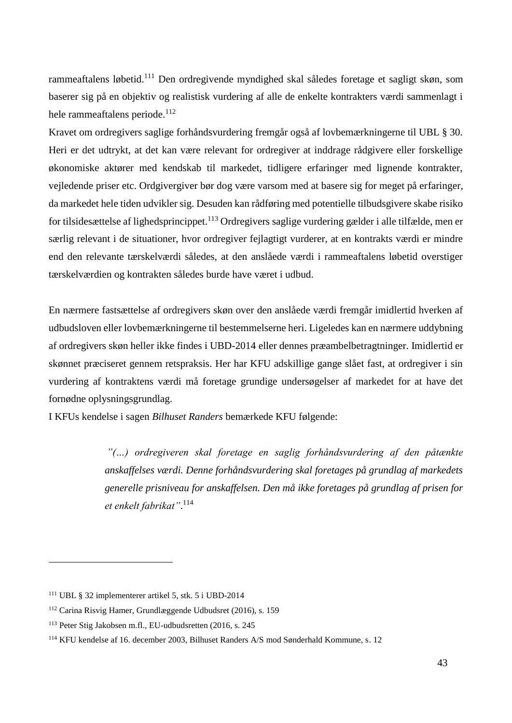rammeaftalens løbetid.<sup>111</sup> Den ordregivende myndighed skal således foretage et sagligt skøn, som baserer sig på en objektiv og realistisk vurdering af alle de enkelte kontrakters værdi sammenlagt i hele rammeaftalens periode.<sup>112</sup>

Kravet om ordregivers saglige forhåndsvurdering fremgår også af lovbemærkningerne til UBL § 30. Heri er det udtrykt, at det kan være relevant for ordregiver at inddrage rådgivere eller forskellige økonomiske aktører med kendskab til markedet, tidligere erfaringer med lignende kontrakter, vejledende priser etc. Ordgivergiver bør dog være varsom med at basere sig for meget på erfaringer, da markedet hele tiden udvikler sig. Desuden kan rådføring med potentielle tilbudsgivere skabe risiko for tilsidesættelse af lighedsprincippet.<sup>113</sup> Ordregivers saglige vurdering gælder i alle tilfælde, men er særlig relevant i de situationer, hvor ordregiver fejlagtigt vurderer, at en kontrakts værdi er mindre end den relevante tærskelværdi således, at den anslåede værdi i rammeaftalens løbetid overstiger tærskelværdien og kontrakten således burde have været i udbud.

En nærmere fastsættelse af ordregivers skøn over den anslåede værdi fremgår imidlertid hverken af udbudsloven eller lovbemærkningerne til bestemmelserne heri. Ligeledes kan en nærmere uddybning af ordregivers skøn heller ikke findes i UBD-2014 eller dennes præambelbetragtninger. Imidlertid er skønnet præciseret gennem retspraksis. Her har KFU adskillige gange slået fast, at ordregiver i sin vurdering af kontraktens værdi må foretage grundige undersøgelser af markedet for at have det fornødne oplysningsgrundlag.

I KFUs kendelse i sagen *Bilhuset Randers* bemærkede KFU følgende:

*"(…) ordregiveren skal foretage en saglig forhåndsvurdering af den påtænkte anskaffelses værdi. Denne forhåndsvurdering skal foretages på grundlag af markedets generelle prisniveau for anskaffelsen. Den må ikke foretages på grundlag af prisen for et enkelt fabrikat"*. 114

<sup>111</sup> UBL § 32 implementerer artikel 5, stk. 5 i UBD-2014

<sup>112</sup> Carina Risvig Hamer, Grundlæggende Udbudsret (2016), s. 159

<sup>113</sup> Peter Stig Jakobsen m.fl., EU-udbudsretten (2016, s. 245

<sup>114</sup> KFU kendelse af 16. december 2003, Bilhuset Randers A/S mod Sønderhald Kommune, s. 12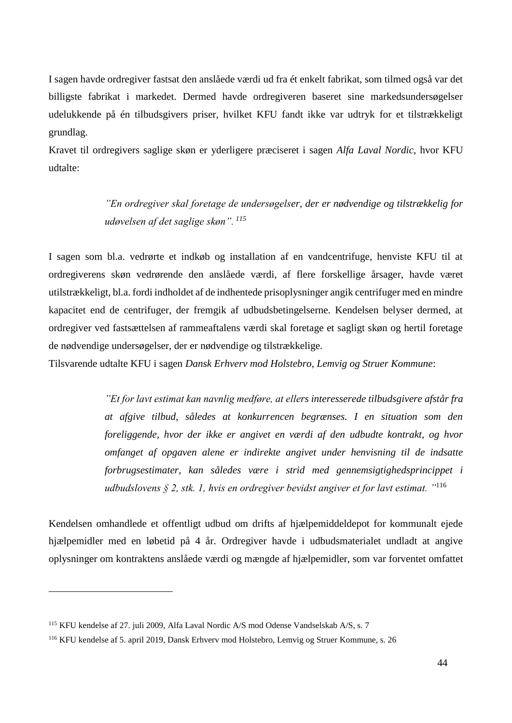I sagen havde ordregiver fastsat den anslåede værdi ud fra ét enkelt fabrikat, som tilmed også var det billigste fabrikat i markedet. Dermed havde ordregiveren baseret sine markedsundersøgelser udelukkende på én tilbudsgivers priser, hvilket KFU fandt ikke var udtryk for et tilstrækkeligt grundlag.

Kravet til ordregivers saglige skøn er yderligere præciseret i sagen *Alfa Laval Nordic,* hvor KFU udtalte:

> *"En ordregiver skal foretage de undersøgelser, der er nødvendige og tilstrækkelig for udøvelsen af det saglige skøn". <sup>115</sup>*

I sagen som bl.a. vedrørte et indkøb og installation af en vandcentrifuge, henviste KFU til at ordregiverens skøn vedrørende den anslåede værdi, af flere forskellige årsager, havde været utilstrækkeligt, bl.a. fordi indholdet af de indhentede prisoplysninger angik centrifuger med en mindre kapacitet end de centrifuger, der fremgik af udbudsbetingelserne. Kendelsen belyser dermed, at ordregiver ved fastsættelsen af rammeaftalens værdi skal foretage et sagligt skøn og hertil foretage de nødvendige undersøgelser, der er nødvendige og tilstrækkelige.

Tilsvarende udtalte KFU i sagen *Dansk Erhverv mod Holstebro, Lemvig og Struer Kommune*:

*"Et for lavt estimat kan navnlig medføre, at ellers interesserede tilbudsgivere afstår fra at afgive tilbud, således at konkurrencen begrænses. I en situation som den foreliggende, hvor der ikke er angivet en værdi af den udbudte kontrakt, og hvor omfanget af opgaven alene er indirekte angivet under henvisning til de indsatte forbrugsestimater, kan således være i strid med gennemsigtighedsprincippet i udbudslovens § 2, stk. 1, hvis en ordregiver bevidst angiver et for lavt estimat. "*<sup>116</sup>

Kendelsen omhandlede et offentligt udbud om drifts af hjælpemiddeldepot for kommunalt ejede hjælpemidler med en løbetid på 4 år. Ordregiver havde i udbudsmaterialet undladt at angive oplysninger om kontraktens anslåede værdi og mængde af hjælpemidler, som var forventet omfattet

<sup>115</sup> KFU kendelse af 27. juli 2009, Alfa Laval Nordic A/S mod Odense Vandselskab A/S, s. 7

<sup>116</sup> KFU kendelse af 5. april 2019, Dansk Erhverv mod Holstebro, Lemvig og Struer Kommune, s. 26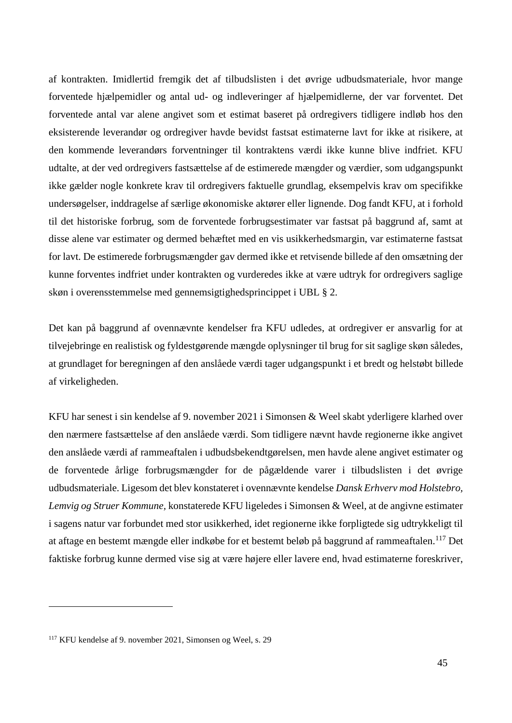af kontrakten. Imidlertid fremgik det af tilbudslisten i det øvrige udbudsmateriale, hvor mange forventede hjælpemidler og antal ud- og indleveringer af hjælpemidlerne, der var forventet. Det forventede antal var alene angivet som et estimat baseret på ordregivers tidligere indløb hos den eksisterende leverandør og ordregiver havde bevidst fastsat estimaterne lavt for ikke at risikere, at den kommende leverandørs forventninger til kontraktens værdi ikke kunne blive indfriet. KFU udtalte, at der ved ordregivers fastsættelse af de estimerede mængder og værdier, som udgangspunkt ikke gælder nogle konkrete krav til ordregivers faktuelle grundlag, eksempelvis krav om specifikke undersøgelser, inddragelse af særlige økonomiske aktører eller lignende. Dog fandt KFU, at i forhold til det historiske forbrug, som de forventede forbrugsestimater var fastsat på baggrund af, samt at disse alene var estimater og dermed behæftet med en vis usikkerhedsmargin, var estimaterne fastsat for lavt. De estimerede forbrugsmængder gav dermed ikke et retvisende billede af den omsætning der kunne forventes indfriet under kontrakten og vurderedes ikke at være udtryk for ordregivers saglige skøn i overensstemmelse med gennemsigtighedsprincippet i UBL § 2.

Det kan på baggrund af ovennævnte kendelser fra KFU udledes, at ordregiver er ansvarlig for at tilvejebringe en realistisk og fyldestgørende mængde oplysninger til brug for sit saglige skøn således, at grundlaget for beregningen af den anslåede værdi tager udgangspunkt i et bredt og helstøbt billede af virkeligheden.

KFU har senest i sin kendelse af 9. november 2021 i Simonsen & Weel skabt yderligere klarhed over den nærmere fastsættelse af den anslåede værdi. Som tidligere nævnt havde regionerne ikke angivet den anslåede værdi af rammeaftalen i udbudsbekendtgørelsen, men havde alene angivet estimater og de forventede årlige forbrugsmængder for de pågældende varer i tilbudslisten i det øvrige udbudsmateriale. Ligesom det blev konstateret i ovennævnte kendelse *Dansk Erhverv mod Holstebro, Lemvig og Struer Kommune,* konstaterede KFU ligeledes i Simonsen & Weel, at de angivne estimater i sagens natur var forbundet med stor usikkerhed, idet regionerne ikke forpligtede sig udtrykkeligt til at aftage en bestemt mængde eller indkøbe for et bestemt beløb på baggrund af rammeaftalen.<sup>117</sup> Det faktiske forbrug kunne dermed vise sig at være højere eller lavere end, hvad estimaterne foreskriver,

<sup>117</sup> KFU kendelse af 9. november 2021, Simonsen og Weel, s. 29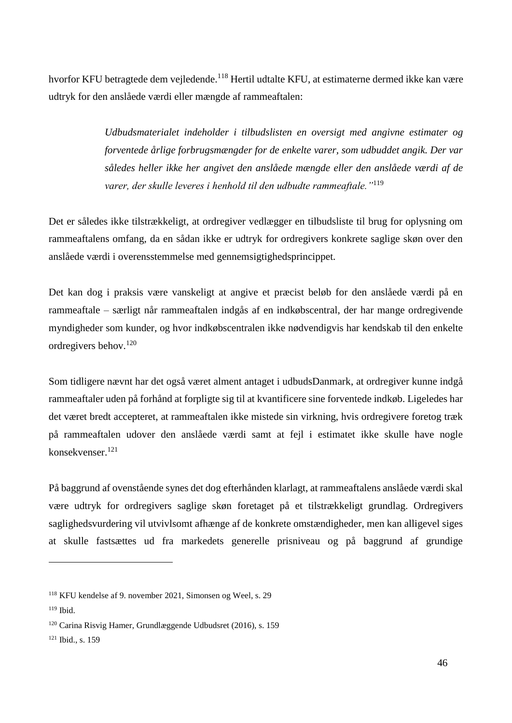hvorfor KFU betragtede dem vejledende.<sup>118</sup> Hertil udtalte KFU, at estimaterne dermed ikke kan være udtryk for den anslåede værdi eller mængde af rammeaftalen:

> *Udbudsmaterialet indeholder i tilbudslisten en oversigt med angivne estimater og forventede årlige forbrugsmængder for de enkelte varer, som udbuddet angik. Der var således heller ikke her angivet den anslåede mængde eller den anslåede værdi af de varer, der skulle leveres i henhold til den udbudte rammeaftale."*<sup>119</sup>

Det er således ikke tilstrækkeligt, at ordregiver vedlægger en tilbudsliste til brug for oplysning om rammeaftalens omfang, da en sådan ikke er udtryk for ordregivers konkrete saglige skøn over den anslåede værdi i overensstemmelse med gennemsigtighedsprincippet.

Det kan dog i praksis være vanskeligt at angive et præcist beløb for den anslåede værdi på en rammeaftale – særligt når rammeaftalen indgås af en indkøbscentral, der har mange ordregivende myndigheder som kunder, og hvor indkøbscentralen ikke nødvendigvis har kendskab til den enkelte ordregivers behov.<sup>120</sup>

Som tidligere nævnt har det også været alment antaget i udbudsDanmark, at ordregiver kunne indgå rammeaftaler uden på forhånd at forpligte sig til at kvantificere sine forventede indkøb. Ligeledes har det været bredt accepteret, at rammeaftalen ikke mistede sin virkning, hvis ordregivere foretog træk på rammeaftalen udover den anslåede værdi samt at fejl i estimatet ikke skulle have nogle konsekvenser.<sup>121</sup>

På baggrund af ovenstående synes det dog efterhånden klarlagt, at rammeaftalens anslåede værdi skal være udtryk for ordregivers saglige skøn foretaget på et tilstrækkeligt grundlag. Ordregivers saglighedsvurdering vil utvivlsomt afhænge af de konkrete omstændigheder, men kan alligevel siges at skulle fastsættes ud fra markedets generelle prisniveau og på baggrund af grundige

<sup>118</sup> KFU kendelse af 9. november 2021, Simonsen og Weel, s. 29

<sup>119</sup> Ibid.

<sup>120</sup> Carina Risvig Hamer, Grundlæggende Udbudsret (2016), s. 159

<sup>&</sup>lt;sup>121</sup> Ibid., s. 159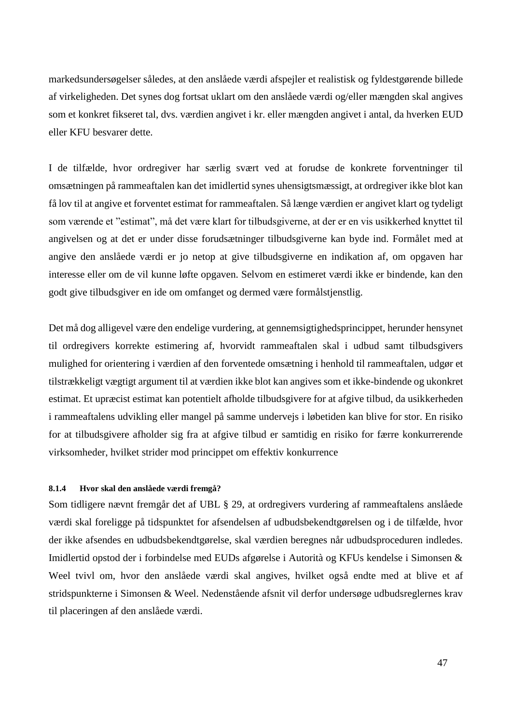markedsundersøgelser således, at den anslåede værdi afspejler et realistisk og fyldestgørende billede af virkeligheden. Det synes dog fortsat uklart om den anslåede værdi og/eller mængden skal angives som et konkret fikseret tal, dvs. værdien angivet i kr. eller mængden angivet i antal, da hverken EUD eller KFU besvarer dette.

I de tilfælde, hvor ordregiver har særlig svært ved at forudse de konkrete forventninger til omsætningen på rammeaftalen kan det imidlertid synes uhensigtsmæssigt, at ordregiver ikke blot kan få lov til at angive et forventet estimat for rammeaftalen. Så længe værdien er angivet klart og tydeligt som værende et "estimat", må det være klart for tilbudsgiverne, at der er en vis usikkerhed knyttet til angivelsen og at det er under disse forudsætninger tilbudsgiverne kan byde ind. Formålet med at angive den anslåede værdi er jo netop at give tilbudsgiverne en indikation af, om opgaven har interesse eller om de vil kunne løfte opgaven. Selvom en estimeret værdi ikke er bindende, kan den godt give tilbudsgiver en ide om omfanget og dermed være formålstjenstlig.

Det må dog alligevel være den endelige vurdering, at gennemsigtighedsprincippet, herunder hensynet til ordregivers korrekte estimering af, hvorvidt rammeaftalen skal i udbud samt tilbudsgivers mulighed for orientering i værdien af den forventede omsætning i henhold til rammeaftalen, udgør et tilstrækkeligt vægtigt argument til at værdien ikke blot kan angives som et ikke-bindende og ukonkret estimat. Et upræcist estimat kan potentielt afholde tilbudsgivere for at afgive tilbud, da usikkerheden i rammeaftalens udvikling eller mangel på samme undervejs i løbetiden kan blive for stor. En risiko for at tilbudsgivere afholder sig fra at afgive tilbud er samtidig en risiko for færre konkurrerende virksomheder, hvilket strider mod princippet om effektiv konkurrence

## **8.1.4 Hvor skal den anslåede værdi fremgå?**

Som tidligere nævnt fremgår det af UBL § 29, at ordregivers vurdering af rammeaftalens anslåede værdi skal foreligge på tidspunktet for afsendelsen af udbudsbekendtgørelsen og i de tilfælde, hvor der ikke afsendes en udbudsbekendtgørelse, skal værdien beregnes når udbudsproceduren indledes. Imidlertid opstod der i forbindelse med EUDs afgørelse i Autorità og KFUs kendelse i Simonsen & Weel tvivl om, hvor den anslåede værdi skal angives, hvilket også endte med at blive et af stridspunkterne i Simonsen & Weel. Nedenstående afsnit vil derfor undersøge udbudsreglernes krav til placeringen af den anslåede værdi.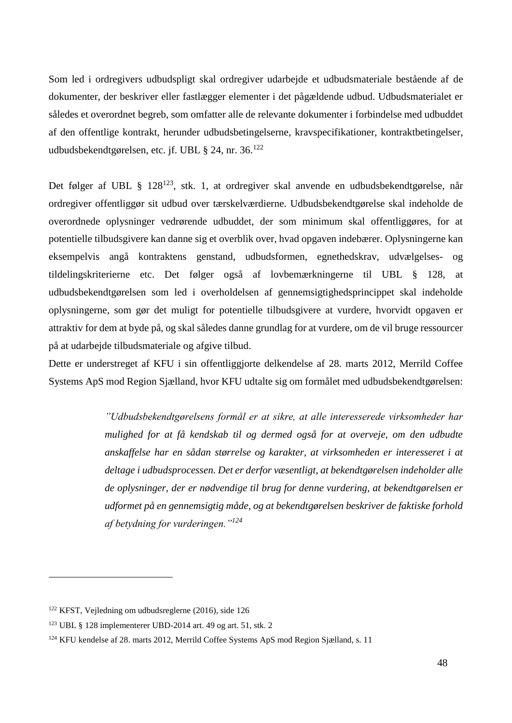Som led i ordregivers udbudspligt skal ordregiver udarbejde et udbudsmateriale bestående af de dokumenter, der beskriver eller fastlægger elementer i det pågældende udbud. Udbudsmaterialet er således et overordnet begreb, som omfatter alle de relevante dokumenter i forbindelse med udbuddet af den offentlige kontrakt, herunder udbudsbetingelserne, kravspecifikationer, kontraktbetingelser, udbudsbekendtgørelsen, etc. jf. UBL § 24, nr. 36.<sup>122</sup>

Det følger af UBL § 128<sup>123</sup>, stk. 1, at ordregiver skal anvende en udbudsbekendtgørelse, når ordregiver offentliggør sit udbud over tærskelværdierne. Udbudsbekendtgørelse skal indeholde de overordnede oplysninger vedrørende udbuddet, der som minimum skal offentliggøres, for at potentielle tilbudsgivere kan danne sig et overblik over, hvad opgaven indebærer. Oplysningerne kan eksempelvis angå kontraktens genstand, udbudsformen, egnethedskrav, udvælgelses- og tildelingskriterierne etc. Det følger også af lovbemærkningerne til UBL § 128, at udbudsbekendtgørelsen som led i overholdelsen af gennemsigtighedsprincippet skal indeholde oplysningerne, som gør det muligt for potentielle tilbudsgivere at vurdere, hvorvidt opgaven er attraktiv for dem at byde på, og skal således danne grundlag for at vurdere, om de vil bruge ressourcer på at udarbejde tilbudsmateriale og afgive tilbud.

Dette er understreget af KFU i sin offentliggjorte delkendelse af 28. marts 2012, Merrild Coffee Systems ApS mod Region Sjælland, hvor KFU udtalte sig om formålet med udbudsbekendtgørelsen:

> *"Udbudsbekendtgørelsens formål er at sikre, at alle interesserede virksomheder har mulighed for at få kendskab til og dermed også for at overveje, om den udbudte anskaffelse har en sådan størrelse og karakter, at virksomheden er interesseret i at deltage i udbudsprocessen. Det er derfor væsentligt, at bekendtgørelsen indeholder alle de oplysninger, der er nødvendige til brug for denne vurdering, at bekendtgørelsen er udformet på en gennemsigtig måde, og at bekendtgørelsen beskriver de faktiske forhold af betydning for vurderingen."<sup>124</sup>*

<sup>122</sup> KFST, Vejledning om udbudsreglerne (2016), side 126

<sup>123</sup> UBL § 128 implementerer UBD-2014 art. 49 og art. 51, stk. 2

<sup>124</sup> KFU kendelse af 28. marts 2012, Merrild Coffee Systems ApS mod Region Sjælland, s. 11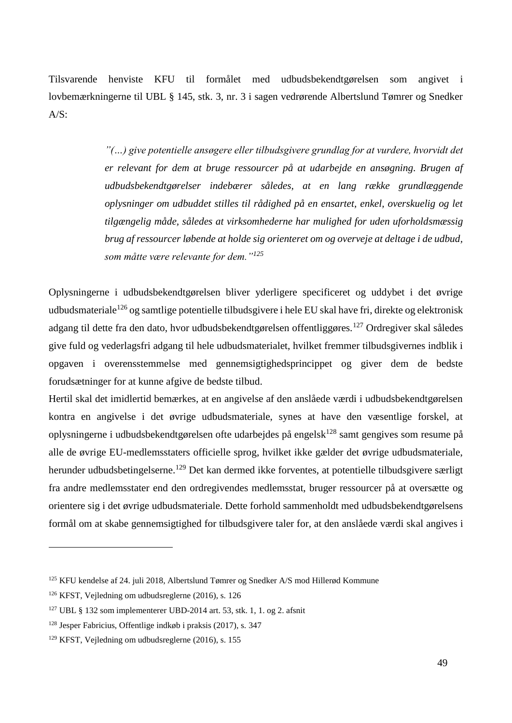Tilsvarende henviste KFU til formålet med udbudsbekendtgørelsen som angivet i lovbemærkningerne til UBL § 145, stk. 3, nr. 3 i sagen vedrørende Albertslund Tømrer og Snedker  $A/S$ :

> *"(…) give potentielle ansøgere eller tilbudsgivere grundlag for at vurdere, hvorvidt det er relevant for dem at bruge ressourcer på at udarbejde en ansøgning. Brugen af udbudsbekendtgørelser indebærer således, at en lang række grundlæggende oplysninger om udbuddet stilles til rådighed på en ensartet, enkel, overskuelig og let tilgængelig måde, således at virksomhederne har mulighed for uden uforholdsmæssig brug af ressourcer løbende at holde sig orienteret om og overveje at deltage i de udbud, som måtte være relevante for dem."<sup>125</sup>*

Oplysningerne i udbudsbekendtgørelsen bliver yderligere specificeret og uddybet i det øvrige udbudsmateriale<sup>126</sup> og samtlige potentielle tilbudsgivere i hele EU skal have fri, direkte og elektronisk adgang til dette fra den dato, hvor udbudsbekendtgørelsen offentliggøres.<sup>127</sup> Ordregiver skal således give fuld og vederlagsfri adgang til hele udbudsmaterialet, hvilket fremmer tilbudsgivernes indblik i opgaven i overensstemmelse med gennemsigtighedsprincippet og giver dem de bedste forudsætninger for at kunne afgive de bedste tilbud.

Hertil skal det imidlertid bemærkes, at en angivelse af den anslåede værdi i udbudsbekendtgørelsen kontra en angivelse i det øvrige udbudsmateriale, synes at have den væsentlige forskel, at oplysningerne i udbudsbekendtgørelsen ofte udarbejdes på engelsk<sup>128</sup> samt gengives som resume på alle de øvrige EU-medlemsstaters officielle sprog, hvilket ikke gælder det øvrige udbudsmateriale, herunder udbudsbetingelserne.<sup>129</sup> Det kan dermed ikke forventes, at potentielle tilbudsgivere særligt fra andre medlemsstater end den ordregivendes medlemsstat, bruger ressourcer på at oversætte og orientere sig i det øvrige udbudsmateriale. Dette forhold sammenholdt med udbudsbekendtgørelsens formål om at skabe gennemsigtighed for tilbudsgivere taler for, at den anslåede værdi skal angives i

<sup>125</sup> KFU kendelse af 24. juli 2018, Albertslund Tømrer og Snedker A/S mod Hillerød Kommune

<sup>126</sup> KFST, Vejledning om udbudsreglerne (2016), s. 126

<sup>127</sup> UBL § 132 som implementerer UBD-2014 art. 53, stk. 1, 1. og 2. afsnit

<sup>128</sup> Jesper Fabricius, Offentlige indkøb i praksis (2017), s. 347

<sup>129</sup> KFST, Vejledning om udbudsreglerne (2016), s. 155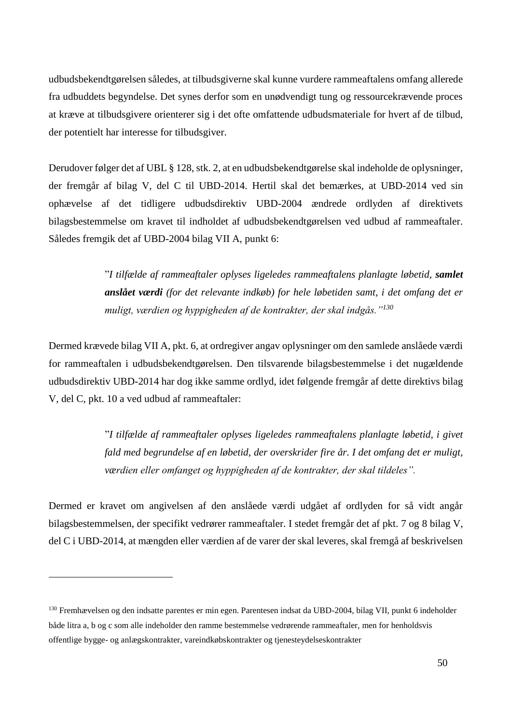udbudsbekendtgørelsen således, at tilbudsgiverne skal kunne vurdere rammeaftalens omfang allerede fra udbuddets begyndelse. Det synes derfor som en unødvendigt tung og ressourcekrævende proces at kræve at tilbudsgivere orienterer sig i det ofte omfattende udbudsmateriale for hvert af de tilbud, der potentielt har interesse for tilbudsgiver.

Derudover følger det af UBL § 128, stk. 2, at en udbudsbekendtgørelse skal indeholde de oplysninger, der fremgår af bilag V, del C til UBD-2014. Hertil skal det bemærkes, at UBD-2014 ved sin ophævelse af det tidligere udbudsdirektiv UBD-2004 ændrede ordlyden af direktivets bilagsbestemmelse om kravet til indholdet af udbudsbekendtgørelsen ved udbud af rammeaftaler. Således fremgik det af UBD-2004 bilag VII A, punkt 6:

> "*I tilfælde af rammeaftaler oplyses ligeledes rammeaftalens planlagte løbetid, samlet anslået værdi (for det relevante indkøb) for hele løbetiden samt, i det omfang det er muligt, værdien og hyppigheden af de kontrakter, der skal indgås."<sup>130</sup>*

Dermed krævede bilag VII A, pkt. 6, at ordregiver angav oplysninger om den samlede anslåede værdi for rammeaftalen i udbudsbekendtgørelsen. Den tilsvarende bilagsbestemmelse i det nugældende udbudsdirektiv UBD-2014 har dog ikke samme ordlyd, idet følgende fremgår af dette direktivs bilag V, del C, pkt. 10 a ved udbud af rammeaftaler:

> "*I tilfælde af rammeaftaler oplyses ligeledes rammeaftalens planlagte løbetid, i givet fald med begrundelse af en løbetid, der overskrider fire år. I det omfang det er muligt, værdien eller omfanget og hyppigheden af de kontrakter, der skal tildeles".*

Dermed er kravet om angivelsen af den anslåede værdi udgået af ordlyden for så vidt angår bilagsbestemmelsen, der specifikt vedrører rammeaftaler. I stedet fremgår det af pkt. 7 og 8 bilag V, del C i UBD-2014, at mængden eller værdien af de varer der skal leveres, skal fremgå af beskrivelsen

<sup>130</sup> Fremhævelsen og den indsatte parentes er min egen. Parentesen indsat da UBD-2004, bilag VII, punkt 6 indeholder både litra a, b og c som alle indeholder den ramme bestemmelse vedrørende rammeaftaler, men for henholdsvis offentlige bygge- og anlægskontrakter, vareindkøbskontrakter og tjenesteydelseskontrakter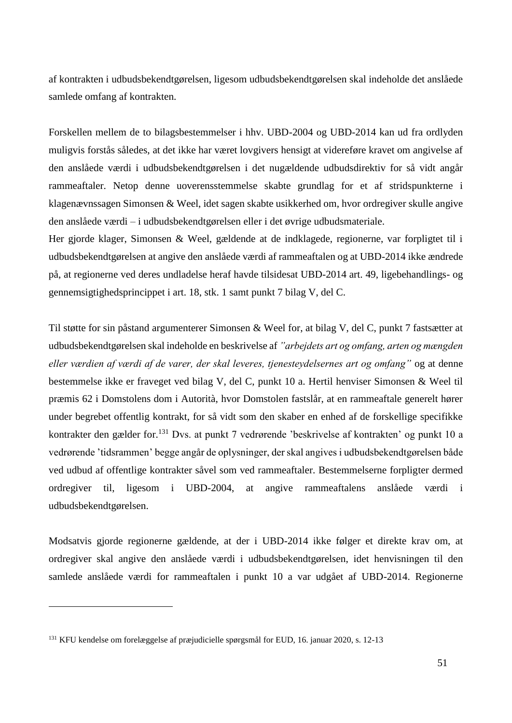af kontrakten i udbudsbekendtgørelsen, ligesom udbudsbekendtgørelsen skal indeholde det anslåede samlede omfang af kontrakten.

Forskellen mellem de to bilagsbestemmelser i hhv. UBD-2004 og UBD-2014 kan ud fra ordlyden muligvis forstås således, at det ikke har været lovgivers hensigt at videreføre kravet om angivelse af den anslåede værdi i udbudsbekendtgørelsen i det nugældende udbudsdirektiv for så vidt angår rammeaftaler. Netop denne uoverensstemmelse skabte grundlag for et af stridspunkterne i klagenævnssagen Simonsen & Weel, idet sagen skabte usikkerhed om, hvor ordregiver skulle angive den anslåede værdi – i udbudsbekendtgørelsen eller i det øvrige udbudsmateriale.

Her gjorde klager, Simonsen & Weel, gældende at de indklagede, regionerne, var forpligtet til i udbudsbekendtgørelsen at angive den anslåede værdi af rammeaftalen og at UBD-2014 ikke ændrede på, at regionerne ved deres undladelse heraf havde tilsidesat UBD-2014 art. 49, ligebehandlings- og gennemsigtighedsprincippet i art. 18, stk. 1 samt punkt 7 bilag V, del C.

Til støtte for sin påstand argumenterer Simonsen & Weel for, at bilag V, del C, punkt 7 fastsætter at udbudsbekendtgørelsen skal indeholde en beskrivelse af *"arbejdets art og omfang, arten og mængden eller værdien af værdi af de varer, der skal leveres, tjenesteydelsernes art og omfang"* og at denne bestemmelse ikke er fraveget ved bilag V, del C, punkt 10 a. Hertil henviser Simonsen & Weel til præmis 62 i Domstolens dom i Autorità, hvor Domstolen fastslår, at en rammeaftale generelt hører under begrebet offentlig kontrakt, for så vidt som den skaber en enhed af de forskellige specifikke kontrakter den gælder for.<sup>131</sup> Dvs. at punkt 7 vedrørende 'beskrivelse af kontrakten' og punkt 10 a vedrørende 'tidsrammen' begge angår de oplysninger, der skal angives i udbudsbekendtgørelsen både ved udbud af offentlige kontrakter såvel som ved rammeaftaler. Bestemmelserne forpligter dermed ordregiver til, ligesom i UBD-2004, at angive rammeaftalens anslåede værdi i udbudsbekendtgørelsen.

Modsatvis gjorde regionerne gældende, at der i UBD-2014 ikke følger et direkte krav om, at ordregiver skal angive den anslåede værdi i udbudsbekendtgørelsen, idet henvisningen til den samlede anslåede værdi for rammeaftalen i punkt 10 a var udgået af UBD-2014. Regionerne

<sup>131</sup> KFU kendelse om forelæggelse af præjudicielle spørgsmål for EUD, 16. januar 2020, s. 12-13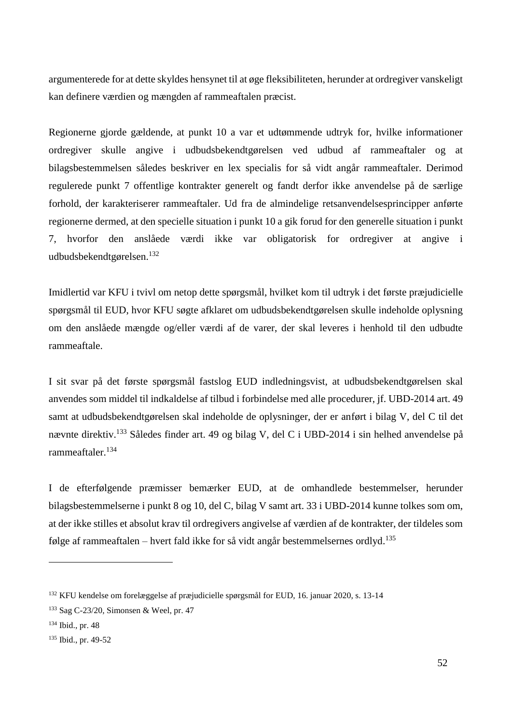argumenterede for at dette skyldes hensynet til at øge fleksibiliteten, herunder at ordregiver vanskeligt kan definere værdien og mængden af rammeaftalen præcist.

Regionerne gjorde gældende, at punkt 10 a var et udtømmende udtryk for, hvilke informationer ordregiver skulle angive i udbudsbekendtgørelsen ved udbud af rammeaftaler og at bilagsbestemmelsen således beskriver en lex specialis for så vidt angår rammeaftaler. Derimod regulerede punkt 7 offentlige kontrakter generelt og fandt derfor ikke anvendelse på de særlige forhold, der karakteriserer rammeaftaler. Ud fra de almindelige retsanvendelsesprincipper anførte regionerne dermed, at den specielle situation i punkt 10 a gik forud for den generelle situation i punkt 7, hvorfor den anslåede værdi ikke var obligatorisk for ordregiver at angive i udbudsbekendtgørelsen.<sup>132</sup>

Imidlertid var KFU i tvivl om netop dette spørgsmål, hvilket kom til udtryk i det første præjudicielle spørgsmål til EUD, hvor KFU søgte afklaret om udbudsbekendtgørelsen skulle indeholde oplysning om den anslåede mængde og/eller værdi af de varer, der skal leveres i henhold til den udbudte rammeaftale.

I sit svar på det første spørgsmål fastslog EUD indledningsvist, at udbudsbekendtgørelsen skal anvendes som middel til indkaldelse af tilbud i forbindelse med alle procedurer, jf. UBD-2014 art. 49 samt at udbudsbekendtgørelsen skal indeholde de oplysninger, der er anført i bilag V, del C til det nævnte direktiv.<sup>133</sup> Således finder art. 49 og bilag V, del C i UBD-2014 i sin helhed anvendelse på rammeaftaler.<sup>134</sup>

I de efterfølgende præmisser bemærker EUD, at de omhandlede bestemmelser, herunder bilagsbestemmelserne i punkt 8 og 10, del C, bilag V samt art. 33 i UBD-2014 kunne tolkes som om, at der ikke stilles et absolut krav til ordregivers angivelse af værdien af de kontrakter, der tildeles som følge af rammeaftalen – hvert fald ikke for så vidt angår bestemmelsernes ordlyd.<sup>135</sup>

<sup>132</sup> KFU kendelse om forelæggelse af præjudicielle spørgsmål for EUD, 16. januar 2020, s. 13-14

<sup>133</sup> Sag C-23/20, Simonsen & Weel, pr. 47

<sup>134</sup> Ibid., pr. 48

<sup>135</sup> Ibid., pr. 49-52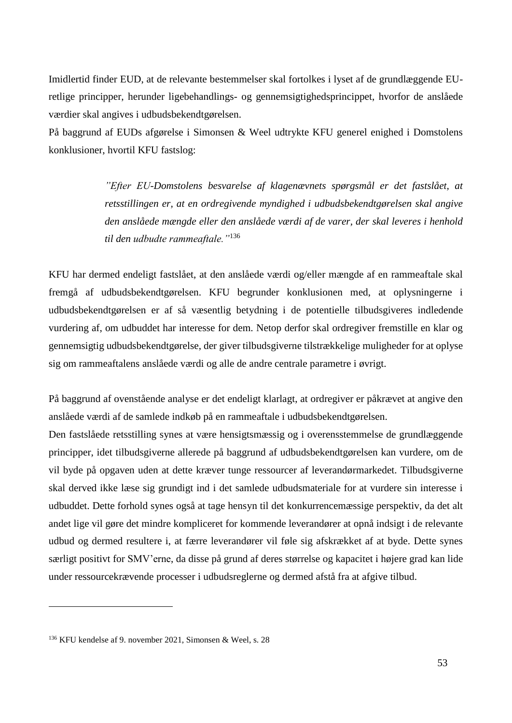Imidlertid finder EUD, at de relevante bestemmelser skal fortolkes i lyset af de grundlæggende EUretlige principper, herunder ligebehandlings- og gennemsigtighedsprincippet, hvorfor de anslåede værdier skal angives i udbudsbekendtgørelsen.

På baggrund af EUDs afgørelse i Simonsen & Weel udtrykte KFU generel enighed i Domstolens konklusioner, hvortil KFU fastslog:

> *"Efter EU-Domstolens besvarelse af klagenævnets spørgsmål er det fastslået, at retsstillingen er, at en ordregivende myndighed i udbudsbekendtgørelsen skal angive den anslåede mængde eller den anslåede værdi af de varer, der skal leveres i henhold til den udbudte rammeaftale."*<sup>136</sup>

KFU har dermed endeligt fastslået, at den anslåede værdi og/eller mængde af en rammeaftale skal fremgå af udbudsbekendtgørelsen. KFU begrunder konklusionen med, at oplysningerne i udbudsbekendtgørelsen er af så væsentlig betydning i de potentielle tilbudsgiveres indledende vurdering af, om udbuddet har interesse for dem. Netop derfor skal ordregiver fremstille en klar og gennemsigtig udbudsbekendtgørelse, der giver tilbudsgiverne tilstrækkelige muligheder for at oplyse sig om rammeaftalens anslåede værdi og alle de andre centrale parametre i øvrigt.

På baggrund af ovenstående analyse er det endeligt klarlagt, at ordregiver er påkrævet at angive den anslåede værdi af de samlede indkøb på en rammeaftale i udbudsbekendtgørelsen.

Den fastslåede retsstilling synes at være hensigtsmæssig og i overensstemmelse de grundlæggende principper, idet tilbudsgiverne allerede på baggrund af udbudsbekendtgørelsen kan vurdere, om de vil byde på opgaven uden at dette kræver tunge ressourcer af leverandørmarkedet. Tilbudsgiverne skal derved ikke læse sig grundigt ind i det samlede udbudsmateriale for at vurdere sin interesse i udbuddet. Dette forhold synes også at tage hensyn til det konkurrencemæssige perspektiv, da det alt andet lige vil gøre det mindre kompliceret for kommende leverandører at opnå indsigt i de relevante udbud og dermed resultere i, at færre leverandører vil føle sig afskrækket af at byde. Dette synes særligt positivt for SMV'erne, da disse på grund af deres størrelse og kapacitet i højere grad kan lide under ressourcekrævende processer i udbudsreglerne og dermed afstå fra at afgive tilbud.

<sup>136</sup> KFU kendelse af 9. november 2021, Simonsen & Weel, s. 28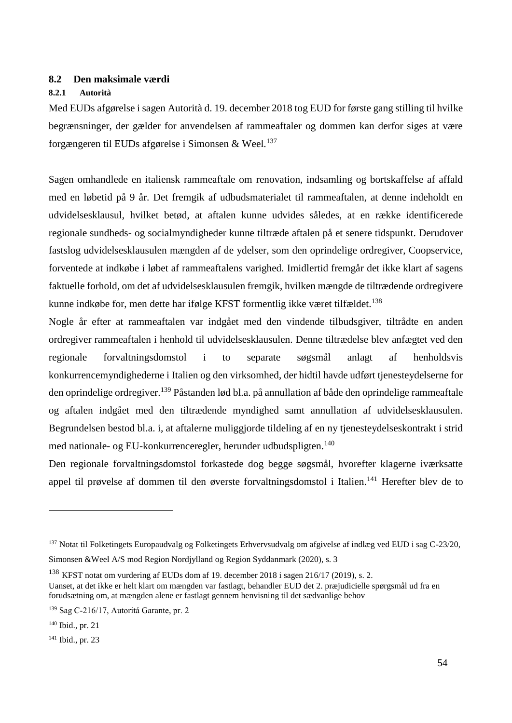## **8.2 Den maksimale værdi**

#### **8.2.1 Autorità**

Med EUDs afgørelse i sagen Autorità d. 19. december 2018 tog EUD for første gang stilling til hvilke begrænsninger, der gælder for anvendelsen af rammeaftaler og dommen kan derfor siges at være forgængeren til EUDs afgørelse i Simonsen & Weel.<sup>137</sup>

Sagen omhandlede en italiensk rammeaftale om renovation, indsamling og bortskaffelse af affald med en løbetid på 9 år. Det fremgik af udbudsmaterialet til rammeaftalen, at denne indeholdt en udvidelsesklausul, hvilket betød, at aftalen kunne udvides således, at en række identificerede regionale sundheds- og socialmyndigheder kunne tiltræde aftalen på et senere tidspunkt. Derudover fastslog udvidelsesklausulen mængden af de ydelser, som den oprindelige ordregiver, Coopservice, forventede at indkøbe i løbet af rammeaftalens varighed. Imidlertid fremgår det ikke klart af sagens faktuelle forhold, om det af udvidelsesklausulen fremgik, hvilken mængde de tiltrædende ordregivere kunne indkøbe for, men dette har ifølge KFST formentlig ikke været tilfældet.<sup>138</sup>

Nogle år efter at rammeaftalen var indgået med den vindende tilbudsgiver, tiltrådte en anden ordregiver rammeaftalen i henhold til udvidelsesklausulen. Denne tiltrædelse blev anfægtet ved den regionale forvaltningsdomstol i to separate søgsmål anlagt af henholdsvis konkurrencemyndighederne i Italien og den virksomhed, der hidtil havde udført tjenesteydelserne for den oprindelige ordregiver.<sup>139</sup> Påstanden lød bl.a. på annullation af både den oprindelige rammeaftale og aftalen indgået med den tiltrædende myndighed samt annullation af udvidelsesklausulen. Begrundelsen bestod bl.a. i, at aftalerne muliggjorde tildeling af en ny tjenesteydelseskontrakt i strid med nationale- og EU-konkurrenceregler, herunder udbudspligten.<sup>140</sup>

Den regionale forvaltningsdomstol forkastede dog begge søgsmål, hvorefter klagerne iværksatte appel til prøvelse af dommen til den øverste forvaltningsdomstol i Italien.<sup>141</sup> Herefter blev de to

<sup>&</sup>lt;sup>137</sup> Notat til Folketingets Europaudvalg og Folketingets Erhvervsudvalg om afgivelse af indlæg ved EUD i sag C-23/20, Simonsen &Weel A/S mod Region Nordjylland og Region Syddanmark (2020), s. 3

<sup>138</sup> KFST notat om vurdering af EUDs dom af 19. december 2018 i sagen 216/17 (2019), s. 2. Uanset, at det ikke er helt klart om mængden var fastlagt, behandler EUD det 2. præjudicielle spørgsmål ud fra en

forudsætning om, at mængden alene er fastlagt gennem henvisning til det sædvanlige behov

<sup>139</sup> Sag C-216/17, Autoritá Garante, pr. 2

<sup>140</sup> Ibid., pr. 21

<sup>141</sup> Ibid., pr. 23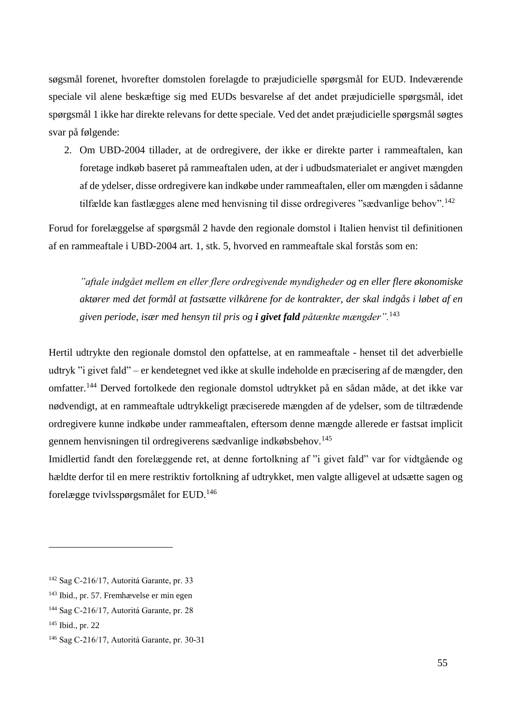søgsmål forenet, hvorefter domstolen forelagde to præjudicielle spørgsmål for EUD. Indeværende speciale vil alene beskæftige sig med EUDs besvarelse af det andet præjudicielle spørgsmål, idet spørgsmål 1 ikke har direkte relevans for dette speciale. Ved det andet præjudicielle spørgsmål søgtes svar på følgende:

2. Om UBD-2004 tillader, at de ordregivere, der ikke er direkte parter i rammeaftalen, kan foretage indkøb baseret på rammeaftalen uden, at der i udbudsmaterialet er angivet mængden af de ydelser, disse ordregivere kan indkøbe under rammeaftalen, eller om mængden i sådanne tilfælde kan fastlægges alene med henvisning til disse ordregiveres "sædvanlige behov".<sup>142</sup>

Forud for forelæggelse af spørgsmål 2 havde den regionale domstol i Italien henvist til definitionen af en rammeaftale i UBD-2004 art. 1, stk. 5, hvorved en rammeaftale skal forstås som en:

*"aftale indgået mellem en eller flere ordregivende myndigheder og en eller flere økonomiske aktører med det formål at fastsætte vilkårene for de kontrakter, der skal indgås i løbet af en given periode, især med hensyn til pris og i givet fald påtænkte mængder".*<sup>143</sup>

Hertil udtrykte den regionale domstol den opfattelse, at en rammeaftale - henset til det adverbielle udtryk "i givet fald" – er kendetegnet ved ikke at skulle indeholde en præcisering af de mængder, den omfatter.<sup>144</sup> Derved fortolkede den regionale domstol udtrykket på en sådan måde, at det ikke var nødvendigt, at en rammeaftale udtrykkeligt præciserede mængden af de ydelser, som de tiltrædende ordregivere kunne indkøbe under rammeaftalen, eftersom denne mængde allerede er fastsat implicit gennem henvisningen til ordregiverens sædvanlige indkøbsbehov.<sup>145</sup>

Imidlertid fandt den forelæggende ret, at denne fortolkning af "i givet fald" var for vidtgående og hældte derfor til en mere restriktiv fortolkning af udtrykket, men valgte alligevel at udsætte sagen og forelægge tvivlsspørgsmålet for EUD.<sup>146</sup>

<sup>142</sup> Sag C-216/17, Autoritá Garante, pr. 33

<sup>143</sup> Ibid., pr. 57. Fremhævelse er min egen

<sup>144</sup> Sag C-216/17, Autoritá Garante, pr. 28

<sup>145</sup> Ibid., pr. 22

<sup>146</sup> Sag C-216/17, Autoritá Garante, pr. 30-31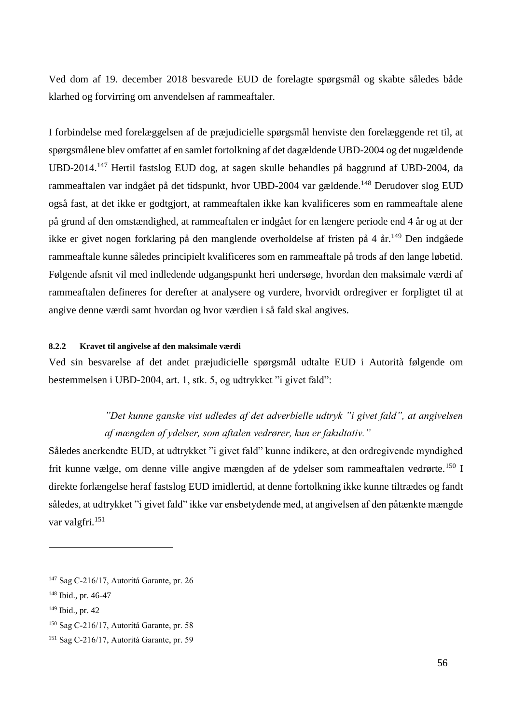Ved dom af 19. december 2018 besvarede EUD de forelagte spørgsmål og skabte således både klarhed og forvirring om anvendelsen af rammeaftaler.

I forbindelse med forelæggelsen af de præjudicielle spørgsmål henviste den forelæggende ret til, at spørgsmålene blev omfattet af en samlet fortolkning af det dagældende UBD-2004 og det nugældende UBD-2014.<sup>147</sup> Hertil fastslog EUD dog, at sagen skulle behandles på baggrund af UBD-2004, da rammeaftalen var indgået på det tidspunkt, hvor UBD-2004 var gældende.<sup>148</sup> Derudover slog EUD også fast, at det ikke er godtgjort, at rammeaftalen ikke kan kvalificeres som en rammeaftale alene på grund af den omstændighed, at rammeaftalen er indgået for en længere periode end 4 år og at der ikke er givet nogen forklaring på den manglende overholdelse af fristen på 4 år.<sup>149</sup> Den indgåede rammeaftale kunne således principielt kvalificeres som en rammeaftale på trods af den lange løbetid. Følgende afsnit vil med indledende udgangspunkt heri undersøge, hvordan den maksimale værdi af rammeaftalen defineres for derefter at analysere og vurdere, hvorvidt ordregiver er forpligtet til at angive denne værdi samt hvordan og hvor værdien i så fald skal angives.

## **8.2.2 Kravet til angivelse af den maksimale værdi**

Ved sin besvarelse af det andet præjudicielle spørgsmål udtalte EUD i Autorità følgende om bestemmelsen i UBD-2004, art. 1, stk. 5, og udtrykket "i givet fald":

# *"Det kunne ganske vist udledes af det adverbielle udtryk "i givet fald", at angivelsen af mængden af ydelser, som aftalen vedrører, kun er fakultativ."*

Således anerkendte EUD, at udtrykket "i givet fald" kunne indikere, at den ordregivende myndighed frit kunne vælge, om denne ville angive mængden af de ydelser som rammeaftalen vedrørte.<sup>150</sup> I direkte forlængelse heraf fastslog EUD imidlertid, at denne fortolkning ikke kunne tiltrædes og fandt således, at udtrykket "i givet fald" ikke var ensbetydende med, at angivelsen af den påtænkte mængde var valgfri.<sup>151</sup>

<sup>147</sup> Sag C-216/17, Autoritá Garante, pr. 26

<sup>148</sup> Ibid., pr. 46-47

<sup>149</sup> Ibid., pr. 42

<sup>150</sup> Sag C-216/17, Autoritá Garante, pr. 58

<sup>151</sup> Sag C-216/17, Autoritá Garante, pr. 59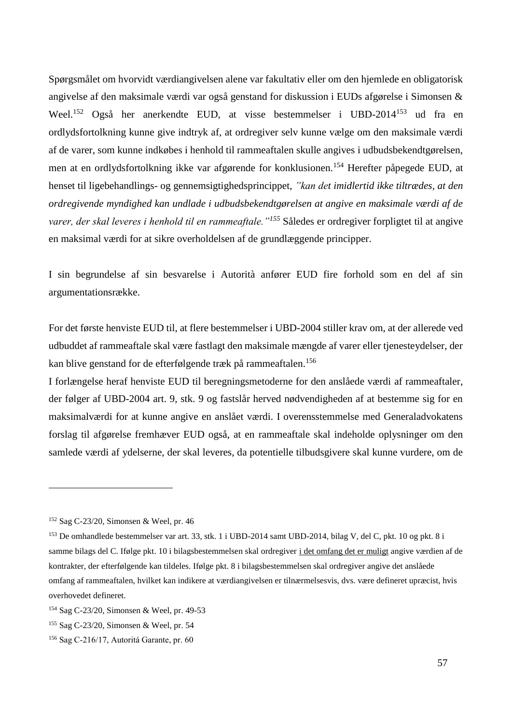Spørgsmålet om hvorvidt værdiangivelsen alene var fakultativ eller om den hjemlede en obligatorisk angivelse af den maksimale værdi var også genstand for diskussion i EUDs afgørelse i Simonsen & Weel.<sup>152</sup> Også her anerkendte EUD, at visse bestemmelser i UBD-2014<sup>153</sup> ud fra en ordlydsfortolkning kunne give indtryk af, at ordregiver selv kunne vælge om den maksimale værdi af de varer, som kunne indkøbes i henhold til rammeaftalen skulle angives i udbudsbekendtgørelsen, men at en ordlydsfortolkning ikke var afgørende for konklusionen.<sup>154</sup> Herefter påpegede EUD, at henset til ligebehandlings- og gennemsigtighedsprincippet, *"kan det imidlertid ikke tiltrædes, at den ordregivende myndighed kan undlade i udbudsbekendtgørelsen at angive en maksimale værdi af de varer, der skal leveres i henhold til en rammeaftale."<sup>155</sup>* Således er ordregiver forpligtet til at angive en maksimal værdi for at sikre overholdelsen af de grundlæggende principper.

I sin begrundelse af sin besvarelse i Autorità anfører EUD fire forhold som en del af sin argumentationsrække.

For det første henviste EUD til, at flere bestemmelser i UBD-2004 stiller krav om, at der allerede ved udbuddet af rammeaftale skal være fastlagt den maksimale mængde af varer eller tjenesteydelser, der kan blive genstand for de efterfølgende træk på rammeaftalen.<sup>156</sup>

I forlængelse heraf henviste EUD til beregningsmetoderne for den anslåede værdi af rammeaftaler, der følger af UBD-2004 art. 9, stk. 9 og fastslår herved nødvendigheden af at bestemme sig for en maksimalværdi for at kunne angive en anslået værdi. I overensstemmelse med Generaladvokatens forslag til afgørelse fremhæver EUD også, at en rammeaftale skal indeholde oplysninger om den samlede værdi af ydelserne, der skal leveres, da potentielle tilbudsgivere skal kunne vurdere, om de

<sup>152</sup> Sag C-23/20, Simonsen & Weel, pr. 46

<sup>&</sup>lt;sup>153</sup> De omhandlede bestemmelser var art. 33, stk. 1 i UBD-2014 samt UBD-2014, bilag V, del C, pkt. 10 og pkt. 8 i samme bilags del C. Ifølge pkt. 10 i bilagsbestemmelsen skal ordregiver i det omfang det er muligt angive værdien af de kontrakter, der efterfølgende kan tildeles. Ifølge pkt. 8 i bilagsbestemmelsen skal ordregiver angive det anslåede omfang af rammeaftalen, hvilket kan indikere at værdiangivelsen er tilnærmelsesvis, dvs. være defineret upræcist, hvis overhovedet defineret.

<sup>154</sup> Sag C-23/20, Simonsen & Weel, pr. 49-53

<sup>155</sup> Sag C-23/20, Simonsen & Weel, pr. 54

<sup>156</sup> Sag C-216/17, Autoritá Garante, pr. 60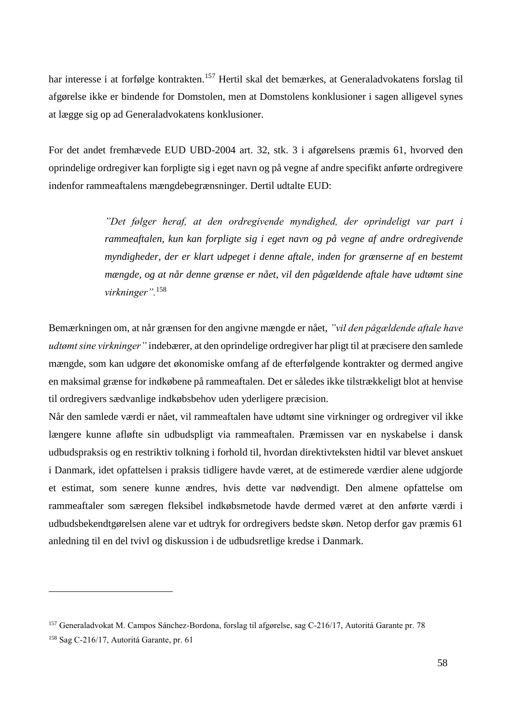har interesse i at forfølge kontrakten.<sup>157</sup> Hertil skal det bemærkes, at Generaladvokatens forslag til afgørelse ikke er bindende for Domstolen, men at Domstolens konklusioner i sagen alligevel synes at lægge sig op ad Generaladvokatens konklusioner.

For det andet fremhævede EUD UBD-2004 art. 32, stk. 3 i afgørelsens præmis 61, hvorved den oprindelige ordregiver kan forpligte sig i eget navn og på vegne af andre specifikt anførte ordregivere indenfor rammeaftalens mængdebegrænsninger. Dertil udtalte EUD:

> *"Det følger heraf, at den ordregivende myndighed, der oprindeligt var part i rammeaftalen, kun kan forpligte sig i eget navn og på vegne af andre ordregivende myndigheder, der er klart udpeget i denne aftale, inden for grænserne af en bestemt mængde, og at når denne grænse er nået, vil den pågældende aftale have udtømt sine virkninger".*<sup>158</sup>

Bemærkningen om, at når grænsen for den angivne mængde er nået, *"vil den pågældende aftale have udtømt sine virkninger"* indebærer, at den oprindelige ordregiver har pligt til at præcisere den samlede mængde, som kan udgøre det økonomiske omfang af de efterfølgende kontrakter og dermed angive en maksimal grænse for indkøbene på rammeaftalen. Det er således ikke tilstrækkeligt blot at henvise til ordregivers sædvanlige indkøbsbehov uden yderligere præcision.

Når den samlede værdi er nået, vil rammeaftalen have udtømt sine virkninger og ordregiver vil ikke længere kunne afløfte sin udbudspligt via rammeaftalen. Præmissen var en nyskabelse i dansk udbudspraksis og en restriktiv tolkning i forhold til, hvordan direktivteksten hidtil var blevet anskuet i Danmark, idet opfattelsen i praksis tidligere havde været, at de estimerede værdier alene udgjorde et estimat, som senere kunne ændres, hvis dette var nødvendigt. Den almene opfattelse om rammeaftaler som særegen fleksibel indkøbsmetode havde dermed været at den anførte værdi i udbudsbekendtgørelsen alene var et udtryk for ordregivers bedste skøn. Netop derfor gav præmis 61 anledning til en del tvivl og diskussion i de udbudsretlige kredse i Danmark.

<sup>157</sup> Generaladvokat M. Campos Sánchez-Bordona, forslag til afgørelse, sag C-216/17, Autoritá Garante pr. 78

<sup>158</sup> Sag C-216/17, Autoritá Garante, pr. 61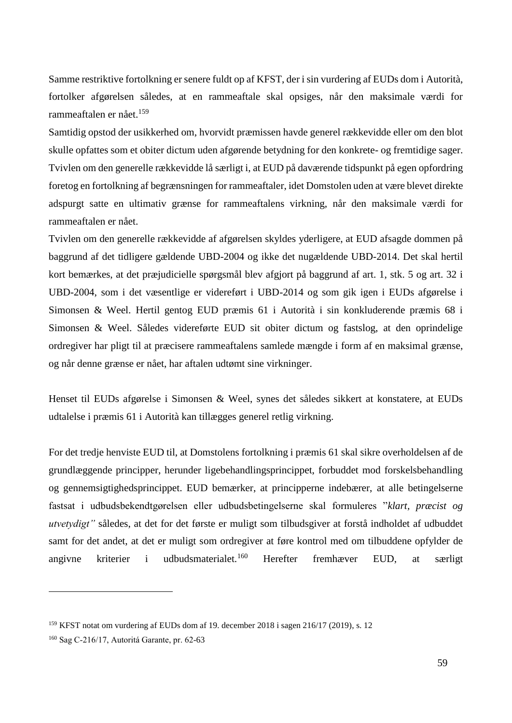Samme restriktive fortolkning er senere fuldt op af KFST, der i sin vurdering af EUDs dom i Autorità, fortolker afgørelsen således, at en rammeaftale skal opsiges, når den maksimale værdi for rammeaftalen er nået.<sup>159</sup>

Samtidig opstod der usikkerhed om, hvorvidt præmissen havde generel rækkevidde eller om den blot skulle opfattes som et obiter dictum uden afgørende betydning for den konkrete- og fremtidige sager. Tvivlen om den generelle rækkevidde lå særligt i, at EUD på daværende tidspunkt på egen opfordring foretog en fortolkning af begrænsningen for rammeaftaler, idet Domstolen uden at være blevet direkte adspurgt satte en ultimativ grænse for rammeaftalens virkning, når den maksimale værdi for rammeaftalen er nået.

Tvivlen om den generelle rækkevidde af afgørelsen skyldes yderligere, at EUD afsagde dommen på baggrund af det tidligere gældende UBD-2004 og ikke det nugældende UBD-2014. Det skal hertil kort bemærkes, at det præjudicielle spørgsmål blev afgjort på baggrund af art. 1, stk. 5 og art. 32 i UBD-2004, som i det væsentlige er videreført i UBD-2014 og som gik igen i EUDs afgørelse i Simonsen & Weel. Hertil gentog EUD præmis 61 i Autorità i sin konkluderende præmis 68 i Simonsen & Weel. Således videreførte EUD sit obiter dictum og fastslog, at den oprindelige ordregiver har pligt til at præcisere rammeaftalens samlede mængde i form af en maksimal grænse, og når denne grænse er nået, har aftalen udtømt sine virkninger.

Henset til EUDs afgørelse i Simonsen & Weel, synes det således sikkert at konstatere, at EUDs udtalelse i præmis 61 i Autorità kan tillægges generel retlig virkning.

For det tredje henviste EUD til, at Domstolens fortolkning i præmis 61 skal sikre overholdelsen af de grundlæggende principper, herunder ligebehandlingsprincippet, forbuddet mod forskelsbehandling og gennemsigtighedsprincippet. EUD bemærker, at principperne indebærer, at alle betingelserne fastsat i udbudsbekendtgørelsen eller udbudsbetingelserne skal formuleres "*klart, præcist og utvetydigt"* således, at det for det første er muligt som tilbudsgiver at forstå indholdet af udbuddet samt for det andet, at det er muligt som ordregiver at føre kontrol med om tilbuddene opfylder de angivne kriterier i udbudsmaterialet.<sup>160</sup> Herefter fremhæver EUD, at særligt

<sup>159</sup> KFST notat om vurdering af EUDs dom af 19. december 2018 i sagen 216/17 (2019), s. 12

<sup>160</sup> Sag C-216/17, Autoritá Garante, pr. 62-63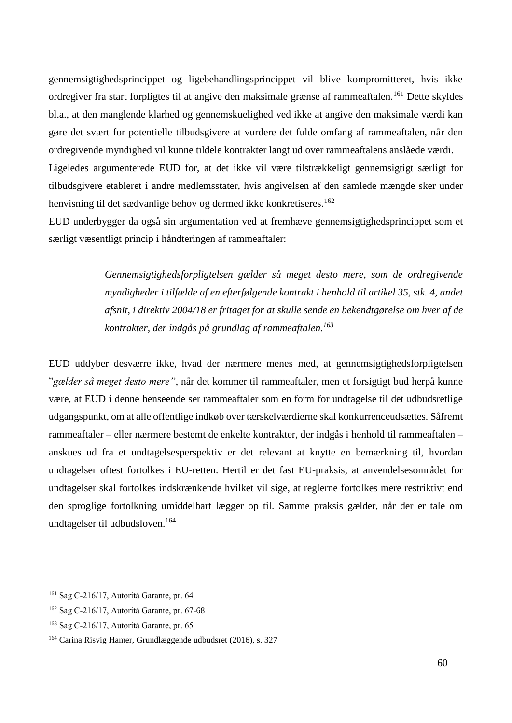gennemsigtighedsprincippet og ligebehandlingsprincippet vil blive kompromitteret, hvis ikke ordregiver fra start forpligtes til at angive den maksimale grænse af rammeaftalen.<sup>161</sup> Dette skyldes bl.a., at den manglende klarhed og gennemskuelighed ved ikke at angive den maksimale værdi kan gøre det svært for potentielle tilbudsgivere at vurdere det fulde omfang af rammeaftalen, når den ordregivende myndighed vil kunne tildele kontrakter langt ud over rammeaftalens anslåede værdi. Ligeledes argumenterede EUD for, at det ikke vil være tilstrækkeligt gennemsigtigt særligt for tilbudsgivere etableret i andre medlemsstater, hvis angivelsen af den samlede mængde sker under henvisning til det sædvanlige behov og dermed ikke konkretiseres.<sup>162</sup>

EUD underbygger da også sin argumentation ved at fremhæve gennemsigtighedsprincippet som et særligt væsentligt princip i håndteringen af rammeaftaler:

> *Gennemsigtighedsforpligtelsen gælder så meget desto mere, som de ordregivende myndigheder i tilfælde af en efterfølgende kontrakt i henhold til artikel 35, stk. 4, andet afsnit, i direktiv 2004/18 er fritaget for at skulle sende en bekendtgørelse om hver af de kontrakter, der indgås på grundlag af rammeaftalen.<sup>163</sup>*

EUD uddyber desværre ikke, hvad der nærmere menes med, at gennemsigtighedsforpligtelsen "*gælder så meget desto mere"*, når det kommer til rammeaftaler, men et forsigtigt bud herpå kunne være, at EUD i denne henseende ser rammeaftaler som en form for undtagelse til det udbudsretlige udgangspunkt, om at alle offentlige indkøb over tærskelværdierne skal konkurrenceudsættes. Såfremt rammeaftaler – eller nærmere bestemt de enkelte kontrakter, der indgås i henhold til rammeaftalen – anskues ud fra et undtagelsesperspektiv er det relevant at knytte en bemærkning til, hvordan undtagelser oftest fortolkes i EU-retten. Hertil er det fast EU-praksis, at anvendelsesområdet for undtagelser skal fortolkes indskrænkende hvilket vil sige, at reglerne fortolkes mere restriktivt end den sproglige fortolkning umiddelbart lægger op til. Samme praksis gælder, når der er tale om undtagelser til udbudsloven.<sup>164</sup>

<sup>161</sup> Sag C-216/17, Autoritá Garante, pr. 64

<sup>162</sup> Sag C-216/17, Autoritá Garante, pr. 67-68

<sup>163</sup> Sag C-216/17, Autoritá Garante, pr. 65

<sup>164</sup> Carina Risvig Hamer, Grundlæggende udbudsret (2016), s. 327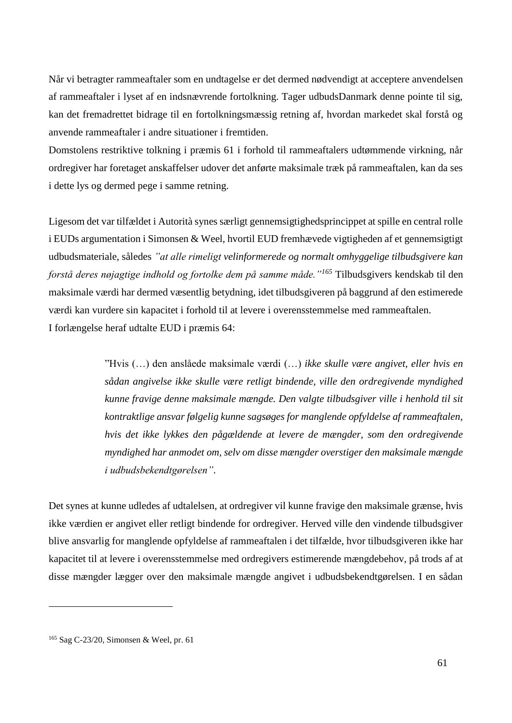Når vi betragter rammeaftaler som en undtagelse er det dermed nødvendigt at acceptere anvendelsen af rammeaftaler i lyset af en indsnævrende fortolkning. Tager udbudsDanmark denne pointe til sig, kan det fremadrettet bidrage til en fortolkningsmæssig retning af, hvordan markedet skal forstå og anvende rammeaftaler i andre situationer i fremtiden.

Domstolens restriktive tolkning i præmis 61 i forhold til rammeaftalers udtømmende virkning, når ordregiver har foretaget anskaffelser udover det anførte maksimale træk på rammeaftalen, kan da ses i dette lys og dermed pege i samme retning.

Ligesom det var tilfældet i Autorità synes særligt gennemsigtighedsprincippet at spille en central rolle i EUDs argumentation i Simonsen & Weel, hvortil EUD fremhævede vigtigheden af et gennemsigtigt udbudsmateriale, således *"at alle rimeligt velinformerede og normalt omhyggelige tilbudsgivere kan forstå deres nøjagtige indhold og fortolke dem på samme måde."<sup>165</sup>* Tilbudsgivers kendskab til den maksimale værdi har dermed væsentlig betydning, idet tilbudsgiveren på baggrund af den estimerede værdi kan vurdere sin kapacitet i forhold til at levere i overensstemmelse med rammeaftalen. I forlængelse heraf udtalte EUD i præmis 64:

> "Hvis (…) den anslåede maksimale værdi (…) *ikke skulle være angivet, eller hvis en sådan angivelse ikke skulle være retligt bindende, ville den ordregivende myndighed kunne fravige denne maksimale mængde. Den valgte tilbudsgiver ville i henhold til sit kontraktlige ansvar følgelig kunne sagsøges for manglende opfyldelse af rammeaftalen, hvis det ikke lykkes den pågældende at levere de mængder, som den ordregivende myndighed har anmodet om, selv om disse mængder overstiger den maksimale mængde i udbudsbekendtgørelsen"*.

Det synes at kunne udledes af udtalelsen, at ordregiver vil kunne fravige den maksimale grænse, hvis ikke værdien er angivet eller retligt bindende for ordregiver. Herved ville den vindende tilbudsgiver blive ansvarlig for manglende opfyldelse af rammeaftalen i det tilfælde, hvor tilbudsgiveren ikke har kapacitet til at levere i overensstemmelse med ordregivers estimerende mængdebehov, på trods af at disse mængder lægger over den maksimale mængde angivet i udbudsbekendtgørelsen. I en sådan

<sup>165</sup> Sag C-23/20, Simonsen & Weel, pr. 61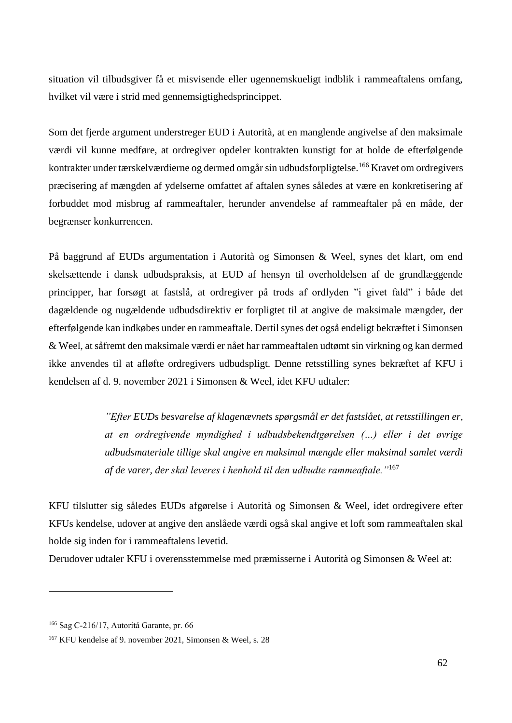situation vil tilbudsgiver få et misvisende eller ugennemskueligt indblik i rammeaftalens omfang, hvilket vil være i strid med gennemsigtighedsprincippet.

Som det fjerde argument understreger EUD i Autorità, at en manglende angivelse af den maksimale værdi vil kunne medføre, at ordregiver opdeler kontrakten kunstigt for at holde de efterfølgende kontrakter under tærskelværdierne og dermed omgår sin udbudsforpligtelse.<sup>166</sup> Kravet om ordregivers præcisering af mængden af ydelserne omfattet af aftalen synes således at være en konkretisering af forbuddet mod misbrug af rammeaftaler, herunder anvendelse af rammeaftaler på en måde, der begrænser konkurrencen.

På baggrund af EUDs argumentation i Autorità og Simonsen & Weel, synes det klart, om end skelsættende i dansk udbudspraksis, at EUD af hensyn til overholdelsen af de grundlæggende principper, har forsøgt at fastslå, at ordregiver på trods af ordlyden "i givet fald" i både det dagældende og nugældende udbudsdirektiv er forpligtet til at angive de maksimale mængder, der efterfølgende kan indkøbes under en rammeaftale. Dertil synes det også endeligt bekræftet i Simonsen & Weel, at såfremt den maksimale værdi er nået har rammeaftalen udtømt sin virkning og kan dermed ikke anvendes til at afløfte ordregivers udbudspligt. Denne retsstilling synes bekræftet af KFU i kendelsen af d. 9. november 2021 i Simonsen & Weel, idet KFU udtaler:

> *"Efter EUDs besvarelse af klagenævnets spørgsmål er det fastslået, at retsstillingen er, at en ordregivende myndighed i udbudsbekendtgørelsen (…) eller i det øvrige udbudsmateriale tillige skal angive en maksimal mængde eller maksimal samlet værdi af de varer, der skal leveres i henhold til den udbudte rammeaftale."*<sup>167</sup>

KFU tilslutter sig således EUDs afgørelse i Autorità og Simonsen & Weel, idet ordregivere efter KFUs kendelse, udover at angive den anslåede værdi også skal angive et loft som rammeaftalen skal holde sig inden for i rammeaftalens levetid.

Derudover udtaler KFU i overensstemmelse med præmisserne i Autorità og Simonsen & Weel at:

<sup>166</sup> Sag C-216/17, Autoritá Garante, pr. 66

<sup>167</sup> KFU kendelse af 9. november 2021, Simonsen & Weel, s. 28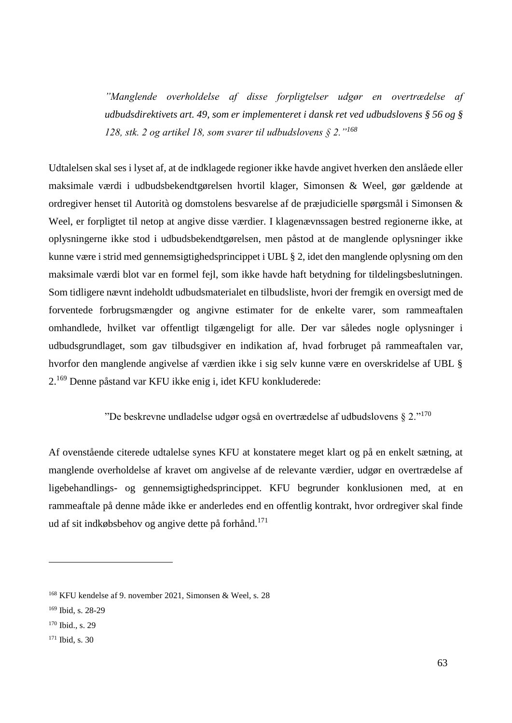*"Manglende overholdelse af disse forpligtelser udgør en overtrædelse af udbudsdirektivets art. 49, som er implementeret i dansk ret ved udbudslovens § 56 og § 128, stk. 2 og artikel 18, som svarer til udbudslovens § 2."<sup>168</sup>*

Udtalelsen skal ses i lyset af, at de indklagede regioner ikke havde angivet hverken den anslåede eller maksimale værdi i udbudsbekendtgørelsen hvortil klager, Simonsen & Weel, gør gældende at ordregiver henset til Autorità og domstolens besvarelse af de præjudicielle spørgsmål i Simonsen & Weel, er forpligtet til netop at angive disse værdier. I klagenævnssagen bestred regionerne ikke, at oplysningerne ikke stod i udbudsbekendtgørelsen, men påstod at de manglende oplysninger ikke kunne være i strid med gennemsigtighedsprincippet i UBL § 2, idet den manglende oplysning om den maksimale værdi blot var en formel fejl, som ikke havde haft betydning for tildelingsbeslutningen. Som tidligere nævnt indeholdt udbudsmaterialet en tilbudsliste, hvori der fremgik en oversigt med de forventede forbrugsmængder og angivne estimater for de enkelte varer, som rammeaftalen omhandlede, hvilket var offentligt tilgængeligt for alle. Der var således nogle oplysninger i udbudsgrundlaget, som gav tilbudsgiver en indikation af, hvad forbruget på rammeaftalen var, hvorfor den manglende angivelse af værdien ikke i sig selv kunne være en overskridelse af UBL § 2.<sup>169</sup> Denne påstand var KFU ikke enig i, idet KFU konkluderede:

"De beskrevne undladelse udgør også en overtrædelse af udbudslovens § 2."<sup>170</sup>

Af ovenstående citerede udtalelse synes KFU at konstatere meget klart og på en enkelt sætning, at manglende overholdelse af kravet om angivelse af de relevante værdier, udgør en overtrædelse af ligebehandlings- og gennemsigtighedsprincippet. KFU begrunder konklusionen med, at en rammeaftale på denne måde ikke er anderledes end en offentlig kontrakt, hvor ordregiver skal finde ud af sit indkøbsbehov og angive dette på forhånd.<sup>171</sup>

<sup>168</sup> KFU kendelse af 9. november 2021, Simonsen & Weel, s. 28

<sup>169</sup> Ibid, s. 28-29

<sup>&</sup>lt;sup>170</sup> Ibid., s. 29

<sup>171</sup> Ibid, s. 30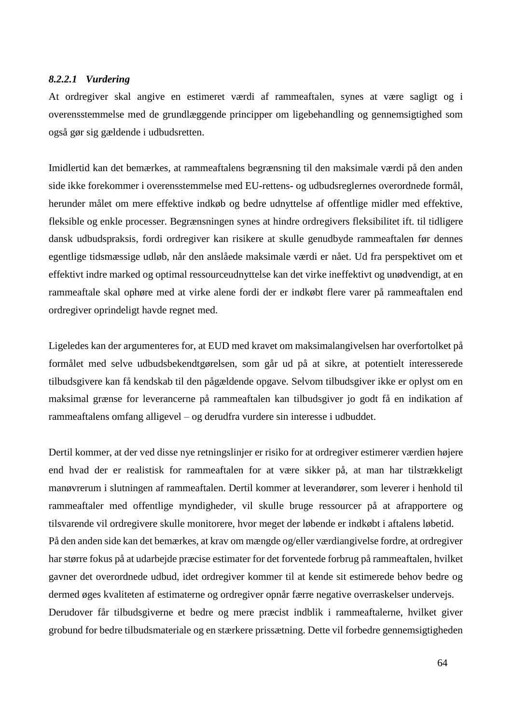#### *8.2.2.1 Vurdering*

At ordregiver skal angive en estimeret værdi af rammeaftalen, synes at være sagligt og i overensstemmelse med de grundlæggende principper om ligebehandling og gennemsigtighed som også gør sig gældende i udbudsretten.

Imidlertid kan det bemærkes, at rammeaftalens begrænsning til den maksimale værdi på den anden side ikke forekommer i overensstemmelse med EU-rettens- og udbudsreglernes overordnede formål, herunder målet om mere effektive indkøb og bedre udnyttelse af offentlige midler med effektive, fleksible og enkle processer. Begrænsningen synes at hindre ordregivers fleksibilitet ift. til tidligere dansk udbudspraksis, fordi ordregiver kan risikere at skulle genudbyde rammeaftalen før dennes egentlige tidsmæssige udløb, når den anslåede maksimale værdi er nået. Ud fra perspektivet om et effektivt indre marked og optimal ressourceudnyttelse kan det virke ineffektivt og unødvendigt, at en rammeaftale skal ophøre med at virke alene fordi der er indkøbt flere varer på rammeaftalen end ordregiver oprindeligt havde regnet med.

Ligeledes kan der argumenteres for, at EUD med kravet om maksimalangivelsen har overfortolket på formålet med selve udbudsbekendtgørelsen, som går ud på at sikre, at potentielt interesserede tilbudsgivere kan få kendskab til den pågældende opgave. Selvom tilbudsgiver ikke er oplyst om en maksimal grænse for leverancerne på rammeaftalen kan tilbudsgiver jo godt få en indikation af rammeaftalens omfang alligevel – og derudfra vurdere sin interesse i udbuddet.

Dertil kommer, at der ved disse nye retningslinjer er risiko for at ordregiver estimerer værdien højere end hvad der er realistisk for rammeaftalen for at være sikker på, at man har tilstrækkeligt manøvrerum i slutningen af rammeaftalen. Dertil kommer at leverandører, som leverer i henhold til rammeaftaler med offentlige myndigheder, vil skulle bruge ressourcer på at afrapportere og tilsvarende vil ordregivere skulle monitorere, hvor meget der løbende er indkøbt i aftalens løbetid. På den anden side kan det bemærkes, at krav om mængde og/eller værdiangivelse fordre, at ordregiver har større fokus på at udarbejde præcise estimater for det forventede forbrug på rammeaftalen, hvilket gavner det overordnede udbud, idet ordregiver kommer til at kende sit estimerede behov bedre og dermed øges kvaliteten af estimaterne og ordregiver opnår færre negative overraskelser undervejs. Derudover får tilbudsgiverne et bedre og mere præcist indblik i rammeaftalerne, hvilket giver grobund for bedre tilbudsmateriale og en stærkere prissætning. Dette vil forbedre gennemsigtigheden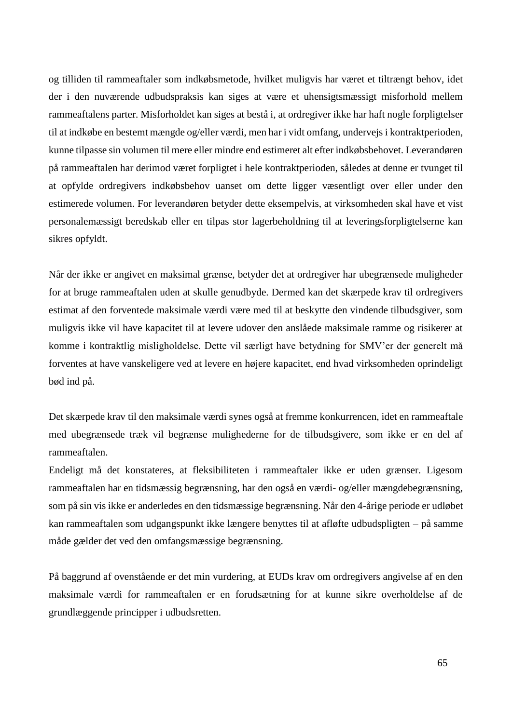og tilliden til rammeaftaler som indkøbsmetode, hvilket muligvis har været et tiltrængt behov, idet der i den nuværende udbudspraksis kan siges at være et uhensigtsmæssigt misforhold mellem rammeaftalens parter. Misforholdet kan siges at bestå i, at ordregiver ikke har haft nogle forpligtelser til at indkøbe en bestemt mængde og/eller værdi, men har i vidt omfang, undervejs i kontraktperioden, kunne tilpasse sin volumen til mere eller mindre end estimeret alt efter indkøbsbehovet. Leverandøren på rammeaftalen har derimod været forpligtet i hele kontraktperioden, således at denne er tvunget til at opfylde ordregivers indkøbsbehov uanset om dette ligger væsentligt over eller under den estimerede volumen. For leverandøren betyder dette eksempelvis, at virksomheden skal have et vist personalemæssigt beredskab eller en tilpas stor lagerbeholdning til at leveringsforpligtelserne kan sikres opfyldt.

Når der ikke er angivet en maksimal grænse, betyder det at ordregiver har ubegrænsede muligheder for at bruge rammeaftalen uden at skulle genudbyde. Dermed kan det skærpede krav til ordregivers estimat af den forventede maksimale værdi være med til at beskytte den vindende tilbudsgiver, som muligvis ikke vil have kapacitet til at levere udover den anslåede maksimale ramme og risikerer at komme i kontraktlig misligholdelse. Dette vil særligt have betydning for SMV'er der generelt må forventes at have vanskeligere ved at levere en højere kapacitet, end hvad virksomheden oprindeligt bød ind på.

Det skærpede krav til den maksimale værdi synes også at fremme konkurrencen, idet en rammeaftale med ubegrænsede træk vil begrænse mulighederne for de tilbudsgivere, som ikke er en del af rammeaftalen.

Endeligt må det konstateres, at fleksibiliteten i rammeaftaler ikke er uden grænser. Ligesom rammeaftalen har en tidsmæssig begrænsning, har den også en værdi- og/eller mængdebegrænsning, som på sin vis ikke er anderledes en den tidsmæssige begrænsning. Når den 4-årige periode er udløbet kan rammeaftalen som udgangspunkt ikke længere benyttes til at afløfte udbudspligten – på samme måde gælder det ved den omfangsmæssige begrænsning.

På baggrund af ovenstående er det min vurdering, at EUDs krav om ordregivers angivelse af en den maksimale værdi for rammeaftalen er en forudsætning for at kunne sikre overholdelse af de grundlæggende principper i udbudsretten.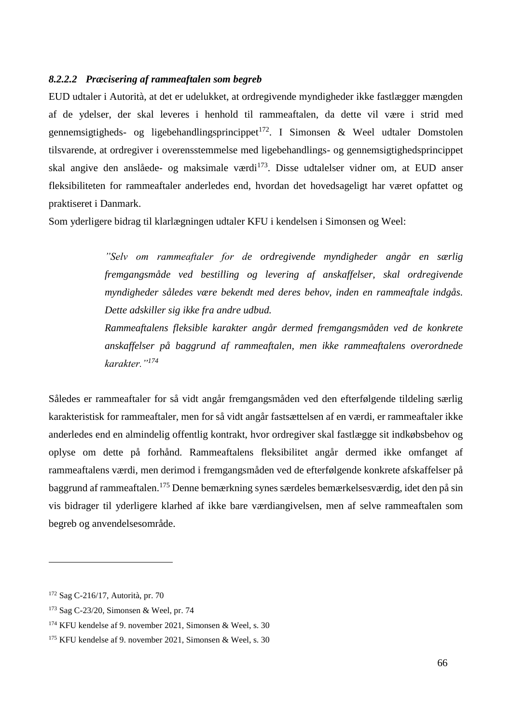#### *8.2.2.2 Præcisering af rammeaftalen som begreb*

EUD udtaler i Autorità, at det er udelukket, at ordregivende myndigheder ikke fastlægger mængden af de ydelser, der skal leveres i henhold til rammeaftalen, da dette vil være i strid med gennemsigtigheds- og ligebehandlingsprincippet<sup>172</sup>. I Simonsen & Weel udtaler Domstolen tilsvarende, at ordregiver i overensstemmelse med ligebehandlings- og gennemsigtighedsprincippet skal angive den anslåede- og maksimale værdi<sup>173</sup>. Disse udtalelser vidner om, at EUD anser fleksibiliteten for rammeaftaler anderledes end, hvordan det hovedsageligt har været opfattet og praktiseret i Danmark.

Som yderligere bidrag til klarlægningen udtaler KFU i kendelsen i Simonsen og Weel:

*"Selv om rammeaftaler for de ordregivende myndigheder angår en særlig fremgangsmåde ved bestilling og levering af anskaffelser, skal ordregivende myndigheder således være bekendt med deres behov, inden en rammeaftale indgås. Dette adskiller sig ikke fra andre udbud.*

*Rammeaftalens fleksible karakter angår dermed fremgangsmåden ved de konkrete anskaffelser på baggrund af rammeaftalen, men ikke rammeaftalens overordnede karakter."<sup>174</sup>*

Således er rammeaftaler for så vidt angår fremgangsmåden ved den efterfølgende tildeling særlig karakteristisk for rammeaftaler, men for så vidt angår fastsættelsen af en værdi, er rammeaftaler ikke anderledes end en almindelig offentlig kontrakt, hvor ordregiver skal fastlægge sit indkøbsbehov og oplyse om dette på forhånd. Rammeaftalens fleksibilitet angår dermed ikke omfanget af rammeaftalens værdi, men derimod i fremgangsmåden ved de efterfølgende konkrete afskaffelser på baggrund af rammeaftalen.<sup>175</sup> Denne bemærkning synes særdeles bemærkelsesværdig, idet den på sin vis bidrager til yderligere klarhed af ikke bare værdiangivelsen, men af selve rammeaftalen som begreb og anvendelsesområde.

<sup>172</sup> Sag C-216/17, Autorità, pr. 70

<sup>173</sup> Sag C-23/20, Simonsen & Weel, pr. 74

<sup>174</sup> KFU kendelse af 9. november 2021, Simonsen & Weel, s. 30

<sup>175</sup> KFU kendelse af 9. november 2021, Simonsen & Weel, s. 30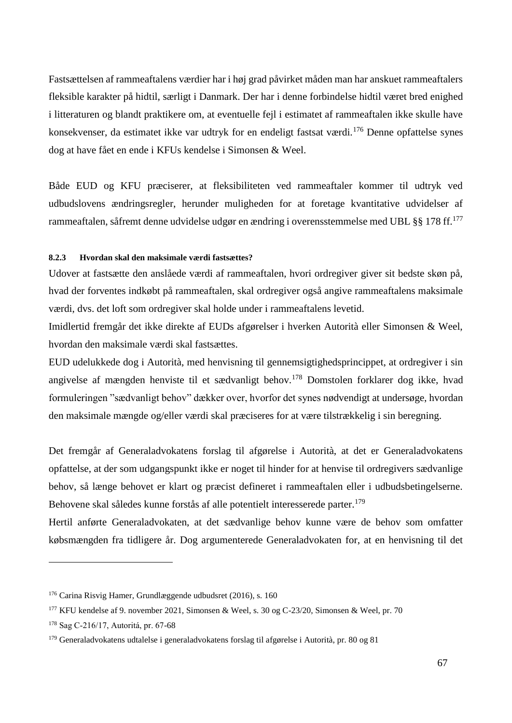Fastsættelsen af rammeaftalens værdier har i høj grad påvirket måden man har anskuet rammeaftalers fleksible karakter på hidtil, særligt i Danmark. Der har i denne forbindelse hidtil været bred enighed i litteraturen og blandt praktikere om, at eventuelle fejl i estimatet af rammeaftalen ikke skulle have konsekvenser, da estimatet ikke var udtryk for en endeligt fastsat værdi.<sup>176</sup> Denne opfattelse synes dog at have fået en ende i KFUs kendelse i Simonsen & Weel.

Både EUD og KFU præciserer, at fleksibiliteten ved rammeaftaler kommer til udtryk ved udbudslovens ændringsregler, herunder muligheden for at foretage kvantitative udvidelser af rammeaftalen, såfremt denne udvidelse udgør en ændring i overensstemmelse med UBL §§ 178 ff.<sup>177</sup>

### **8.2.3 Hvordan skal den maksimale værdi fastsættes?**

Udover at fastsætte den anslåede værdi af rammeaftalen, hvori ordregiver giver sit bedste skøn på, hvad der forventes indkøbt på rammeaftalen, skal ordregiver også angive rammeaftalens maksimale værdi, dvs. det loft som ordregiver skal holde under i rammeaftalens levetid.

Imidlertid fremgår det ikke direkte af EUDs afgørelser i hverken Autorità eller Simonsen & Weel, hvordan den maksimale værdi skal fastsættes.

EUD udelukkede dog i Autorità, med henvisning til gennemsigtighedsprincippet, at ordregiver i sin angivelse af mængden henviste til et sædvanligt behov.<sup>178</sup> Domstolen forklarer dog ikke, hvad formuleringen "sædvanligt behov" dækker over, hvorfor det synes nødvendigt at undersøge, hvordan den maksimale mængde og/eller værdi skal præciseres for at være tilstrækkelig i sin beregning.

Det fremgår af Generaladvokatens forslag til afgørelse i Autorità, at det er Generaladvokatens opfattelse, at der som udgangspunkt ikke er noget til hinder for at henvise til ordregivers sædvanlige behov, så længe behovet er klart og præcist defineret i rammeaftalen eller i udbudsbetingelserne. Behovene skal således kunne forstås af alle potentielt interesserede parter.<sup>179</sup>

Hertil anførte Generaladvokaten, at det sædvanlige behov kunne være de behov som omfatter købsmængden fra tidligere år. Dog argumenterede Generaladvokaten for, at en henvisning til det

<sup>176</sup> Carina Risvig Hamer, Grundlæggende udbudsret (2016), s. 160

<sup>177</sup> KFU kendelse af 9. november 2021, Simonsen & Weel, s. 30 og C-23/20, Simonsen & Weel, pr. 70

<sup>178</sup> Sag C-216/17, Autoritá, pr. 67-68

<sup>179</sup> Generaladvokatens udtalelse i generaladvokatens forslag til afgørelse i Autorità, pr. 80 og 81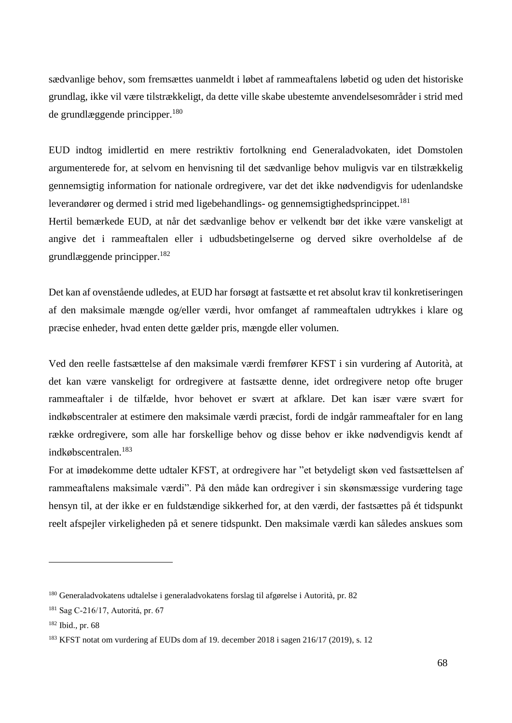sædvanlige behov, som fremsættes uanmeldt i løbet af rammeaftalens løbetid og uden det historiske grundlag, ikke vil være tilstrækkeligt, da dette ville skabe ubestemte anvendelsesområder i strid med de grundlæggende principper.<sup>180</sup>

EUD indtog imidlertid en mere restriktiv fortolkning end Generaladvokaten, idet Domstolen argumenterede for, at selvom en henvisning til det sædvanlige behov muligvis var en tilstrækkelig gennemsigtig information for nationale ordregivere, var det det ikke nødvendigvis for udenlandske leverandører og dermed i strid med ligebehandlings- og gennemsigtighedsprincippet.<sup>181</sup> Hertil bemærkede EUD, at når det sædvanlige behov er velkendt bør det ikke være vanskeligt at

angive det i rammeaftalen eller i udbudsbetingelserne og derved sikre overholdelse af de grundlæggende principper.<sup>182</sup>

Det kan af ovenstående udledes, at EUD har forsøgt at fastsætte et ret absolut krav til konkretiseringen af den maksimale mængde og/eller værdi, hvor omfanget af rammeaftalen udtrykkes i klare og præcise enheder, hvad enten dette gælder pris, mængde eller volumen.

Ved den reelle fastsættelse af den maksimale værdi fremfører KFST i sin vurdering af Autorità, at det kan være vanskeligt for ordregivere at fastsætte denne, idet ordregivere netop ofte bruger rammeaftaler i de tilfælde, hvor behovet er svært at afklare. Det kan især være svært for indkøbscentraler at estimere den maksimale værdi præcist, fordi de indgår rammeaftaler for en lang række ordregivere, som alle har forskellige behov og disse behov er ikke nødvendigvis kendt af indkøbscentralen.<sup>183</sup>

For at imødekomme dette udtaler KFST, at ordregivere har "et betydeligt skøn ved fastsættelsen af rammeaftalens maksimale værdi". På den måde kan ordregiver i sin skønsmæssige vurdering tage hensyn til, at der ikke er en fuldstændige sikkerhed for, at den værdi, der fastsættes på ét tidspunkt reelt afspejler virkeligheden på et senere tidspunkt. Den maksimale værdi kan således anskues som

<sup>180</sup> Generaladvokatens udtalelse i generaladvokatens forslag til afgørelse i Autorità, pr. 82

<sup>181</sup> Sag C-216/17, Autoritá, pr. 67

<sup>182</sup> Ibid., pr. 68

<sup>183</sup> KFST notat om vurdering af EUDs dom af 19. december 2018 i sagen 216/17 (2019), s. 12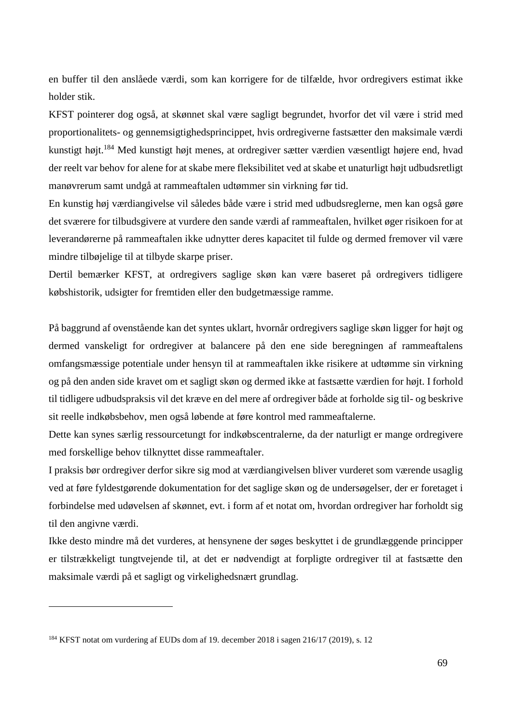en buffer til den anslåede værdi, som kan korrigere for de tilfælde, hvor ordregivers estimat ikke holder stik.

KFST pointerer dog også, at skønnet skal være sagligt begrundet, hvorfor det vil være i strid med proportionalitets- og gennemsigtighedsprincippet, hvis ordregiverne fastsætter den maksimale værdi kunstigt højt.<sup>184</sup> Med kunstigt højt menes, at ordregiver sætter værdien væsentligt højere end, hvad der reelt var behov for alene for at skabe mere fleksibilitet ved at skabe et unaturligt højt udbudsretligt manøvrerum samt undgå at rammeaftalen udtømmer sin virkning før tid.

En kunstig høj værdiangivelse vil således både være i strid med udbudsreglerne, men kan også gøre det sværere for tilbudsgivere at vurdere den sande værdi af rammeaftalen, hvilket øger risikoen for at leverandørerne på rammeaftalen ikke udnytter deres kapacitet til fulde og dermed fremover vil være mindre tilbøjelige til at tilbyde skarpe priser.

Dertil bemærker KFST, at ordregivers saglige skøn kan være baseret på ordregivers tidligere købshistorik, udsigter for fremtiden eller den budgetmæssige ramme.

På baggrund af ovenstående kan det syntes uklart, hvornår ordregivers saglige skøn ligger for højt og dermed vanskeligt for ordregiver at balancere på den ene side beregningen af rammeaftalens omfangsmæssige potentiale under hensyn til at rammeaftalen ikke risikere at udtømme sin virkning og på den anden side kravet om et sagligt skøn og dermed ikke at fastsætte værdien for højt. I forhold til tidligere udbudspraksis vil det kræve en del mere af ordregiver både at forholde sig til- og beskrive sit reelle indkøbsbehov, men også løbende at føre kontrol med rammeaftalerne.

Dette kan synes særlig ressourcetungt for indkøbscentralerne, da der naturligt er mange ordregivere med forskellige behov tilknyttet disse rammeaftaler.

I praksis bør ordregiver derfor sikre sig mod at værdiangivelsen bliver vurderet som værende usaglig ved at føre fyldestgørende dokumentation for det saglige skøn og de undersøgelser, der er foretaget i forbindelse med udøvelsen af skønnet, evt. i form af et notat om, hvordan ordregiver har forholdt sig til den angivne værdi.

Ikke desto mindre må det vurderes, at hensynene der søges beskyttet i de grundlæggende principper er tilstrækkeligt tungtvejende til, at det er nødvendigt at forpligte ordregiver til at fastsætte den maksimale værdi på et sagligt og virkelighedsnært grundlag.

<sup>184</sup> KFST notat om vurdering af EUDs dom af 19. december 2018 i sagen 216/17 (2019), s. 12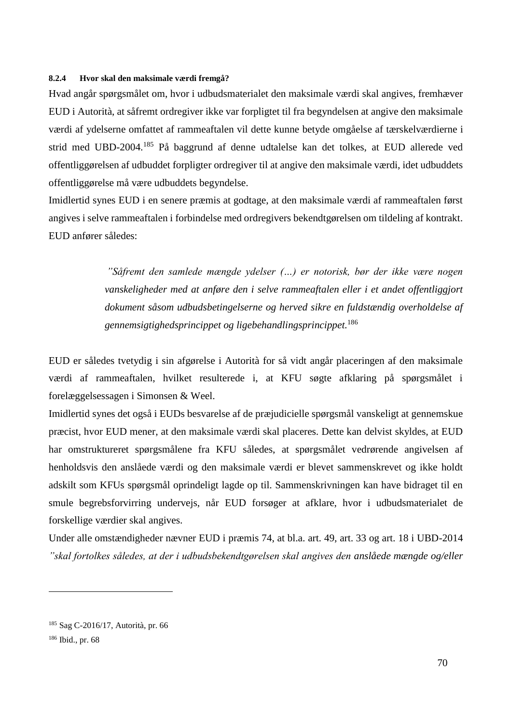#### **8.2.4 Hvor skal den maksimale værdi fremgå?**

Hvad angår spørgsmålet om, hvor i udbudsmaterialet den maksimale værdi skal angives, fremhæver EUD i Autorità, at såfremt ordregiver ikke var forpligtet til fra begyndelsen at angive den maksimale værdi af ydelserne omfattet af rammeaftalen vil dette kunne betyde omgåelse af tærskelværdierne i strid med UBD-2004.<sup>185</sup> På baggrund af denne udtalelse kan det tolkes, at EUD allerede ved offentliggørelsen af udbuddet forpligter ordregiver til at angive den maksimale værdi, idet udbuddets offentliggørelse må være udbuddets begyndelse.

Imidlertid synes EUD i en senere præmis at godtage, at den maksimale værdi af rammeaftalen først angives i selve rammeaftalen i forbindelse med ordregivers bekendtgørelsen om tildeling af kontrakt. EUD anfører således:

> *"Såfremt den samlede mængde ydelser (…) er notorisk, bør der ikke være nogen vanskeligheder med at anføre den i selve rammeaftalen eller i et andet offentliggjort dokument såsom udbudsbetingelserne og herved sikre en fuldstændig overholdelse af gennemsigtighedsprincippet og ligebehandlingsprincippet.*<sup>186</sup>

EUD er således tvetydig i sin afgørelse i Autorità for så vidt angår placeringen af den maksimale værdi af rammeaftalen, hvilket resulterede i, at KFU søgte afklaring på spørgsmålet i forelæggelsessagen i Simonsen & Weel.

Imidlertid synes det også i EUDs besvarelse af de præjudicielle spørgsmål vanskeligt at gennemskue præcist, hvor EUD mener, at den maksimale værdi skal placeres. Dette kan delvist skyldes, at EUD har omstruktureret spørgsmålene fra KFU således, at spørgsmålet vedrørende angivelsen af henholdsvis den anslåede værdi og den maksimale værdi er blevet sammenskrevet og ikke holdt adskilt som KFUs spørgsmål oprindeligt lagde op til. Sammenskrivningen kan have bidraget til en smule begrebsforvirring undervejs, når EUD forsøger at afklare, hvor i udbudsmaterialet de forskellige værdier skal angives.

Under alle omstændigheder nævner EUD i præmis 74, at bl.a. art. 49, art. 33 og art. 18 i UBD-2014 *"skal fortolkes således, at der i udbudsbekendtgørelsen skal angives den anslåede mængde og/eller* 

<sup>185</sup> Sag C-2016/17, Autorità, pr. 66

<sup>186</sup> Ibid., pr. 68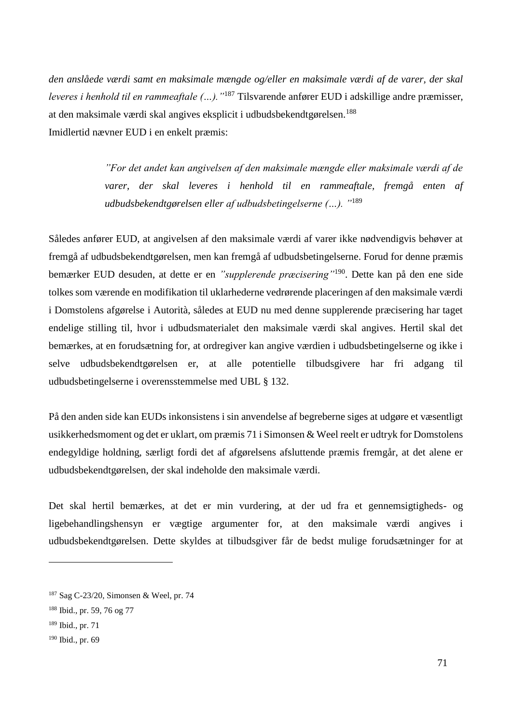*den anslåede værdi samt en maksimale mængde og/eller en maksimale værdi af de varer, der skal leveres i henhold til en rammeaftale (…)."*<sup>187</sup> Tilsvarende anfører EUD i adskillige andre præmisser, at den maksimale værdi skal angives eksplicit i udbudsbekendtgørelsen.<sup>188</sup> Imidlertid nævner EUD i en enkelt præmis:

> *"For det andet kan angivelsen af den maksimale mængde eller maksimale værdi af de varer, der skal leveres i henhold til en rammeaftale, fremgå enten af udbudsbekendtgørelsen eller af udbudsbetingelserne (…). "*<sup>189</sup>

Således anfører EUD, at angivelsen af den maksimale værdi af varer ikke nødvendigvis behøver at fremgå af udbudsbekendtgørelsen, men kan fremgå af udbudsbetingelserne. Forud for denne præmis bemærker EUD desuden, at dette er en *"supplerende præcisering"*<sup>190</sup>. Dette kan på den ene side tolkes som værende en modifikation til uklarhederne vedrørende placeringen af den maksimale værdi i Domstolens afgørelse i Autorità, således at EUD nu med denne supplerende præcisering har taget endelige stilling til, hvor i udbudsmaterialet den maksimale værdi skal angives. Hertil skal det bemærkes, at en forudsætning for, at ordregiver kan angive værdien i udbudsbetingelserne og ikke i selve udbudsbekendtgørelsen er, at alle potentielle tilbudsgivere har fri adgang til udbudsbetingelserne i overensstemmelse med UBL § 132.

På den anden side kan EUDs inkonsistens i sin anvendelse af begreberne siges at udgøre et væsentligt usikkerhedsmoment og det er uklart, om præmis 71 i Simonsen & Weel reelt er udtryk for Domstolens endegyldige holdning, særligt fordi det af afgørelsens afsluttende præmis fremgår, at det alene er udbudsbekendtgørelsen, der skal indeholde den maksimale værdi.

Det skal hertil bemærkes, at det er min vurdering, at der ud fra et gennemsigtigheds- og ligebehandlingshensyn er vægtige argumenter for, at den maksimale værdi angives i udbudsbekendtgørelsen. Dette skyldes at tilbudsgiver får de bedst mulige forudsætninger for at

<sup>187</sup> Sag C-23/20, Simonsen & Weel, pr. 74

<sup>188</sup> Ibid., pr. 59, 76 og 77

<sup>189</sup> Ibid., pr. 71

<sup>190</sup> Ibid., pr. 69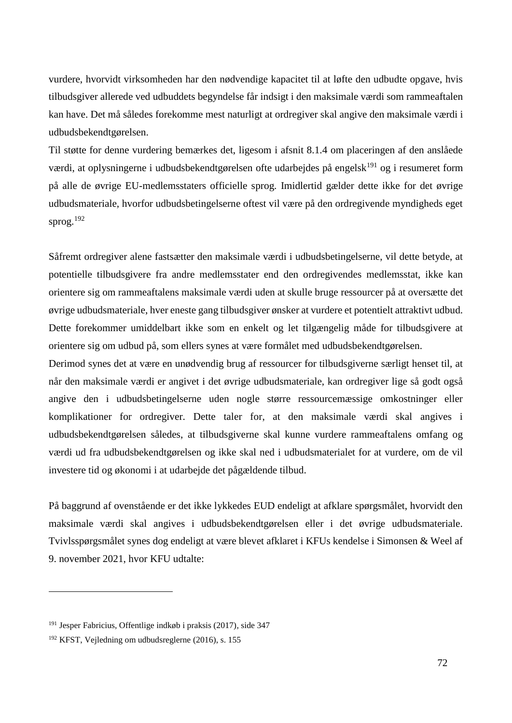vurdere, hvorvidt virksomheden har den nødvendige kapacitet til at løfte den udbudte opgave, hvis tilbudsgiver allerede ved udbuddets begyndelse får indsigt i den maksimale værdi som rammeaftalen kan have. Det må således forekomme mest naturligt at ordregiver skal angive den maksimale værdi i udbudsbekendtgørelsen.

Til støtte for denne vurdering bemærkes det, ligesom i afsnit 8.1.4 om placeringen af den anslåede værdi, at oplysningerne i udbudsbekendtgørelsen ofte udarbejdes på engelsk<sup>191</sup> og i resumeret form på alle de øvrige EU-medlemsstaters officielle sprog. Imidlertid gælder dette ikke for det øvrige udbudsmateriale, hvorfor udbudsbetingelserne oftest vil være på den ordregivende myndigheds eget sprog. $^{192}$ 

Såfremt ordregiver alene fastsætter den maksimale værdi i udbudsbetingelserne, vil dette betyde, at potentielle tilbudsgivere fra andre medlemsstater end den ordregivendes medlemsstat, ikke kan orientere sig om rammeaftalens maksimale værdi uden at skulle bruge ressourcer på at oversætte det øvrige udbudsmateriale, hver eneste gang tilbudsgiver ønsker at vurdere et potentielt attraktivt udbud. Dette forekommer umiddelbart ikke som en enkelt og let tilgængelig måde for tilbudsgivere at orientere sig om udbud på, som ellers synes at være formålet med udbudsbekendtgørelsen.

Derimod synes det at være en unødvendig brug af ressourcer for tilbudsgiverne særligt henset til, at når den maksimale værdi er angivet i det øvrige udbudsmateriale, kan ordregiver lige så godt også angive den i udbudsbetingelserne uden nogle større ressourcemæssige omkostninger eller komplikationer for ordregiver. Dette taler for, at den maksimale værdi skal angives i udbudsbekendtgørelsen således, at tilbudsgiverne skal kunne vurdere rammeaftalens omfang og værdi ud fra udbudsbekendtgørelsen og ikke skal ned i udbudsmaterialet for at vurdere, om de vil investere tid og økonomi i at udarbejde det pågældende tilbud.

På baggrund af ovenstående er det ikke lykkedes EUD endeligt at afklare spørgsmålet, hvorvidt den maksimale værdi skal angives i udbudsbekendtgørelsen eller i det øvrige udbudsmateriale. Tvivlsspørgsmålet synes dog endeligt at være blevet afklaret i KFUs kendelse i Simonsen & Weel af 9. november 2021, hvor KFU udtalte:

<sup>191</sup> Jesper Fabricius, Offentlige indkøb i praksis (2017), side 347

<sup>192</sup> KFST, Vejledning om udbudsreglerne (2016), s. 155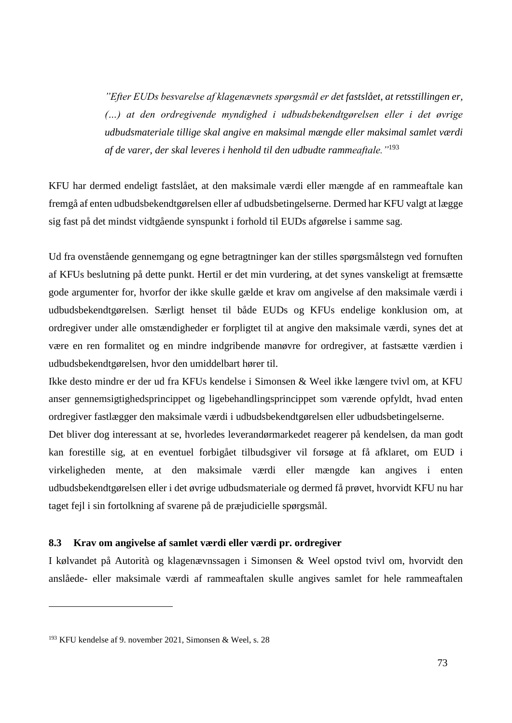*"Efter EUDs besvarelse af klagenævnets spørgsmål er det fastslået, at retsstillingen er, (…) at den ordregivende myndighed i udbudsbekendtgørelsen eller i det øvrige udbudsmateriale tillige skal angive en maksimal mængde eller maksimal samlet værdi af de varer, der skal leveres i henhold til den udbudte rammeaftale."*<sup>193</sup>

KFU har dermed endeligt fastslået, at den maksimale værdi eller mængde af en rammeaftale kan fremgå af enten udbudsbekendtgørelsen eller af udbudsbetingelserne. Dermed har KFU valgt at lægge sig fast på det mindst vidtgående synspunkt i forhold til EUDs afgørelse i samme sag.

Ud fra ovenstående gennemgang og egne betragtninger kan der stilles spørgsmålstegn ved fornuften af KFUs beslutning på dette punkt. Hertil er det min vurdering, at det synes vanskeligt at fremsætte gode argumenter for, hvorfor der ikke skulle gælde et krav om angivelse af den maksimale værdi i udbudsbekendtgørelsen. Særligt henset til både EUDs og KFUs endelige konklusion om, at ordregiver under alle omstændigheder er forpligtet til at angive den maksimale værdi, synes det at være en ren formalitet og en mindre indgribende manøvre for ordregiver, at fastsætte værdien i udbudsbekendtgørelsen, hvor den umiddelbart hører til.

Ikke desto mindre er der ud fra KFUs kendelse i Simonsen & Weel ikke længere tvivl om, at KFU anser gennemsigtighedsprincippet og ligebehandlingsprincippet som værende opfyldt, hvad enten ordregiver fastlægger den maksimale værdi i udbudsbekendtgørelsen eller udbudsbetingelserne.

Det bliver dog interessant at se, hvorledes leverandørmarkedet reagerer på kendelsen, da man godt kan forestille sig, at en eventuel forbigået tilbudsgiver vil forsøge at få afklaret, om EUD i virkeligheden mente, at den maksimale værdi eller mængde kan angives i enten udbudsbekendtgørelsen eller i det øvrige udbudsmateriale og dermed få prøvet, hvorvidt KFU nu har taget fejl i sin fortolkning af svarene på de præjudicielle spørgsmål.

### **8.3 Krav om angivelse af samlet værdi eller værdi pr. ordregiver**

I kølvandet på Autorità og klagenævnssagen i Simonsen & Weel opstod tvivl om, hvorvidt den anslåede- eller maksimale værdi af rammeaftalen skulle angives samlet for hele rammeaftalen

<sup>193</sup> KFU kendelse af 9. november 2021, Simonsen & Weel, s. 28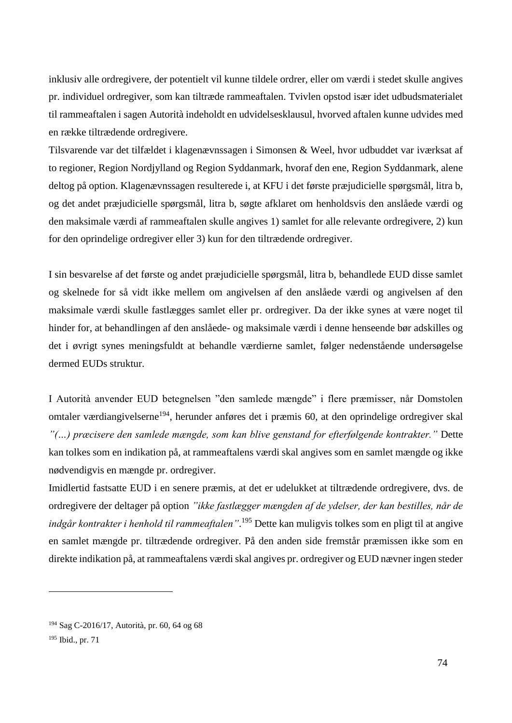inklusiv alle ordregivere, der potentielt vil kunne tildele ordrer, eller om værdi i stedet skulle angives pr. individuel ordregiver, som kan tiltræde rammeaftalen. Tvivlen opstod især idet udbudsmaterialet til rammeaftalen i sagen Autorità indeholdt en udvidelsesklausul, hvorved aftalen kunne udvides med en række tiltrædende ordregivere.

Tilsvarende var det tilfældet i klagenævnssagen i Simonsen & Weel, hvor udbuddet var iværksat af to regioner, Region Nordjylland og Region Syddanmark, hvoraf den ene, Region Syddanmark, alene deltog på option. Klagenævnssagen resulterede i, at KFU i det første præjudicielle spørgsmål, litra b, og det andet præjudicielle spørgsmål, litra b, søgte afklaret om henholdsvis den anslåede værdi og den maksimale værdi af rammeaftalen skulle angives 1) samlet for alle relevante ordregivere, 2) kun for den oprindelige ordregiver eller 3) kun for den tiltrædende ordregiver.

I sin besvarelse af det første og andet præjudicielle spørgsmål, litra b, behandlede EUD disse samlet og skelnede for så vidt ikke mellem om angivelsen af den anslåede værdi og angivelsen af den maksimale værdi skulle fastlægges samlet eller pr. ordregiver. Da der ikke synes at være noget til hinder for, at behandlingen af den anslåede- og maksimale værdi i denne henseende bør adskilles og det i øvrigt synes meningsfuldt at behandle værdierne samlet, følger nedenstående undersøgelse dermed EUDs struktur.

I Autorità anvender EUD betegnelsen "den samlede mængde" i flere præmisser, når Domstolen omtaler værdiangivelserne<sup>194</sup>, herunder anføres det i præmis 60, at den oprindelige ordregiver skal *"(…) præcisere den samlede mængde, som kan blive genstand for efterfølgende kontrakter."* Dette kan tolkes som en indikation på, at rammeaftalens værdi skal angives som en samlet mængde og ikke nødvendigvis en mængde pr. ordregiver.

Imidlertid fastsatte EUD i en senere præmis, at det er udelukket at tiltrædende ordregivere, dvs. de ordregivere der deltager på option *"ikke fastlægger mængden af de ydelser, der kan bestilles, når de indgår kontrakter i henhold til rammeaftalen"*. <sup>195</sup> Dette kan muligvis tolkes som en pligt til at angive en samlet mængde pr. tiltrædende ordregiver. På den anden side fremstår præmissen ikke som en direkte indikation på, at rammeaftalens værdi skal angives pr. ordregiver og EUD nævner ingen steder

1

<sup>194</sup> Sag C-2016/17, Autorità, pr. 60, 64 og 68

<sup>195</sup> Ibid., pr. 71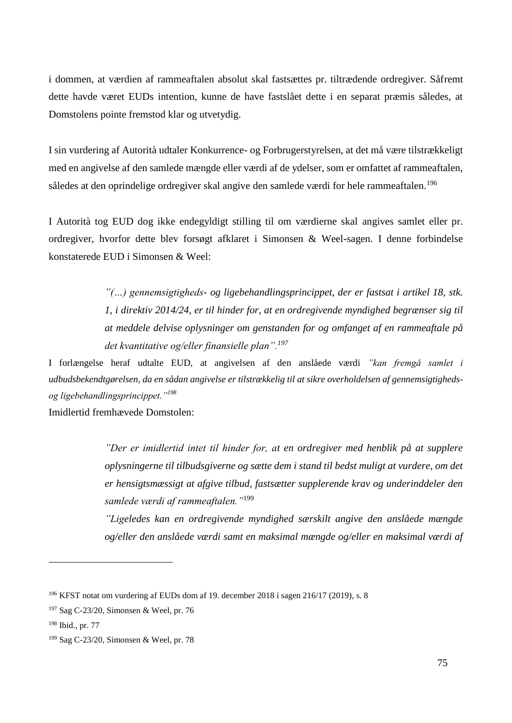i dommen, at værdien af rammeaftalen absolut skal fastsættes pr. tiltrædende ordregiver. Såfremt dette havde været EUDs intention, kunne de have fastslået dette i en separat præmis således, at Domstolens pointe fremstod klar og utvetydig.

I sin vurdering af Autorità udtaler Konkurrence- og Forbrugerstyrelsen, at det må være tilstrækkeligt med en angivelse af den samlede mængde eller værdi af de ydelser, som er omfattet af rammeaftalen, således at den oprindelige ordregiver skal angive den samlede værdi for hele rammeaftalen.<sup>196</sup>

I Autorità tog EUD dog ikke endegyldigt stilling til om værdierne skal angives samlet eller pr. ordregiver, hvorfor dette blev forsøgt afklaret i Simonsen & Weel-sagen. I denne forbindelse konstaterede EUD i Simonsen & Weel:

> *"(…) gennemsigtigheds- og ligebehandlingsprincippet, der er fastsat i artikel 18, stk. 1, i direktiv 2014/24, er til hinder for, at en ordregivende myndighed begrænser sig til at meddele delvise oplysninger om genstanden for og omfanget af en rammeaftale på det kvantitative og/eller finansielle plan".<sup>197</sup>*

I forlængelse heraf udtalte EUD, at angivelsen af den anslåede værdi *"kan fremgå samlet i udbudsbekendtgørelsen, da en sådan angivelse er tilstrækkelig til at sikre overholdelsen af gennemsigtighedsog ligebehandlingsprincippet."<sup>198</sup>*

Imidlertid fremhævede Domstolen:

*"Der er imidlertid intet til hinder for, at en ordregiver med henblik på at supplere oplysningerne til tilbudsgiverne og sætte dem i stand til bedst muligt at vurdere, om det er hensigtsmæssigt at afgive tilbud, fastsætter supplerende krav og underinddeler den samlede værdi af rammeaftalen."*<sup>199</sup>

*"Ligeledes kan en ordregivende myndighed særskilt angive den anslåede mængde og/eller den anslåede værdi samt en maksimal mængde og/eller en maksimal værdi af* 

<sup>196</sup> KFST notat om vurdering af EUDs dom af 19. december 2018 i sagen 216/17 (2019), s. 8

<sup>197</sup> Sag C-23/20, Simonsen & Weel, pr. 76

<sup>198</sup> Ibid., pr. 77

<sup>199</sup> Sag C-23/20, Simonsen & Weel, pr. 78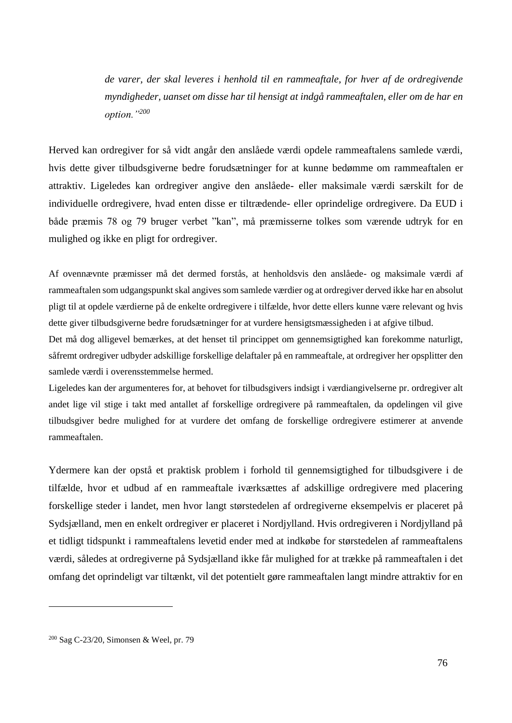*de varer, der skal leveres i henhold til en rammeaftale, for hver af de ordregivende myndigheder, uanset om disse har til hensigt at indgå rammeaftalen, eller om de har en option."<sup>200</sup>*

Herved kan ordregiver for så vidt angår den anslåede værdi opdele rammeaftalens samlede værdi, hvis dette giver tilbudsgiverne bedre forudsætninger for at kunne bedømme om rammeaftalen er attraktiv. Ligeledes kan ordregiver angive den anslåede- eller maksimale værdi særskilt for de individuelle ordregivere, hvad enten disse er tiltrædende- eller oprindelige ordregivere. Da EUD i både præmis 78 og 79 bruger verbet "kan", må præmisserne tolkes som værende udtryk for en mulighed og ikke en pligt for ordregiver.

Af ovennævnte præmisser må det dermed forstås, at henholdsvis den anslåede- og maksimale værdi af rammeaftalen som udgangspunkt skal angives som samlede værdier og at ordregiver derved ikke har en absolut pligt til at opdele værdierne på de enkelte ordregivere i tilfælde, hvor dette ellers kunne være relevant og hvis dette giver tilbudsgiverne bedre forudsætninger for at vurdere hensigtsmæssigheden i at afgive tilbud.

Det må dog alligevel bemærkes, at det henset til princippet om gennemsigtighed kan forekomme naturligt, såfremt ordregiver udbyder adskillige forskellige delaftaler på en rammeaftale, at ordregiver her opsplitter den samlede værdi i overensstemmelse hermed.

Ligeledes kan der argumenteres for, at behovet for tilbudsgivers indsigt i værdiangivelserne pr. ordregiver alt andet lige vil stige i takt med antallet af forskellige ordregivere på rammeaftalen, da opdelingen vil give tilbudsgiver bedre mulighed for at vurdere det omfang de forskellige ordregivere estimerer at anvende rammeaftalen.

Ydermere kan der opstå et praktisk problem i forhold til gennemsigtighed for tilbudsgivere i de tilfælde, hvor et udbud af en rammeaftale iværksættes af adskillige ordregivere med placering forskellige steder i landet, men hvor langt størstedelen af ordregiverne eksempelvis er placeret på Sydsjælland, men en enkelt ordregiver er placeret i Nordjylland. Hvis ordregiveren i Nordjylland på et tidligt tidspunkt i rammeaftalens levetid ender med at indkøbe for størstedelen af rammeaftalens værdi, således at ordregiverne på Sydsjælland ikke får mulighed for at trække på rammeaftalen i det omfang det oprindeligt var tiltænkt, vil det potentielt gøre rammeaftalen langt mindre attraktiv for en

<sup>200</sup> Sag C-23/20, Simonsen & Weel, pr. 79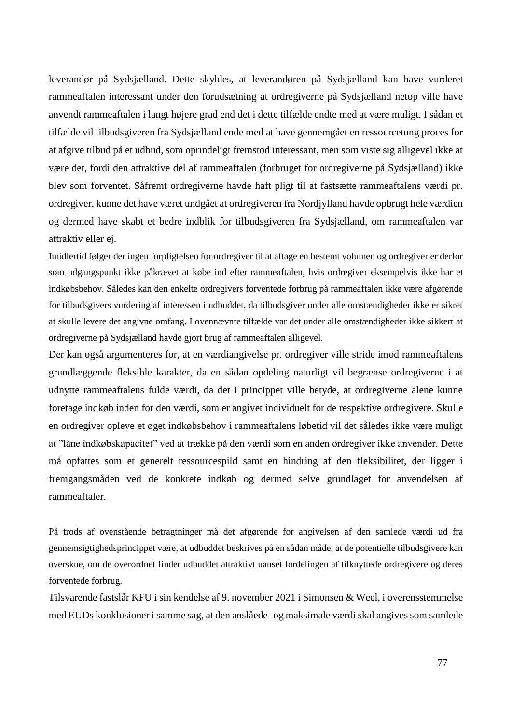leverandør på Sydsjælland. Dette skyldes, at leverandøren på Sydsjælland kan have vurderet rammeaftalen interessant under den forudsætning at ordregiverne på Sydsjælland netop ville have anvendt rammeaftalen i langt højere grad end det i dette tilfælde endte med at være muligt. I sådan et tilfælde vil tilbudsgiveren fra Sydsjælland ende med at have gennemgået en ressourcetung proces for at afgive tilbud på et udbud, som oprindeligt fremstod interessant, men som viste sig alligevel ikke at være det, fordi den attraktive del af rammeaftalen (forbruget for ordregiverne på Sydsjælland) ikke blev som forventet. Såfremt ordregiverne havde haft pligt til at fastsætte rammeaftalens værdi pr. ordregiver, kunne det have været undgået at ordregiveren fra Nordjylland havde opbrugt hele værdien og dermed have skabt et bedre indblik for tilbudsgiveren fra Sydsjælland, om rammeaftalen var attraktiv eller ej.

Imidlertid følger der ingen forpligtelsen for ordregiver til at aftage en bestemt volumen og ordregiver er derfor som udgangspunkt ikke påkrævet at købe ind efter rammeaftalen, hvis ordregiver eksempelvis ikke har et indkøbsbehov. Således kan den enkelte ordregivers forventede forbrug på rammeaftalen ikke være afgørende for tilbudsgivers vurdering af interessen i udbuddet, da tilbudsgiver under alle omstændigheder ikke er sikret at skulle levere det angivne omfang. I ovennævnte tilfælde var det under alle omstændigheder ikke sikkert at ordregiverne på Sydsjælland havde gjort brug af rammeaftalen alligevel.

Der kan også argumenteres for, at en værdiangivelse pr. ordregiver ville stride imod rammeaftalens grundlæggende fleksible karakter, da en sådan opdeling naturligt vil begrænse ordregiverne i at udnytte rammeaftalens fulde værdi, da det i princippet ville betyde, at ordregiverne alene kunne foretage indkøb inden for den værdi, som er angivet individuelt for de respektive ordregivere. Skulle en ordregiver opleve et øget indkøbsbehov i rammeaftalens løbetid vil det således ikke være muligt at "låne indkøbskapacitet" ved at trække på den værdi som en anden ordregiver ikke anvender. Dette må opfattes som et generelt ressourcespild samt en hindring af den fleksibilitet, der ligger i fremgangsmåden ved de konkrete indkøb og dermed selve grundlaget for anvendelsen af rammeaftaler.

På trods af ovenstående betragtninger må det afgørende for angivelsen af den samlede værdi ud fra gennemsigtighedsprincippet være, at udbuddet beskrives på en sådan måde, at de potentielle tilbudsgivere kan overskue, om de overordnet finder udbuddet attraktivt uanset fordelingen af tilknyttede ordregivere og deres forventede forbrug.

Tilsvarende fastslår KFU i sin kendelse af 9. november 2021 i Simonsen & Weel, i overensstemmelse med EUDs konklusioner i samme sag, at den anslåede- og maksimale værdi skal angives som samlede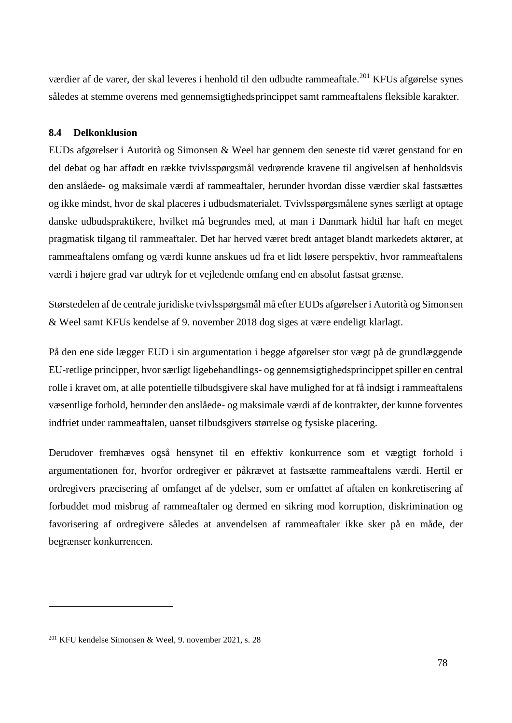værdier af de varer, der skal leveres i henhold til den udbudte rammeaftale.<sup>201</sup> KFUs afgørelse synes således at stemme overens med gennemsigtighedsprincippet samt rammeaftalens fleksible karakter.

## **8.4 Delkonklusion**

EUDs afgørelser i Autorità og Simonsen & Weel har gennem den seneste tid været genstand for en del debat og har affødt en række tvivlsspørgsmål vedrørende kravene til angivelsen af henholdsvis den anslåede- og maksimale værdi af rammeaftaler, herunder hvordan disse værdier skal fastsættes og ikke mindst, hvor de skal placeres i udbudsmaterialet. Tvivlsspørgsmålene synes særligt at optage danske udbudspraktikere, hvilket må begrundes med, at man i Danmark hidtil har haft en meget pragmatisk tilgang til rammeaftaler. Det har herved været bredt antaget blandt markedets aktører, at rammeaftalens omfang og værdi kunne anskues ud fra et lidt løsere perspektiv, hvor rammeaftalens værdi i højere grad var udtryk for et vejledende omfang end en absolut fastsat grænse.

Størstedelen af de centrale juridiske tvivlsspørgsmål må efter EUDs afgørelser i Autorità og Simonsen & Weel samt KFUs kendelse af 9. november 2018 dog siges at være endeligt klarlagt.

På den ene side lægger EUD i sin argumentation i begge afgørelser stor vægt på de grundlæggende EU-retlige principper, hvor særligt ligebehandlings- og gennemsigtighedsprincippet spiller en central rolle i kravet om, at alle potentielle tilbudsgivere skal have mulighed for at få indsigt i rammeaftalens væsentlige forhold, herunder den anslåede- og maksimale værdi af de kontrakter, der kunne forventes indfriet under rammeaftalen, uanset tilbudsgivers størrelse og fysiske placering.

Derudover fremhæves også hensynet til en effektiv konkurrence som et vægtigt forhold i argumentationen for, hvorfor ordregiver er påkrævet at fastsætte rammeaftalens værdi. Hertil er ordregivers præcisering af omfanget af de ydelser, som er omfattet af aftalen en konkretisering af forbuddet mod misbrug af rammeaftaler og dermed en sikring mod korruption, diskrimination og favorisering af ordregivere således at anvendelsen af rammeaftaler ikke sker på en måde, der begrænser konkurrencen.

<sup>201</sup> KFU kendelse Simonsen & Weel, 9. november 2021, s. 28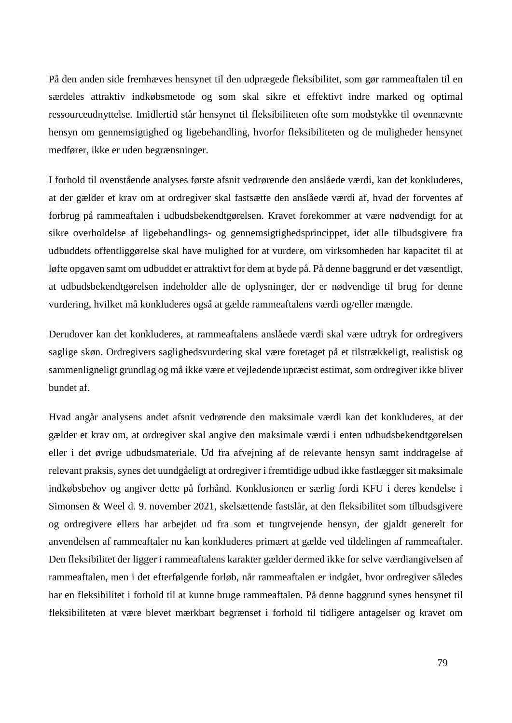På den anden side fremhæves hensynet til den udprægede fleksibilitet, som gør rammeaftalen til en særdeles attraktiv indkøbsmetode og som skal sikre et effektivt indre marked og optimal ressourceudnyttelse. Imidlertid står hensynet til fleksibiliteten ofte som modstykke til ovennævnte hensyn om gennemsigtighed og ligebehandling, hvorfor fleksibiliteten og de muligheder hensynet medfører, ikke er uden begrænsninger.

I forhold til ovenstående analyses første afsnit vedrørende den anslåede værdi, kan det konkluderes, at der gælder et krav om at ordregiver skal fastsætte den anslåede værdi af, hvad der forventes af forbrug på rammeaftalen i udbudsbekendtgørelsen. Kravet forekommer at være nødvendigt for at sikre overholdelse af ligebehandlings- og gennemsigtighedsprincippet, idet alle tilbudsgivere fra udbuddets offentliggørelse skal have mulighed for at vurdere, om virksomheden har kapacitet til at løfte opgaven samt om udbuddet er attraktivt for dem at byde på. På denne baggrund er det væsentligt, at udbudsbekendtgørelsen indeholder alle de oplysninger, der er nødvendige til brug for denne vurdering, hvilket må konkluderes også at gælde rammeaftalens værdi og/eller mængde.

Derudover kan det konkluderes, at rammeaftalens anslåede værdi skal være udtryk for ordregivers saglige skøn. Ordregivers saglighedsvurdering skal være foretaget på et tilstrækkeligt, realistisk og sammenligneligt grundlag og må ikke være et vejledende upræcist estimat, som ordregiver ikke bliver bundet af.

Hvad angår analysens andet afsnit vedrørende den maksimale værdi kan det konkluderes, at der gælder et krav om, at ordregiver skal angive den maksimale værdi i enten udbudsbekendtgørelsen eller i det øvrige udbudsmateriale. Ud fra afvejning af de relevante hensyn samt inddragelse af relevant praksis, synes det uundgåeligt at ordregiver i fremtidige udbud ikke fastlægger sit maksimale indkøbsbehov og angiver dette på forhånd. Konklusionen er særlig fordi KFU i deres kendelse i Simonsen & Weel d. 9. november 2021, skelsættende fastslår, at den fleksibilitet som tilbudsgivere og ordregivere ellers har arbejdet ud fra som et tungtvejende hensyn, der gjaldt generelt for anvendelsen af rammeaftaler nu kan konkluderes primært at gælde ved tildelingen af rammeaftaler. Den fleksibilitet der ligger i rammeaftalens karakter gælder dermed ikke for selve værdiangivelsen af rammeaftalen, men i det efterfølgende forløb, når rammeaftalen er indgået, hvor ordregiver således har en fleksibilitet i forhold til at kunne bruge rammeaftalen. På denne baggrund synes hensynet til fleksibiliteten at være blevet mærkbart begrænset i forhold til tidligere antagelser og kravet om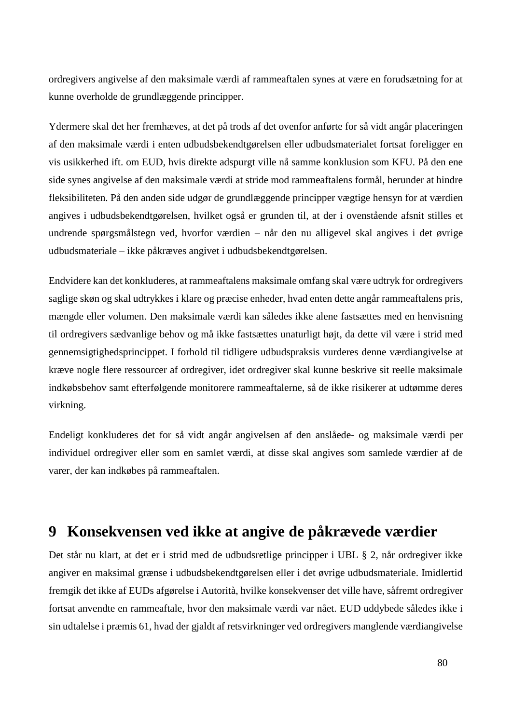ordregivers angivelse af den maksimale værdi af rammeaftalen synes at være en forudsætning for at kunne overholde de grundlæggende principper.

Ydermere skal det her fremhæves, at det på trods af det ovenfor anførte for så vidt angår placeringen af den maksimale værdi i enten udbudsbekendtgørelsen eller udbudsmaterialet fortsat foreligger en vis usikkerhed ift. om EUD, hvis direkte adspurgt ville nå samme konklusion som KFU. På den ene side synes angivelse af den maksimale værdi at stride mod rammeaftalens formål, herunder at hindre fleksibiliteten. På den anden side udgør de grundlæggende principper vægtige hensyn for at værdien angives i udbudsbekendtgørelsen, hvilket også er grunden til, at der i ovenstående afsnit stilles et undrende spørgsmålstegn ved, hvorfor værdien – når den nu alligevel skal angives i det øvrige udbudsmateriale – ikke påkræves angivet i udbudsbekendtgørelsen.

Endvidere kan det konkluderes, at rammeaftalens maksimale omfang skal være udtryk for ordregivers saglige skøn og skal udtrykkes i klare og præcise enheder, hvad enten dette angår rammeaftalens pris, mængde eller volumen. Den maksimale værdi kan således ikke alene fastsættes med en henvisning til ordregivers sædvanlige behov og må ikke fastsættes unaturligt højt, da dette vil være i strid med gennemsigtighedsprincippet. I forhold til tidligere udbudspraksis vurderes denne værdiangivelse at kræve nogle flere ressourcer af ordregiver, idet ordregiver skal kunne beskrive sit reelle maksimale indkøbsbehov samt efterfølgende monitorere rammeaftalerne, så de ikke risikerer at udtømme deres virkning.

Endeligt konkluderes det for så vidt angår angivelsen af den anslåede- og maksimale værdi per individuel ordregiver eller som en samlet værdi, at disse skal angives som samlede værdier af de varer, der kan indkøbes på rammeaftalen.

# **9 Konsekvensen ved ikke at angive de påkrævede værdier**

Det står nu klart, at det er i strid med de udbudsretlige principper i UBL § 2, når ordregiver ikke angiver en maksimal grænse i udbudsbekendtgørelsen eller i det øvrige udbudsmateriale. Imidlertid fremgik det ikke af EUDs afgørelse i Autorità, hvilke konsekvenser det ville have, såfremt ordregiver fortsat anvendte en rammeaftale, hvor den maksimale værdi var nået. EUD uddybede således ikke i sin udtalelse i præmis 61, hvad der gjaldt af retsvirkninger ved ordregivers manglende værdiangivelse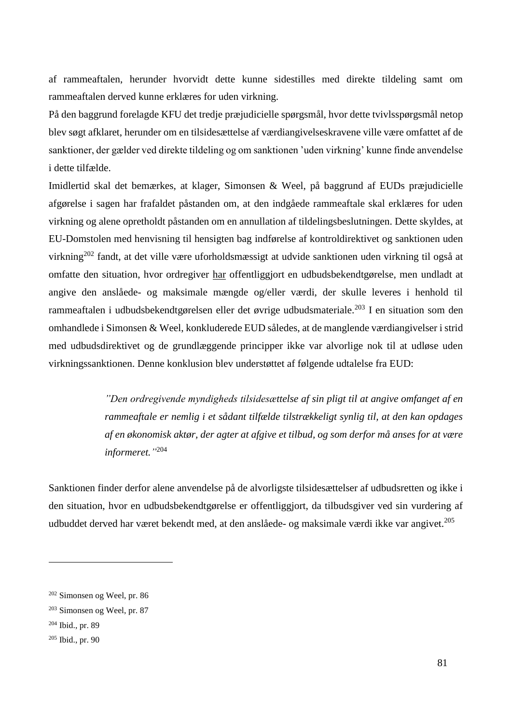af rammeaftalen, herunder hvorvidt dette kunne sidestilles med direkte tildeling samt om rammeaftalen derved kunne erklæres for uden virkning.

På den baggrund forelagde KFU det tredje præjudicielle spørgsmål, hvor dette tvivlsspørgsmål netop blev søgt afklaret, herunder om en tilsidesættelse af værdiangivelseskravene ville være omfattet af de sanktioner, der gælder ved direkte tildeling og om sanktionen 'uden virkning' kunne finde anvendelse i dette tilfælde.

Imidlertid skal det bemærkes, at klager, Simonsen & Weel, på baggrund af EUDs præjudicielle afgørelse i sagen har frafaldet påstanden om, at den indgåede rammeaftale skal erklæres for uden virkning og alene opretholdt påstanden om en annullation af tildelingsbeslutningen. Dette skyldes, at EU-Domstolen med henvisning til hensigten bag indførelse af kontroldirektivet og sanktionen uden virkning<sup>202</sup> fandt, at det ville være uforholdsmæssigt at udvide sanktionen uden virkning til også at omfatte den situation, hvor ordregiver har offentliggjort en udbudsbekendtgørelse, men undladt at angive den anslåede- og maksimale mængde og/eller værdi, der skulle leveres i henhold til rammeaftalen i udbudsbekendtgørelsen eller det øvrige udbudsmateriale.<sup>203</sup> I en situation som den omhandlede i Simonsen & Weel, konkluderede EUD således, at de manglende værdiangivelser i strid med udbudsdirektivet og de grundlæggende principper ikke var alvorlige nok til at udløse uden virkningssanktionen. Denne konklusion blev understøttet af følgende udtalelse fra EUD:

> *"Den ordregivende myndigheds tilsidesættelse af sin pligt til at angive omfanget af en rammeaftale er nemlig i et sådant tilfælde tilstrækkeligt synlig til, at den kan opdages af en økonomisk aktør, der agter at afgive et tilbud, og som derfor må anses for at være informeret."* 204

Sanktionen finder derfor alene anvendelse på de alvorligste tilsidesættelser af udbudsretten og ikke i den situation, hvor en udbudsbekendtgørelse er offentliggjort, da tilbudsgiver ved sin vurdering af udbuddet derved har været bekendt med, at den anslåede- og maksimale værdi ikke var angivet.<sup>205</sup>

<sup>202</sup> Simonsen og Weel, pr. 86

<sup>203</sup> Simonsen og Weel, pr. 87

<sup>204</sup> Ibid., pr. 89

<sup>205</sup> Ibid., pr. 90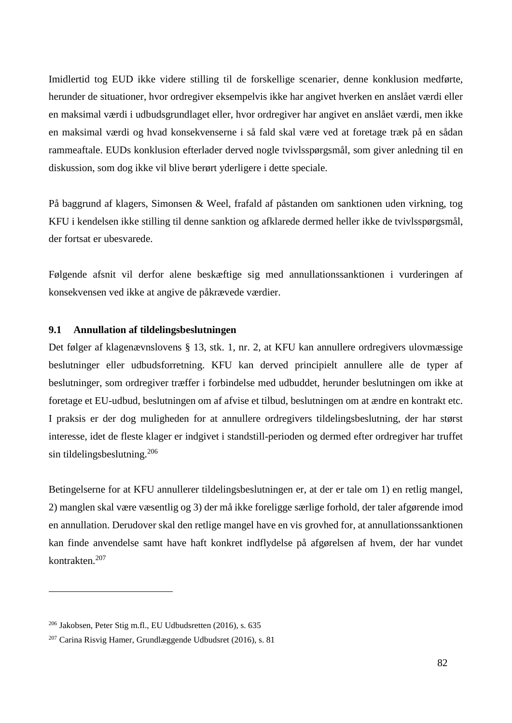Imidlertid tog EUD ikke videre stilling til de forskellige scenarier, denne konklusion medførte, herunder de situationer, hvor ordregiver eksempelvis ikke har angivet hverken en anslået værdi eller en maksimal værdi i udbudsgrundlaget eller, hvor ordregiver har angivet en anslået værdi, men ikke en maksimal værdi og hvad konsekvenserne i så fald skal være ved at foretage træk på en sådan rammeaftale. EUDs konklusion efterlader derved nogle tvivlsspørgsmål, som giver anledning til en diskussion, som dog ikke vil blive berørt yderligere i dette speciale.

På baggrund af klagers, Simonsen & Weel, frafald af påstanden om sanktionen uden virkning, tog KFU i kendelsen ikke stilling til denne sanktion og afklarede dermed heller ikke de tvivlsspørgsmål, der fortsat er ubesvarede.

Følgende afsnit vil derfor alene beskæftige sig med annullationssanktionen i vurderingen af konsekvensen ved ikke at angive de påkrævede værdier.

### **9.1 Annullation af tildelingsbeslutningen**

Det følger af klagenævnslovens § 13, stk. 1, nr. 2, at KFU kan annullere ordregivers ulovmæssige beslutninger eller udbudsforretning. KFU kan derved principielt annullere alle de typer af beslutninger, som ordregiver træffer i forbindelse med udbuddet, herunder beslutningen om ikke at foretage et EU-udbud, beslutningen om af afvise et tilbud, beslutningen om at ændre en kontrakt etc. I praksis er der dog muligheden for at annullere ordregivers tildelingsbeslutning, der har størst interesse, idet de fleste klager er indgivet i standstill-perioden og dermed efter ordregiver har truffet sin tildelingsbeslutning.<sup>206</sup>

Betingelserne for at KFU annullerer tildelingsbeslutningen er, at der er tale om 1) en retlig mangel, 2) manglen skal være væsentlig og 3) der må ikke foreligge særlige forhold, der taler afgørende imod en annullation. Derudover skal den retlige mangel have en vis grovhed for, at annullationssanktionen kan finde anvendelse samt have haft konkret indflydelse på afgørelsen af hvem, der har vundet kontrakten<sup>207</sup>

1

<sup>206</sup> Jakobsen, Peter Stig m.fl., EU Udbudsretten (2016), s. 635

<sup>207</sup> Carina Risvig Hamer, Grundlæggende Udbudsret (2016), s. 81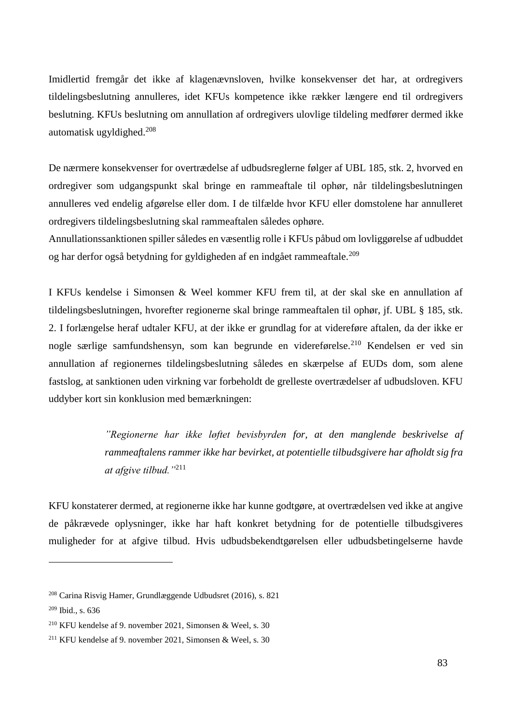Imidlertid fremgår det ikke af klagenævnsloven, hvilke konsekvenser det har, at ordregivers tildelingsbeslutning annulleres, idet KFUs kompetence ikke rækker længere end til ordregivers beslutning. KFUs beslutning om annullation af ordregivers ulovlige tildeling medfører dermed ikke automatisk ugyldighed. $208$ 

De nærmere konsekvenser for overtrædelse af udbudsreglerne følger af UBL 185, stk. 2, hvorved en ordregiver som udgangspunkt skal bringe en rammeaftale til ophør, når tildelingsbeslutningen annulleres ved endelig afgørelse eller dom. I de tilfælde hvor KFU eller domstolene har annulleret ordregivers tildelingsbeslutning skal rammeaftalen således ophøre.

Annullationssanktionen spiller således en væsentlig rolle i KFUs påbud om lovliggørelse af udbuddet og har derfor også betydning for gyldigheden af en indgået rammeaftale.<sup>209</sup>

I KFUs kendelse i Simonsen & Weel kommer KFU frem til, at der skal ske en annullation af tildelingsbeslutningen, hvorefter regionerne skal bringe rammeaftalen til ophør, jf. UBL § 185, stk. 2. I forlængelse heraf udtaler KFU, at der ikke er grundlag for at videreføre aftalen, da der ikke er nogle særlige samfundshensyn, som kan begrunde en videreførelse.<sup>210</sup> Kendelsen er ved sin annullation af regionernes tildelingsbeslutning således en skærpelse af EUDs dom, som alene fastslog, at sanktionen uden virkning var forbeholdt de grelleste overtrædelser af udbudsloven. KFU uddyber kort sin konklusion med bemærkningen:

> *"Regionerne har ikke løftet bevisbyrden for, at den manglende beskrivelse af rammeaftalens rammer ikke har bevirket, at potentielle tilbudsgivere har afholdt sig fra at afgive tilbud."*<sup>211</sup>

KFU konstaterer dermed, at regionerne ikke har kunne godtgøre, at overtrædelsen ved ikke at angive de påkrævede oplysninger, ikke har haft konkret betydning for de potentielle tilbudsgiveres muligheder for at afgive tilbud. Hvis udbudsbekendtgørelsen eller udbudsbetingelserne havde

<sup>208</sup> Carina Risvig Hamer, Grundlæggende Udbudsret (2016), s. 821

<sup>209</sup> Ibid., s. 636

<sup>210</sup> KFU kendelse af 9. november 2021, Simonsen & Weel, s. 30

<sup>211</sup> KFU kendelse af 9. november 2021, Simonsen & Weel, s. 30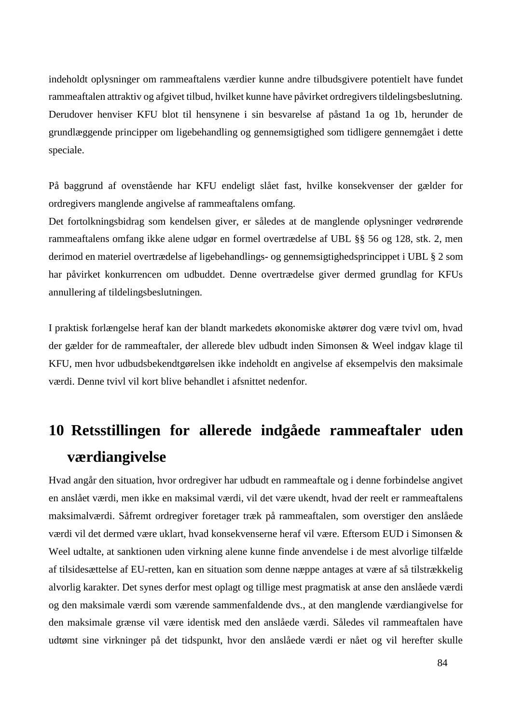indeholdt oplysninger om rammeaftalens værdier kunne andre tilbudsgivere potentielt have fundet rammeaftalen attraktiv og afgivet tilbud, hvilket kunne have påvirket ordregivers tildelingsbeslutning. Derudover henviser KFU blot til hensynene i sin besvarelse af påstand 1a og 1b, herunder de grundlæggende principper om ligebehandling og gennemsigtighed som tidligere gennemgået i dette speciale.

På baggrund af ovenstående har KFU endeligt slået fast, hvilke konsekvenser der gælder for ordregivers manglende angivelse af rammeaftalens omfang.

Det fortolkningsbidrag som kendelsen giver, er således at de manglende oplysninger vedrørende rammeaftalens omfang ikke alene udgør en formel overtrædelse af UBL §§ 56 og 128, stk. 2, men derimod en materiel overtrædelse af ligebehandlings- og gennemsigtighedsprincippet i UBL § 2 som har påvirket konkurrencen om udbuddet. Denne overtrædelse giver dermed grundlag for KFUs annullering af tildelingsbeslutningen.

I praktisk forlængelse heraf kan der blandt markedets økonomiske aktører dog være tvivl om, hvad der gælder for de rammeaftaler, der allerede blev udbudt inden Simonsen & Weel indgav klage til KFU, men hvor udbudsbekendtgørelsen ikke indeholdt en angivelse af eksempelvis den maksimale værdi. Denne tvivl vil kort blive behandlet i afsnittet nedenfor.

# **10 Retsstillingen for allerede indgåede rammeaftaler uden værdiangivelse**

Hvad angår den situation, hvor ordregiver har udbudt en rammeaftale og i denne forbindelse angivet en anslået værdi, men ikke en maksimal værdi, vil det være ukendt, hvad der reelt er rammeaftalens maksimalværdi. Såfremt ordregiver foretager træk på rammeaftalen, som overstiger den anslåede værdi vil det dermed være uklart, hvad konsekvenserne heraf vil være. Eftersom EUD i Simonsen & Weel udtalte, at sanktionen uden virkning alene kunne finde anvendelse i de mest alvorlige tilfælde af tilsidesættelse af EU-retten, kan en situation som denne næppe antages at være af så tilstrækkelig alvorlig karakter. Det synes derfor mest oplagt og tillige mest pragmatisk at anse den anslåede værdi og den maksimale værdi som værende sammenfaldende dvs., at den manglende værdiangivelse for den maksimale grænse vil være identisk med den anslåede værdi. Således vil rammeaftalen have udtømt sine virkninger på det tidspunkt, hvor den anslåede værdi er nået og vil herefter skulle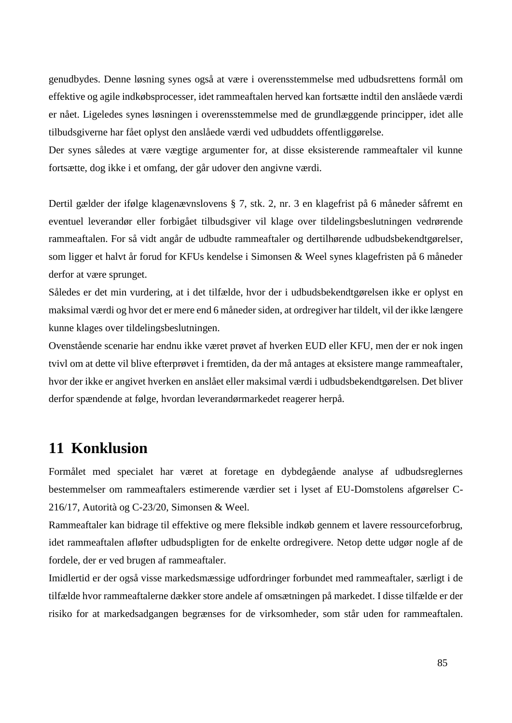genudbydes. Denne løsning synes også at være i overensstemmelse med udbudsrettens formål om effektive og agile indkøbsprocesser, idet rammeaftalen herved kan fortsætte indtil den anslåede værdi er nået. Ligeledes synes løsningen i overensstemmelse med de grundlæggende principper, idet alle tilbudsgiverne har fået oplyst den anslåede værdi ved udbuddets offentliggørelse.

Der synes således at være vægtige argumenter for, at disse eksisterende rammeaftaler vil kunne fortsætte, dog ikke i et omfang, der går udover den angivne værdi.

Dertil gælder der ifølge klagenævnslovens § 7, stk. 2, nr. 3 en klagefrist på 6 måneder såfremt en eventuel leverandør eller forbigået tilbudsgiver vil klage over tildelingsbeslutningen vedrørende rammeaftalen. For så vidt angår de udbudte rammeaftaler og dertilhørende udbudsbekendtgørelser, som ligger et halvt år forud for KFUs kendelse i Simonsen & Weel synes klagefristen på 6 måneder derfor at være sprunget.

Således er det min vurdering, at i det tilfælde, hvor der i udbudsbekendtgørelsen ikke er oplyst en maksimal værdi og hvor det er mere end 6 måneder siden, at ordregiver har tildelt, vil der ikke længere kunne klages over tildelingsbeslutningen.

Ovenstående scenarie har endnu ikke været prøvet af hverken EUD eller KFU, men der er nok ingen tvivl om at dette vil blive efterprøvet i fremtiden, da der må antages at eksistere mange rammeaftaler, hvor der ikke er angivet hverken en anslået eller maksimal værdi i udbudsbekendtgørelsen. Det bliver derfor spændende at følge, hvordan leverandørmarkedet reagerer herpå.

# **11 Konklusion**

Formålet med specialet har været at foretage en dybdegående analyse af udbudsreglernes bestemmelser om rammeaftalers estimerende værdier set i lyset af EU-Domstolens afgørelser C-216/17, Autorità og C-23/20, Simonsen & Weel.

Rammeaftaler kan bidrage til effektive og mere fleksible indkøb gennem et lavere ressourceforbrug, idet rammeaftalen afløfter udbudspligten for de enkelte ordregivere. Netop dette udgør nogle af de fordele, der er ved brugen af rammeaftaler.

Imidlertid er der også visse markedsmæssige udfordringer forbundet med rammeaftaler, særligt i de tilfælde hvor rammeaftalerne dækker store andele af omsætningen på markedet. I disse tilfælde er der risiko for at markedsadgangen begrænses for de virksomheder, som står uden for rammeaftalen.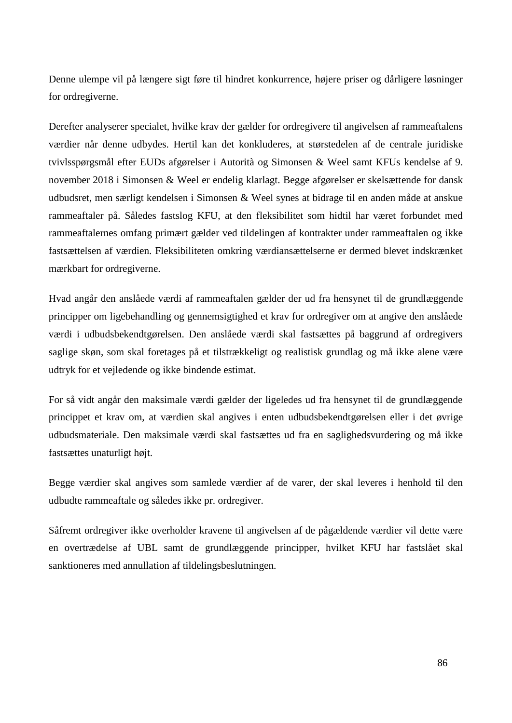Denne ulempe vil på længere sigt føre til hindret konkurrence, højere priser og dårligere løsninger for ordregiverne.

Derefter analyserer specialet, hvilke krav der gælder for ordregivere til angivelsen af rammeaftalens værdier når denne udbydes. Hertil kan det konkluderes, at størstedelen af de centrale juridiske tvivlsspørgsmål efter EUDs afgørelser i Autorità og Simonsen & Weel samt KFUs kendelse af 9. november 2018 i Simonsen & Weel er endelig klarlagt. Begge afgørelser er skelsættende for dansk udbudsret, men særligt kendelsen i Simonsen & Weel synes at bidrage til en anden måde at anskue rammeaftaler på. Således fastslog KFU, at den fleksibilitet som hidtil har været forbundet med rammeaftalernes omfang primært gælder ved tildelingen af kontrakter under rammeaftalen og ikke fastsættelsen af værdien. Fleksibiliteten omkring værdiansættelserne er dermed blevet indskrænket mærkbart for ordregiverne.

Hvad angår den anslåede værdi af rammeaftalen gælder der ud fra hensynet til de grundlæggende principper om ligebehandling og gennemsigtighed et krav for ordregiver om at angive den anslåede værdi i udbudsbekendtgørelsen. Den anslåede værdi skal fastsættes på baggrund af ordregivers saglige skøn, som skal foretages på et tilstrækkeligt og realistisk grundlag og må ikke alene være udtryk for et vejledende og ikke bindende estimat.

For så vidt angår den maksimale værdi gælder der ligeledes ud fra hensynet til de grundlæggende princippet et krav om, at værdien skal angives i enten udbudsbekendtgørelsen eller i det øvrige udbudsmateriale. Den maksimale værdi skal fastsættes ud fra en saglighedsvurdering og må ikke fastsættes unaturligt højt.

Begge værdier skal angives som samlede værdier af de varer, der skal leveres i henhold til den udbudte rammeaftale og således ikke pr. ordregiver.

Såfremt ordregiver ikke overholder kravene til angivelsen af de pågældende værdier vil dette være en overtrædelse af UBL samt de grundlæggende principper, hvilket KFU har fastslået skal sanktioneres med annullation af tildelingsbeslutningen.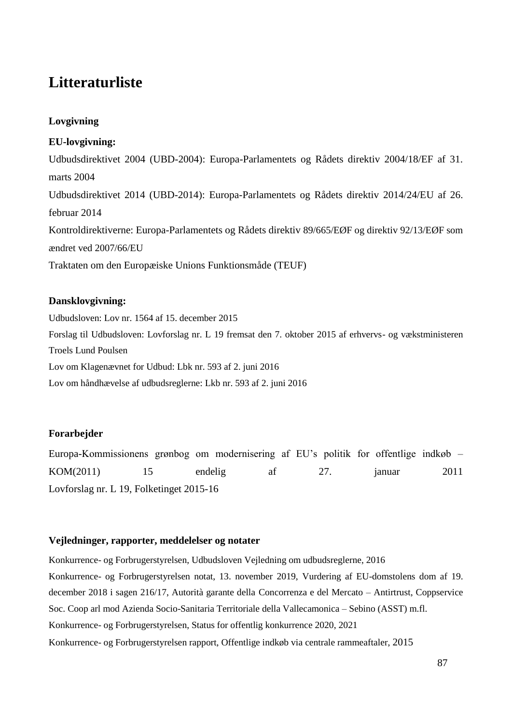# **Litteraturliste**

# **Lovgivning**

# **EU-lovgivning:**

Udbudsdirektivet 2004 (UBD-2004): Europa-Parlamentets og Rådets direktiv 2004/18/EF af 31. marts 2004 Udbudsdirektivet 2014 (UBD-2014): Europa-Parlamentets og Rådets direktiv 2014/24/EU af 26. februar 2014 Kontroldirektiverne: Europa-Parlamentets og Rådets direktiv 89/665/EØF og direktiv 92/13/EØF som ændret ved 2007/66/EU Traktaten om den Europæiske Unions Funktionsmåde (TEUF)

# **Dansklovgivning:**

Udbudsloven: Lov nr. 1564 af 15. december 2015 Forslag til Udbudsloven: Lovforslag nr. L 19 fremsat den 7. oktober 2015 af erhvervs- og vækstministeren Troels Lund Poulsen Lov om Klagenævnet for Udbud: Lbk nr. 593 af 2. juni 2016 Lov om håndhævelse af udbudsreglerne: Lkb nr. 593 af 2. juni 2016

# **Forarbejder**

Europa-Kommissionens grønbog om modernisering af EU's politik for offentlige indkøb – KOM(2011) 15 endelig af 27. januar 2011 Lovforslag nr. L 19, Folketinget 2015-16

### **Vejledninger, rapporter, meddelelser og notater**

Konkurrence- og Forbrugerstyrelsen, Udbudsloven Vejledning om udbudsreglerne, 2016 Konkurrence- og Forbrugerstyrelsen notat, 13. november 2019, Vurdering af EU-domstolens dom af 19. december 2018 i sagen 216/17, Autorità garante della Concorrenza e del Mercato – Antirtrust, Coppservice Soc. Coop arl mod Azienda Socio-Sanitaria Territoriale della Vallecamonica – Sebino (ASST) m.fl. Konkurrence- og Forbrugerstyrelsen, Status for offentlig konkurrence 2020, 2021 Konkurrence- og Forbrugerstyrelsen rapport, Offentlige indkøb via centrale rammeaftaler, 2015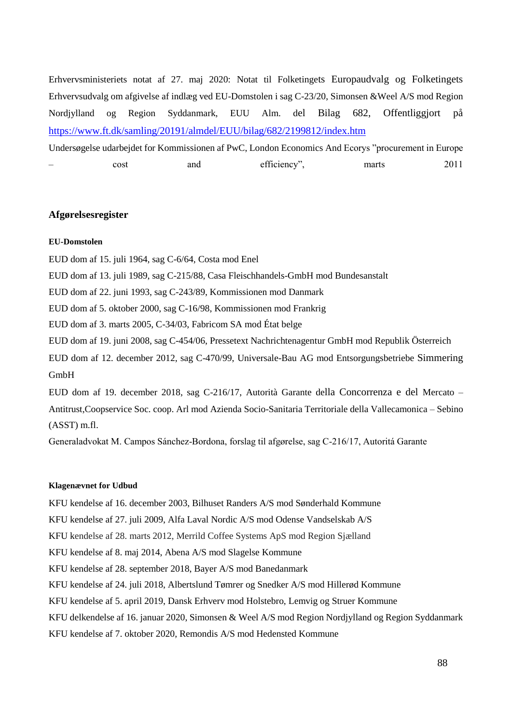Erhvervsministeriets notat af 27. maj 2020: Notat til Folketingets Europaudvalg og Folketingets Erhvervsudvalg om afgivelse af indlæg ved EU-Domstolen i sag C-23/20, Simonsen &Weel A/S mod Region Nordjylland og Region Syddanmark, EUU Alm. del Bilag 682, Offentliggjort på <https://www.ft.dk/samling/20191/almdel/EUU/bilag/682/2199812/index.htm>

Undersøgelse udarbejdet for Kommissionen af PwC, London Economics And Ecorys "procurement in Europe – cost and efficiency", marts 2011

#### **Afgørelsesregister**

#### **EU-Domstolen**

EUD dom af 15. juli 1964, sag C-6/64, Costa mod Enel

EUD dom af 13. juli 1989, sag C-215/88, Casa Fleischhandels-GmbH mod Bundesanstalt

EUD dom af 22. juni 1993, sag C-243/89, Kommissionen mod Danmark

EUD dom af 5. oktober 2000, sag C-16/98, Kommissionen mod Frankrig

EUD dom af 3. marts 2005, C-34/03, Fabricom SA mod État belge

EUD dom af 19. juni 2008, sag C-454/06, Pressetext Nachrichtenagentur GmbH mod Republik Österreich

EUD dom af 12. december 2012, sag C-470/99, Universale-Bau AG mod Entsorgungsbetriebe Simmering GmbH

EUD dom af 19. december 2018, sag C-216/17, Autorità Garante della Concorrenza e del Mercato – Antitrust,Coopservice Soc. coop. Arl mod Azienda Socio-Sanitaria Territoriale della Vallecamonica – Sebino (ASST) m.fl.

Generaladvokat M. Campos Sánchez-Bordona, forslag til afgørelse, sag C-216/17, Autoritá Garante

#### **Klagenævnet for Udbud**

KFU kendelse af 16. december 2003, Bilhuset Randers A/S mod Sønderhald Kommune

KFU kendelse af 27. juli 2009, Alfa Laval Nordic A/S mod Odense Vandselskab A/S

KFU kendelse af 28. marts 2012, Merrild Coffee Systems ApS mod Region Sjælland

KFU kendelse af 8. maj 2014, Abena A/S mod Slagelse Kommune

KFU kendelse af 28. september 2018, Bayer A/S mod Banedanmark

KFU kendelse af 24. juli 2018, Albertslund Tømrer og Snedker A/S mod Hillerød Kommune

KFU kendelse af 5. april 2019, Dansk Erhverv mod Holstebro, Lemvig og Struer Kommune

KFU delkendelse af 16. januar 2020, Simonsen & Weel A/S mod Region Nordjylland og Region Syddanmark

KFU kendelse af 7. oktober 2020, Remondis A/S mod Hedensted Kommune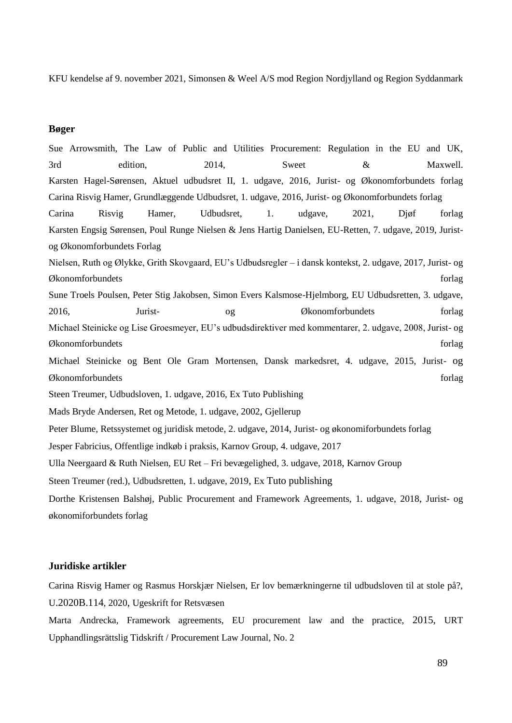KFU kendelse af 9. november 2021, Simonsen & Weel A/S mod Region Nordjylland og Region Syddanmark

#### **Bøger**

Sue Arrowsmith, The Law of Public and Utilities Procurement: Regulation in the EU and UK, 3rd edition, 2014, Sweet  $\&$  Maxwell. Karsten Hagel-Sørensen, Aktuel udbudsret II, 1. udgave, 2016, Jurist- og Økonomforbundets forlag Carina Risvig Hamer, Grundlæggende Udbudsret, 1. udgave, 2016, Jurist- og Økonomforbundets forlag Carina Risvig Hamer, Udbudsret, 1. udgave, 2021, Djøf forlag Karsten Engsig Sørensen, Poul Runge Nielsen & Jens Hartig Danielsen, EU-Retten, 7. udgave, 2019, Juristog Økonomforbundets Forlag Nielsen, Ruth og Ølykke, Grith Skovgaard, EU's Udbudsregler – i dansk kontekst, 2. udgave, 2017, Jurist- og Økonomforbundets forlag Sune Troels Poulsen, Peter Stig Jakobsen, Simon Evers Kalsmose-Hjelmborg, EU Udbudsretten, 3. udgave, 2016, Jurist- og Økonomforbundets forlag Michael Steinicke og Lise Groesmeyer, EU's udbudsdirektiver med kommentarer, 2. udgave, 2008, Jurist- og Økonomforbundets forlag Michael Steinicke og Bent Ole Gram Mortensen, Dansk markedsret, 4. udgave, 2015, Jurist- og Økonomforbundets forlag Steen Treumer, Udbudsloven, 1. udgave, 2016, Ex Tuto Publishing Mads Bryde Andersen, Ret og Metode, 1. udgave, 2002, Gjellerup Peter Blume, Retssystemet og juridisk metode, 2. udgave, 2014, Jurist- og økonomiforbundets forlag Jesper Fabricius, Offentlige indkøb i praksis, Karnov Group, 4. udgave, 2017 Ulla Neergaard & Ruth Nielsen, EU Ret – Fri bevægelighed, 3. udgave, 2018, Karnov Group Steen Treumer (red.), Udbudsretten, 1. udgave, 2019, Ex Tuto publishing Dorthe Kristensen Balshøj, Public Procurement and Framework Agreements, 1. udgave, 2018, Jurist- og økonomiforbundets forlag

#### **Juridiske artikler**

Carina Risvig Hamer og Rasmus Horskjær Nielsen, Er lov bemærkningerne til udbudsloven til at stole på?, U.2020B.114, 2020, Ugeskrift for Retsvæsen

Marta Andrecka, Framework agreements, EU procurement law and the practice, 2015, URT Upphandlingsrättslig Tidskrift / Procurement Law Journal, No. 2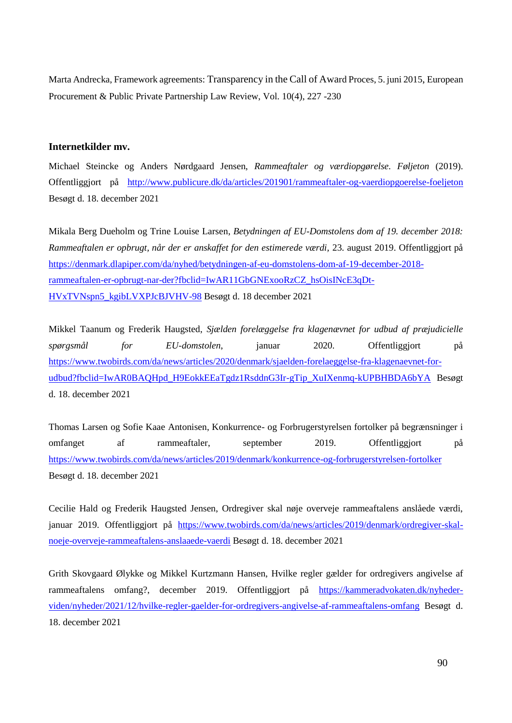Marta Andrecka, Framework agreements: Transparency in the Call of Award Proces, 5. juni 2015, European Procurement & Public Private Partnership Law Review, Vol. 10(4), 227 -230

#### **Internetkilder mv.**

Michael Steincke og Anders Nørdgaard Jensen, *Rammeaftaler og værdiopgørelse. Føljeton* (2019). Offentliggjort på <http://www.publicure.dk/da/articles/201901/rammeaftaler-og-vaerdiopgoerelse-foeljeton> Besøgt d. 18. december 2021

Mikala Berg Dueholm og Trine Louise Larsen, *Betydningen af EU-Domstolens dom af 19. december 2018: Rammeaftalen er opbrugt, når der er anskaffet for den estimerede værdi,* 23. august 2019. Offentliggjort på [https://denmark.dlapiper.com/da/nyhed/betydningen-af-eu-domstolens-dom-af-19-december-2018](https://denmark.dlapiper.com/da/nyhed/betydningen-af-eu-domstolens-dom-af-19-december-2018-rammeaftalen-er-opbrugt-nar-der?fbclid=IwAR11GbGNExooRzCZ_hsOisINcE3qDt-HVxTVNspn5_kgibLVXPJcBJVHV-98) [rammeaftalen-er-opbrugt-nar-der?fbclid=IwAR11GbGNExooRzCZ\\_hsOisINcE3qDt-](https://denmark.dlapiper.com/da/nyhed/betydningen-af-eu-domstolens-dom-af-19-december-2018-rammeaftalen-er-opbrugt-nar-der?fbclid=IwAR11GbGNExooRzCZ_hsOisINcE3qDt-HVxTVNspn5_kgibLVXPJcBJVHV-98)[HVxTVNspn5\\_kgibLVXPJcBJVHV-98](https://denmark.dlapiper.com/da/nyhed/betydningen-af-eu-domstolens-dom-af-19-december-2018-rammeaftalen-er-opbrugt-nar-der?fbclid=IwAR11GbGNExooRzCZ_hsOisINcE3qDt-HVxTVNspn5_kgibLVXPJcBJVHV-98) Besøgt d. 18 december 2021

Mikkel Taanum og Frederik Haugsted, *Sjælden forelæggelse fra klagenævnet for udbud af præjudicielle spørgsmål for EU-domstolen*, januar 2020. Offentliggjort på [https://www.twobirds.com/da/news/articles/2020/denmark/sjaelden-forelaeggelse-fra-klagenaevnet-for](https://www.twobirds.com/da/news/articles/2020/denmark/sjaelden-forelaeggelse-fra-klagenaevnet-for-udbud?fbclid=IwAR0BAQHpd_H9EokkEEaTgdz1RsddnG3Ir-gTip_XuIXenmq-kUPBHBDA6bYA)[udbud?fbclid=IwAR0BAQHpd\\_H9EokkEEaTgdz1RsddnG3Ir-gTip\\_XuIXenmq-kUPBHBDA6bYA](https://www.twobirds.com/da/news/articles/2020/denmark/sjaelden-forelaeggelse-fra-klagenaevnet-for-udbud?fbclid=IwAR0BAQHpd_H9EokkEEaTgdz1RsddnG3Ir-gTip_XuIXenmq-kUPBHBDA6bYA) Besøgt d. 18. december 2021

Thomas Larsen og Sofie Kaae Antonisen, Konkurrence- og Forbrugerstyrelsen fortolker på begrænsninger i omfanget af rammeaftaler, september 2019. Offentliggjort på <https://www.twobirds.com/da/news/articles/2019/denmark/konkurrence-og-forbrugerstyrelsen-fortolker> Besøgt d. 18. december 2021

Cecilie Hald og Frederik Haugsted Jensen, Ordregiver skal nøje overveje rammeaftalens anslåede værdi, januar 2019. Offentliggjort på [https://www.twobirds.com/da/news/articles/2019/denmark/ordregiver-skal](https://www.twobirds.com/da/news/articles/2019/denmark/ordregiver-skal-noeje-overveje-rammeaftalens-anslaaede-vaerdi)[noeje-overveje-rammeaftalens-anslaaede-vaerdi](https://www.twobirds.com/da/news/articles/2019/denmark/ordregiver-skal-noeje-overveje-rammeaftalens-anslaaede-vaerdi) Besøgt d. 18. december 2021

Grith Skovgaard Ølykke og Mikkel Kurtzmann Hansen, Hvilke regler gælder for ordregivers angivelse af rammeaftalens omfang?, december 2019. Offentliggjort på [https://kammeradvokaten.dk/nyheder](https://kammeradvokaten.dk/nyheder-viden/nyheder/2021/12/hvilke-regler-gaelder-for-ordregivers-angivelse-af-rammeaftalens-omfang)[viden/nyheder/2021/12/hvilke-regler-gaelder-for-ordregivers-angivelse-af-rammeaftalens-omfang](https://kammeradvokaten.dk/nyheder-viden/nyheder/2021/12/hvilke-regler-gaelder-for-ordregivers-angivelse-af-rammeaftalens-omfang) Besøgt d. 18. december 2021